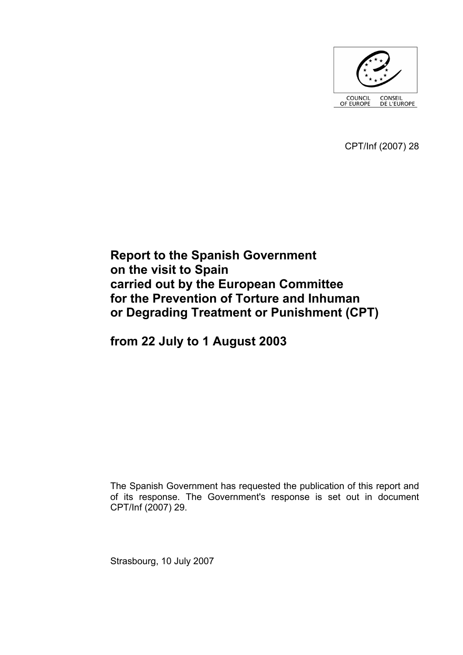

CPT/Inf (2007) 28

# **Report to the Spanish Government on the visit to Spain carried out by the European Committee for the Prevention of Torture and Inhuman or Degrading Treatment or Punishment (CPT)**

**from 22 July to 1 August 2003** 

The Spanish Government has requested the publication of this report and of its response. The Government's response is set out in document CPT/Inf (2007) 29.

Strasbourg, 10 July 2007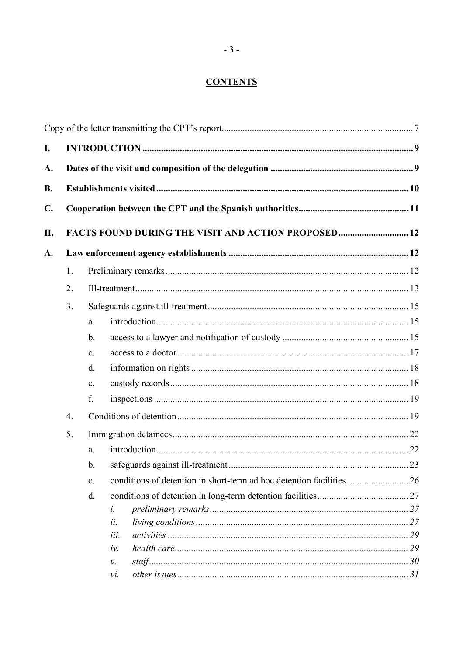# **CONTENTS**

| I. |                  |                |                                                     |    |  |  |
|----|------------------|----------------|-----------------------------------------------------|----|--|--|
| A. |                  |                |                                                     |    |  |  |
| В. |                  |                |                                                     |    |  |  |
| C. |                  |                |                                                     |    |  |  |
| П. |                  |                | FACTS FOUND DURING THE VISIT AND ACTION PROPOSED 12 |    |  |  |
| A. |                  |                |                                                     |    |  |  |
|    | 1.               |                |                                                     |    |  |  |
|    | 2.               |                |                                                     |    |  |  |
|    | 3.               |                |                                                     |    |  |  |
|    |                  | a.             |                                                     |    |  |  |
|    |                  | $\mathbf b$ .  |                                                     |    |  |  |
|    |                  | $\mathbf{c}$ . |                                                     |    |  |  |
|    |                  | $\mathbf{d}$ . |                                                     |    |  |  |
|    |                  | e.             |                                                     |    |  |  |
|    |                  | f.             |                                                     |    |  |  |
|    | $\overline{4}$ . |                |                                                     |    |  |  |
|    | 5.               |                |                                                     |    |  |  |
|    |                  | a.             |                                                     |    |  |  |
|    |                  | b.             |                                                     |    |  |  |
|    |                  | $\mathbf{c}$ . |                                                     |    |  |  |
|    |                  | d.             |                                                     |    |  |  |
|    |                  | i.             |                                                     |    |  |  |
|    |                  | ii.            |                                                     |    |  |  |
|    |                  |                | iii.                                                |    |  |  |
|    |                  |                | iv.                                                 | 29 |  |  |
|    |                  | ν.             |                                                     |    |  |  |
|    |                  |                | vi.                                                 |    |  |  |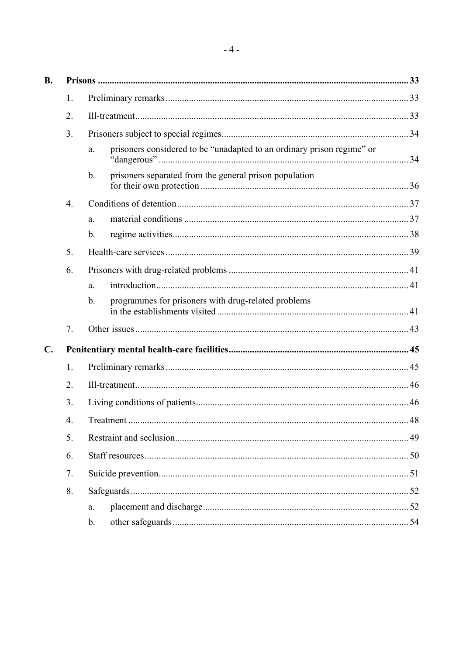| <b>B.</b>      |                  |                                                                              |  |  |
|----------------|------------------|------------------------------------------------------------------------------|--|--|
|                | 1.               |                                                                              |  |  |
|                | 2.               |                                                                              |  |  |
|                | 3.               |                                                                              |  |  |
|                |                  | prisoners considered to be "unadapted to an ordinary prison regime" or<br>a. |  |  |
|                |                  | prisoners separated from the general prison population<br>$\mathbf b$ .      |  |  |
|                | $\overline{4}$ . |                                                                              |  |  |
|                |                  | a.                                                                           |  |  |
|                |                  | b.                                                                           |  |  |
|                | 5.               |                                                                              |  |  |
|                | 6.               |                                                                              |  |  |
|                |                  | a.                                                                           |  |  |
|                |                  | programmes for prisoners with drug-related problems<br>b.                    |  |  |
|                | 7.               |                                                                              |  |  |
| $\mathbf{C}$ . |                  |                                                                              |  |  |
|                | 1.               |                                                                              |  |  |
|                | 2.               |                                                                              |  |  |
|                | 3.               |                                                                              |  |  |
|                | 4.               |                                                                              |  |  |
|                | 5.               |                                                                              |  |  |
|                | 6.               |                                                                              |  |  |
|                | 7.               |                                                                              |  |  |
|                | 8.               |                                                                              |  |  |
|                |                  | a.                                                                           |  |  |
|                |                  | b.                                                                           |  |  |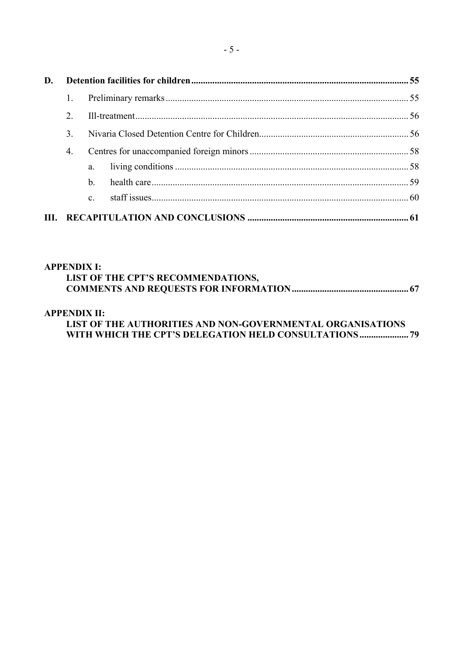| D.   |               |              |  |  |
|------|---------------|--------------|--|--|
|      |               |              |  |  |
|      | $2^{\circ}$   |              |  |  |
|      | $\mathcal{E}$ |              |  |  |
|      | 4.            |              |  |  |
|      |               | $a_{\cdot}$  |  |  |
|      |               | h.           |  |  |
|      |               | $\mathbf{c}$ |  |  |
| III. |               |              |  |  |

### **[APPENDIX I:](#page-66-0)**

| LIST OF THE CPT'S RECOMMENDATIONS, |  |
|------------------------------------|--|
|                                    |  |

## **[APPENDIX II:](#page-78-0)**

# **[LIST OF THE AUTHORITIES AND NON-GOVERNMENTAL ORGANISATIONS](#page-78-0)  [WITH WHICH THE CPT'S DELEGATION HELD CONSULTATIONS..................... 79](#page-78-0)**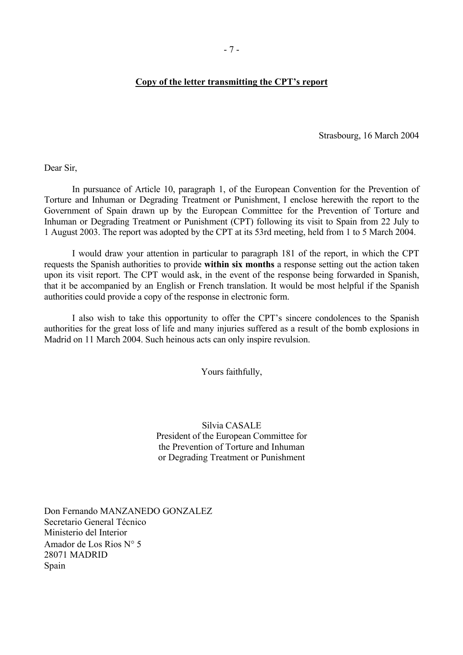#### <span id="page-6-0"></span>**Copy of the letter transmitting the CPT's report**

Strasbourg, 16 March 2004

Dear Sir,

 In pursuance of Article 10, paragraph 1, of the European Convention for the Prevention of Torture and Inhuman or Degrading Treatment or Punishment, I enclose herewith the report to the Government of Spain drawn up by the European Committee for the Prevention of Torture and Inhuman or Degrading Treatment or Punishment (CPT) following its visit to Spain from 22 July to 1 August 2003. The report was adopted by the CPT at its 53rd meeting, held from 1 to 5 March 2004.

I would draw your attention in particular to paragraph 181 of the report, in which the CPT requests the Spanish authorities to provide **within six months** a response setting out the action taken upon its visit report. The CPT would ask, in the event of the response being forwarded in Spanish, that it be accompanied by an English or French translation. It would be most helpful if the Spanish authorities could provide a copy of the response in electronic form.

 I also wish to take this opportunity to offer the CPT's sincere condolences to the Spanish authorities for the great loss of life and many injuries suffered as a result of the bomb explosions in Madrid on 11 March 2004. Such heinous acts can only inspire revulsion.

Yours faithfully,

Silvia CASALE President of the European Committee for the Prevention of Torture and Inhuman or Degrading Treatment or Punishment

Don Fernando MANZANEDO GONZALEZ Secretario General Técnico Ministerio del Interior Amador de Los Rios N° 5 28071 MADRID Spain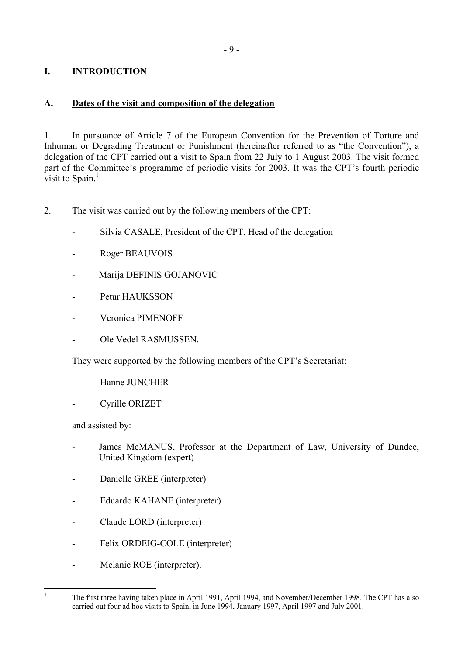# <span id="page-8-0"></span>**I. INTRODUCTION**

# **A. Dates of the visit and composition of the delegation**

1. In pursuance of Article 7 of the European Convention for the Prevention of Torture and Inhuman or Degrading Treatment or Punishment (hereinafter referred to as "the Convention"), a delegation of the CPT carried out a visit to Spain from 22 July to 1 August 2003. The visit formed part of the Committee's programme of periodic visits for 2003. It was the CPT's fourth periodic visit to Spain. $<sup>1</sup>$ </sup>

2. The visit was carried out by the following members of the CPT:

- Silvia CASALE, President of the CPT, Head of the delegation
- Roger BEAUVOIS
- Marija DEFINIS GOJANOVIC
- Petur HAUKSSON
- Veronica PIMENOFF
- Ole Vedel RASMUSSEN.

They were supported by the following members of the CPT's Secretariat:

- Hanne JUNCHER
- Cyrille ORIZET

and assisted by:

<span id="page-8-1"></span> $\frac{1}{1}$ 

- James McMANUS, Professor at the Department of Law, University of Dundee, United Kingdom (expert)
- Danielle GREE (interpreter)
- Eduardo KAHANE (interpreter)
- Claude LORD (interpreter)
- Felix ORDEIG-COLE (interpreter)
- Melanie ROE (interpreter).

The first three having taken place in April 1991, April 1994, and November/December 1998. The CPT has also carried out four ad hoc visits to Spain, in June 1994, January 1997, April 1997 and July 2001.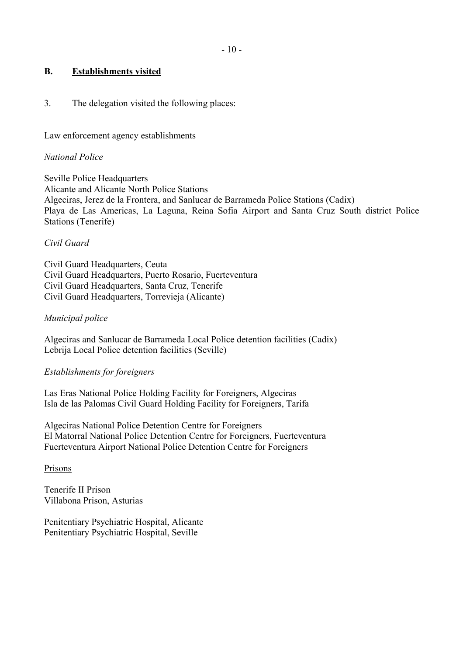### <span id="page-9-0"></span>**B. Establishments visited**

### 3. The delegation visited the following places:

#### Law enforcement agency establishments

#### *National Police*

Seville Police Headquarters Alicante and Alicante North Police Stations Algeciras, Jerez de la Frontera, and Sanlucar de Barrameda Police Stations (Cadix) Playa de Las Americas, La Laguna, Reina Sofia Airport and Santa Cruz South district Police Stations (Tenerife)

### *Civil Guard*

Civil Guard Headquarters, Ceuta Civil Guard Headquarters, Puerto Rosario, Fuerteventura Civil Guard Headquarters, Santa Cruz, Tenerife Civil Guard Headquarters, Torrevieja (Alicante)

### *Municipal police*

Algeciras and Sanlucar de Barrameda Local Police detention facilities (Cadix) Lebrija Local Police detention facilities (Seville)

### *Establishments for foreigners*

Las Eras National Police Holding Facility for Foreigners, Algeciras Isla de las Palomas Civil Guard Holding Facility for Foreigners, Tarifa

Algeciras National Police Detention Centre for Foreigners El Matorral National Police Detention Centre for Foreigners, Fuerteventura Fuerteventura Airport National Police Detention Centre for Foreigners

### Prisons

Tenerife II Prison Villabona Prison, Asturias

Penitentiary Psychiatric Hospital, Alicante Penitentiary Psychiatric Hospital, Seville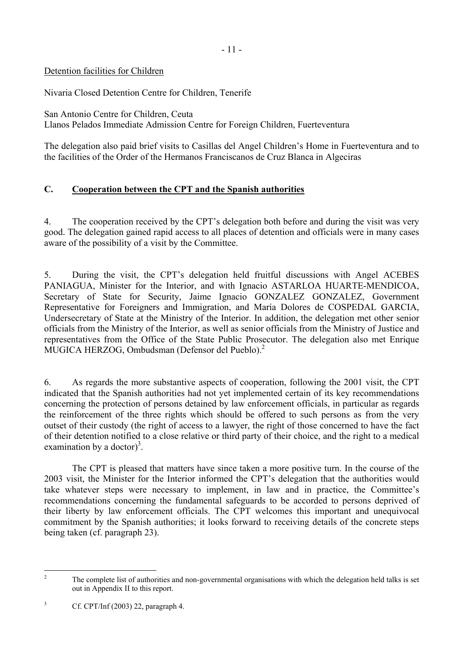# <span id="page-10-0"></span>Detention facilities for Children

Nivaria Closed Detention Centre for Children, Tenerife

San Antonio Centre for Children, Ceuta Llanos Pelados Immediate Admission Centre for Foreign Children, Fuerteventura

The delegation also paid brief visits to Casillas del Angel Children's Home in Fuerteventura and to the facilities of the Order of the Hermanos Franciscanos de Cruz Blanca in Algeciras

# **C. Cooperation between the CPT and the Spanish authorities**

4. The cooperation received by the CPT's delegation both before and during the visit was very good. The delegation gained rapid access to all places of detention and officials were in many cases aware of the possibility of a visit by the Committee.

5. During the visit, the CPT's delegation held fruitful discussions with Angel ACEBES PANIAGUA, Minister for the Interior, and with Ignacio ASTARLOA HUARTE-MENDICOA, Secretary of State for Security, Jaime Ignacio GONZALEZ GONZALEZ, Government Representative for Foreigners and Immigration, and María Dolores de COSPEDAL GARCIA, Undersecretary of State at the Ministry of the Interior. In addition, the delegation met other senior officials from the Ministry of the Interior, as well as senior officials from the Ministry of Justice and representatives from the Office of the State Public Prosecutor. The delegation also met Enrique MUGICA HERZOG, Ombudsman (Defensor del Pueblo).<sup>2</sup>

6. As regards the more substantive aspects of cooperation, following the 2001 visit, the CPT indicated that the Spanish authorities had not yet implemented certain of its key recommendations concerning the protection of persons detained by law enforcement officials, in particular as regards the reinforcement of the three rights which should be offered to such persons as from the very outset of their custody (the right of access to a lawyer, the right of those concerned to have the fact of their detention notified to a close relative or third party of their choice, and the right to a medical examination by a doctor)<sup>3</sup>.

 The CPT is pleased that matters have since taken a more positive turn. In the course of the 2003 visit, the Minister for the Interior informed the CPT's delegation that the authorities would take whatever steps were necessary to implement, in law and in practice, the Committee's recommendations concerning the fundamental safeguards to be accorded to persons deprived of their liberty by law enforcement officials. The CPT welcomes this important and unequivocal commitment by the Spanish authorities; it looks forward to receiving details of the concrete steps being taken (cf. paragraph 23).

<span id="page-10-1"></span> $\overline{2}$ 2 The complete list of authorities and non-governmental organisations with which the delegation held talks is set out in Appendix II to this report.

<span id="page-10-2"></span><sup>3</sup> Cf. CPT/Inf (2003) 22, paragraph 4.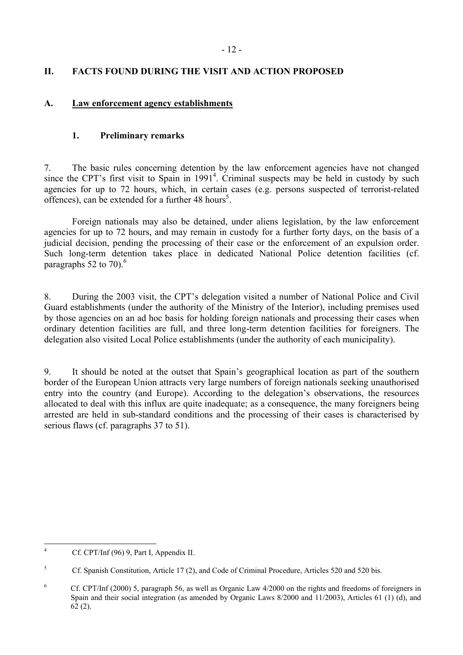# <span id="page-11-0"></span>**II. FACTS FOUND DURING THE VISIT AND ACTION PROPOSED**

### **A. Law enforcement agency establishments**

# **1. Preliminary remarks**

7. The basic rules concerning detention by the law enforcement agencies have not changed since the CPT's first visit to Spain in 1991<sup>[4](#page-11-1)</sup>. Criminal suspects may be held in custody by such agencies for up to 72 hours, which, in certain cases (e.g. persons suspected of terrorist-related offences), can be extended for a further  $48$  hours<sup>5</sup>.

 Foreign nationals may also be detained, under aliens legislation, by the law enforcement agencies for up to 72 hours, and may remain in custody for a further forty days, on the basis of a judicial decision, pending the processing of their case or the enforcement of an expulsion order. Such long-term detention takes place in dedicated National Police detention facilities (cf. paragraphs 52 to 70). $^{6}$  $^{6}$  $^{6}$ 

8. During the 2003 visit, the CPT's delegation visited a number of National Police and Civil Guard establishments (under the authority of the Ministry of the Interior), including premises used by those agencies on an ad hoc basis for holding foreign nationals and processing their cases when ordinary detention facilities are full, and three long-term detention facilities for foreigners. The delegation also visited Local Police establishments (under the authority of each municipality).

9. It should be noted at the outset that Spain's geographical location as part of the southern border of the European Union attracts very large numbers of foreign nationals seeking unauthorised entry into the country (and Europe). According to the delegation's observations, the resources allocated to deal with this influx are quite inadequate; as a consequence, the many foreigners being arrested are held in sub-standard conditions and the processing of their cases is characterised by serious flaws (cf. paragraphs 37 to 51).

<span id="page-11-1"></span> $\frac{1}{4}$ Cf. CPT/Inf (96) 9, Part I, Appendix II.

<span id="page-11-2"></span><sup>5</sup> Cf. Spanish Constitution, Article 17 (2), and Code of Criminal Procedure, Articles 520 and 520 bis.

<span id="page-11-3"></span><sup>6</sup> Cf. CPT/Inf (2000) 5, paragraph 56, as well as Organic Law 4/2000 on the rights and freedoms of foreigners in Spain and their social integration (as amended by Organic Laws 8/2000 and 11/2003), Articles 61 (1) (d), and 62 (2).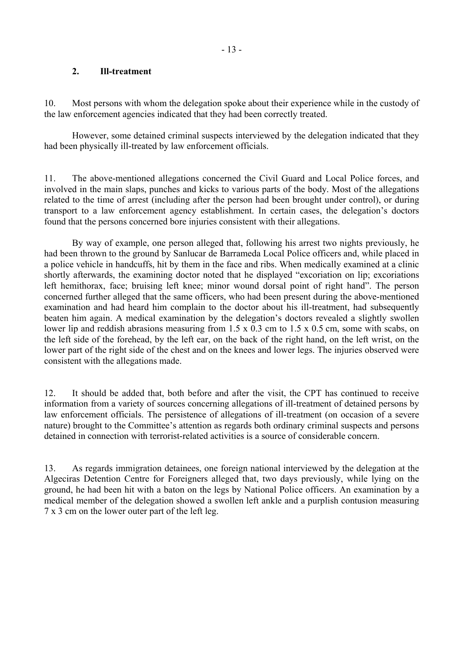### <span id="page-12-0"></span>**2. Ill-treatment**

10. Most persons with whom the delegation spoke about their experience while in the custody of the law enforcement agencies indicated that they had been correctly treated.

 However, some detained criminal suspects interviewed by the delegation indicated that they had been physically ill-treated by law enforcement officials.

11. The above-mentioned allegations concerned the Civil Guard and Local Police forces, and involved in the main slaps, punches and kicks to various parts of the body. Most of the allegations related to the time of arrest (including after the person had been brought under control), or during transport to a law enforcement agency establishment. In certain cases, the delegation's doctors found that the persons concerned bore injuries consistent with their allegations.

 By way of example, one person alleged that, following his arrest two nights previously, he had been thrown to the ground by Sanlucar de Barrameda Local Police officers and, while placed in a police vehicle in handcuffs, hit by them in the face and ribs. When medically examined at a clinic shortly afterwards, the examining doctor noted that he displayed "excoriation on lip; excoriations left hemithorax, face; bruising left knee; minor wound dorsal point of right hand". The person concerned further alleged that the same officers, who had been present during the above-mentioned examination and had heard him complain to the doctor about his ill-treatment, had subsequently beaten him again. A medical examination by the delegation's doctors revealed a slightly swollen lower lip and reddish abrasions measuring from 1.5 x 0.3 cm to 1.5 x 0.5 cm, some with scabs, on the left side of the forehead, by the left ear, on the back of the right hand, on the left wrist, on the lower part of the right side of the chest and on the knees and lower legs. The injuries observed were consistent with the allegations made.

12. It should be added that, both before and after the visit, the CPT has continued to receive information from a variety of sources concerning allegations of ill-treatment of detained persons by law enforcement officials. The persistence of allegations of ill-treatment (on occasion of a severe nature) brought to the Committee's attention as regards both ordinary criminal suspects and persons detained in connection with terrorist-related activities is a source of considerable concern.

13. As regards immigration detainees, one foreign national interviewed by the delegation at the Algeciras Detention Centre for Foreigners alleged that, two days previously, while lying on the ground, he had been hit with a baton on the legs by National Police officers. An examination by a medical member of the delegation showed a swollen left ankle and a purplish contusion measuring 7 x 3 cm on the lower outer part of the left leg.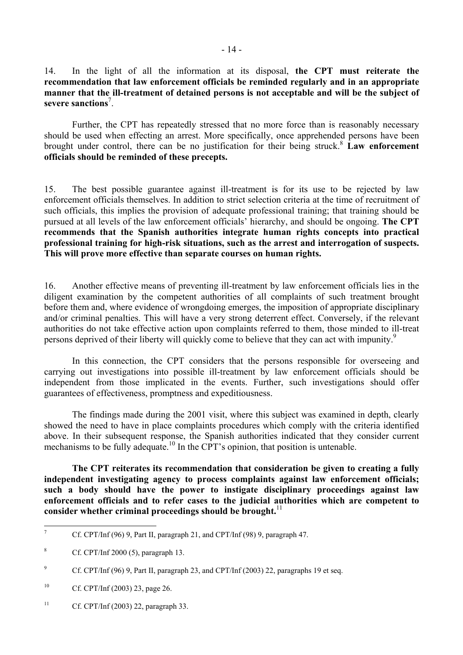14. In the light of all the information at its disposal, **the CPT must reiterate the recommendation that law enforcement officials be reminded regularly and in an appropriate manner that the ill-treatment of detained persons is not acceptable and will be the subject of severe sanctions**[7](#page-13-0) .

 Further, the CPT has repeatedly stressed that no more force than is reasonably necessary should be used when effecting an arrest. More specifically, once apprehended persons have been brought under control, there can be no justification for their being struck[.8](#page-13-1) **Law enforcement officials should be reminded of these precepts.** 

15. The best possible guarantee against ill-treatment is for its use to be rejected by law enforcement officials themselves. In addition to strict selection criteria at the time of recruitment of such officials, this implies the provision of adequate professional training; that training should be pursued at all levels of the law enforcement officials' hierarchy, and should be ongoing. **The CPT recommends that the Spanish authorities integrate human rights concepts into practical professional training for high-risk situations, such as the arrest and interrogation of suspects. This will prove more effective than separate courses on human rights.** 

16. Another effective means of preventing ill-treatment by law enforcement officials lies in the diligent examination by the competent authorities of all complaints of such treatment brought before them and, where evidence of wrongdoing emerges, the imposition of appropriate disciplinary and/or criminal penalties. This will have a very strong deterrent effect. Conversely, if the relevant authorities do not take effective action upon complaints referred to them, those minded to ill-treat persons deprived of their liberty will quickly come to believe that they can act with impunity.<sup>9</sup>

 In this connection, the CPT considers that the persons responsible for overseeing and carrying out investigations into possible ill-treatment by law enforcement officials should be independent from those implicated in the events. Further, such investigations should offer guarantees of effectiveness, promptness and expeditiousness.

 The findings made during the 2001 visit, where this subject was examined in depth, clearly showed the need to have in place complaints procedures which comply with the criteria identified above. In their subsequent response, the Spanish authorities indicated that they consider current mechanisms to be fully adequate.<sup>10</sup> In the CPT's opinion, that position is untenable.

 **The CPT reiterates its recommendation that consideration be given to creating a fully independent investigating agency to process complaints against law enforcement officials; such a body should have the power to instigate disciplinary proceedings against law enforcement officials and to refer cases to the judicial authorities which are competent to consider whether criminal proceedings should be brought.**[11](#page-13-4)

<span id="page-13-0"></span><sup>-&</sup>lt;br>7 Cf. CPT/Inf (96) 9, Part II, paragraph 21, and CPT/Inf (98) 9, paragraph 47.

<span id="page-13-1"></span><sup>8</sup> Cf. CPT/Inf 2000 (5), paragraph 13.

<span id="page-13-2"></span><sup>9</sup> Cf. CPT/Inf (96) 9, Part II, paragraph 23, and CPT/Inf (2003) 22, paragraphs 19 et seq.

<span id="page-13-3"></span><sup>&</sup>lt;sup>10</sup> Cf. CPT/Inf (2003) 23, page 26.

<span id="page-13-4"></span><sup>&</sup>lt;sup>11</sup> Cf. CPT/Inf (2003) 22, paragraph 33.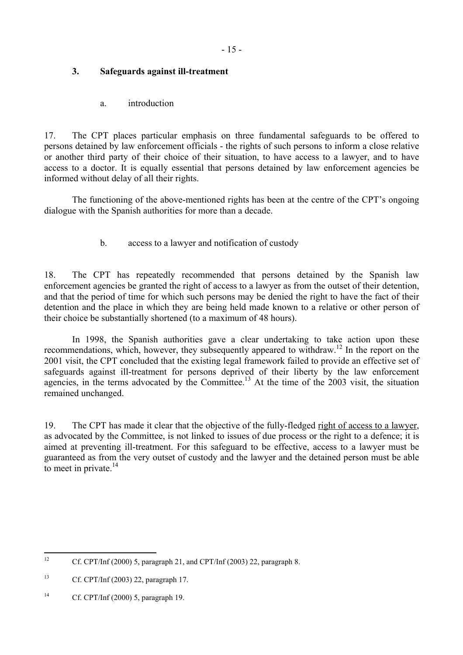# <span id="page-14-0"></span>**3. Safeguards against ill-treatment**

a. introduction

17. The CPT places particular emphasis on three fundamental safeguards to be offered to persons detained by law enforcement officials - the rights of such persons to inform a close relative or another third party of their choice of their situation, to have access to a lawyer, and to have access to a doctor. It is equally essential that persons detained by law enforcement agencies be informed without delay of all their rights.

 The functioning of the above-mentioned rights has been at the centre of the CPT's ongoing dialogue with the Spanish authorities for more than a decade.

b. access to a lawyer and notification of custody

18. The CPT has repeatedly recommended that persons detained by the Spanish law enforcement agencies be granted the right of access to a lawyer as from the outset of their detention, and that the period of time for which such persons may be denied the right to have the fact of their detention and the place in which they are being held made known to a relative or other person of their choice be substantially shortened (to a maximum of 48 hours).

 In 1998, the Spanish authorities gave a clear undertaking to take action upon these recommendations, which, however, they subsequently appeared to withdraw[.12](#page-14-1) In the report on the 2001 visit, the CPT concluded that the existing legal framework failed to provide an effective set of safeguards against ill-treatment for persons deprived of their liberty by the law enforcement agencies, in the terms advocated by the Committee.<sup>13</sup> At the time of the  $2003$  visit, the situation remained unchanged.

19. The CPT has made it clear that the objective of the fully-fledged right of access to a lawyer, as advocated by the Committee, is not linked to issues of due process or the right to a defence; it is aimed at preventing ill-treatment. For this safeguard to be effective, access to a lawyer must be guaranteed as from the very outset of custody and the lawyer and the detained person must be able to meet in private. $^{14}$ 

<span id="page-14-1"></span> $12$ Cf. CPT/Inf  $(2000)$  5, paragraph 21, and CPT/Inf  $(2003)$  22, paragraph 8.

<span id="page-14-2"></span><sup>13</sup> Cf. CPT/Inf (2003) 22, paragraph 17.

<span id="page-14-3"></span><sup>14</sup> Cf. CPT/Inf (2000) 5, paragraph 19.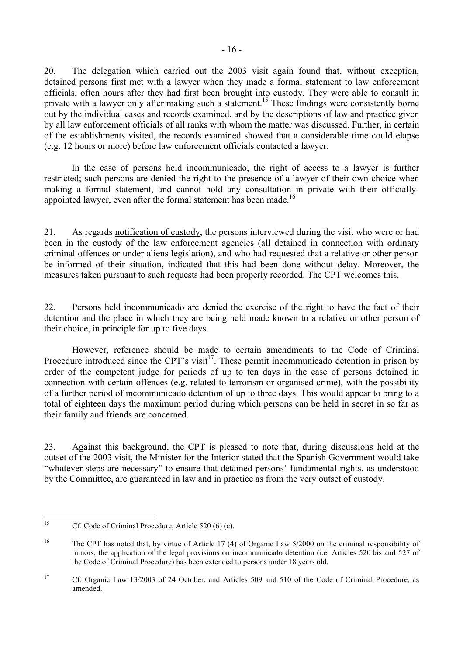20. The delegation which carried out the 2003 visit again found that, without exception, detained persons first met with a lawyer when they made a formal statement to law enforcement officials, often hours after they had first been brought into custody. They were able to consult in private with a lawyer only after making such a statement.<sup>15</sup> These findings were consistently borne out by the individual cases and records examined, and by the descriptions of law and practice given by all law enforcement officials of all ranks with whom the matter was discussed. Further, in certain of the establishments visited, the records examined showed that a considerable time could elapse (e.g. 12 hours or more) before law enforcement officials contacted a lawyer.

In the case of persons held incommunicado, the right of access to a lawyer is further restricted; such persons are denied the right to the presence of a lawyer of their own choice when making a formal statement, and cannot hold any consultation in private with their officiallyappointed lawyer, even after the formal statement has been made.<sup>16</sup>

21. As regards notification of custody, the persons interviewed during the visit who were or had been in the custody of the law enforcement agencies (all detained in connection with ordinary criminal offences or under aliens legislation), and who had requested that a relative or other person be informed of their situation, indicated that this had been done without delay. Moreover, the measures taken pursuant to such requests had been properly recorded. The CPT welcomes this.

22. Persons held incommunicado are denied the exercise of the right to have the fact of their detention and the place in which they are being held made known to a relative or other person of their choice, in principle for up to five days.

 However, reference should be made to certain amendments to the Code of Criminal Procedure introduced since the CPT's visit<sup>17</sup>. These permit incommunicado detention in prison by order of the competent judge for periods of up to ten days in the case of persons detained in connection with certain offences (e.g. related to terrorism or organised crime), with the possibility of a further period of incommunicado detention of up to three days. This would appear to bring to a total of eighteen days the maximum period during which persons can be held in secret in so far as their family and friends are concerned.

23. Against this background, the CPT is pleased to note that, during discussions held at the outset of the 2003 visit, the Minister for the Interior stated that the Spanish Government would take "whatever steps are necessary" to ensure that detained persons' fundamental rights, as understood by the Committee, are guaranteed in law and in practice as from the very outset of custody.

<span id="page-15-0"></span><sup>15</sup> Cf. Code of Criminal Procedure, Article 520 (6) (c).

<span id="page-15-1"></span><sup>&</sup>lt;sup>16</sup> The CPT has noted that, by virtue of Article 17 (4) of Organic Law 5/2000 on the criminal responsibility of minors, the application of the legal provisions on incommunicado detention (i.e. Articles 520 bis and 527 of the Code of Criminal Procedure) has been extended to persons under 18 years old.

<span id="page-15-2"></span><sup>17</sup> Cf. Organic Law 13/2003 of 24 October, and Articles 509 and 510 of the Code of Criminal Procedure, as amended.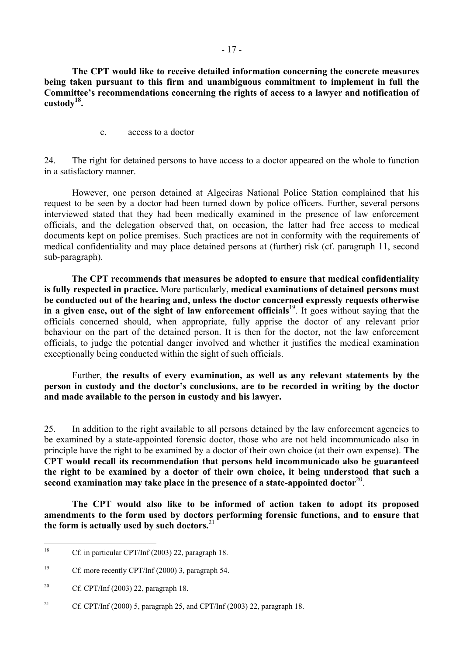<span id="page-16-0"></span> **The CPT would like to receive detailed information concerning the concrete measures being taken pursuant to this firm and unambiguous commitment to implement in full the Committee's recommendations concerning the rights of access to a lawyer and notification of custody[18.](#page-16-1)** 

c. access to a doctor

24. The right for detained persons to have access to a doctor appeared on the whole to function in a satisfactory manner.

 However, one person detained at Algeciras National Police Station complained that his request to be seen by a doctor had been turned down by police officers. Further, several persons interviewed stated that they had been medically examined in the presence of law enforcement officials, and the delegation observed that, on occasion, the latter had free access to medical documents kept on police premises. Such practices are not in conformity with the requirements of medical confidentiality and may place detained persons at (further) risk (cf. paragraph 11, second sub-paragraph).

**The CPT recommends that measures be adopted to ensure that medical confidentiality is fully respected in practice.** More particularly, **medical examinations of detained persons must be conducted out of the hearing and, unless the doctor concerned expressly requests otherwise**  in a given case, out of the sight of law enforcement officials<sup>19</sup>. It goes without saying that the officials concerned should, when appropriate, fully apprise the doctor of any relevant prior behaviour on the part of the detained person. It is then for the doctor, not the law enforcement officials, to judge the potential danger involved and whether it justifies the medical examination exceptionally being conducted within the sight of such officials.

 Further, **the results of every examination, as well as any relevant statements by the person in custody and the doctor's conclusions, are to be recorded in writing by the doctor and made available to the person in custody and his lawyer.**

25. In addition to the right available to all persons detained by the law enforcement agencies to be examined by a state-appointed forensic doctor, those who are not held incommunicado also in principle have the right to be examined by a doctor of their own choice (at their own expense). **The CPT would recall its recommendation that persons held incommunicado also be guaranteed the right to be examined by a doctor of their own choice, it being understood that such a second examination may take place in the presence of a state-appointed doctor**[20.](#page-16-3)

**The CPT would also like to be informed of action taken to adopt its proposed amendments to the form used by doctors performing forensic functions, and to ensure that the form is actually used by such doctors.**[21](#page-16-4)

<span id="page-16-1"></span><sup>18</sup> Cf. in particular CPT/Inf (2003) 22, paragraph 18.

<span id="page-16-2"></span><sup>19</sup> Cf. more recently CPT/Inf (2000) 3, paragraph 54.

<span id="page-16-3"></span><sup>&</sup>lt;sup>20</sup> Cf. CPT/Inf (2003) 22, paragraph 18.

<span id="page-16-4"></span><sup>&</sup>lt;sup>21</sup> Cf. CPT/Inf (2000) 5, paragraph 25, and CPT/Inf (2003) 22, paragraph 18.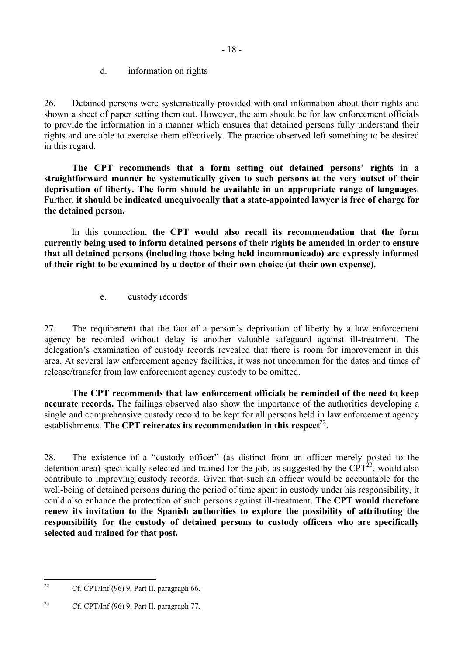d. information on rights

<span id="page-17-0"></span>26. Detained persons were systematically provided with oral information about their rights and shown a sheet of paper setting them out. However, the aim should be for law enforcement officials to provide the information in a manner which ensures that detained persons fully understand their rights and are able to exercise them effectively. The practice observed left something to be desired in this regard.

**The CPT recommends that a form setting out detained persons' rights in a straightforward manner be systematically given to such persons at the very outset of their deprivation of liberty. The form should be available in an appropriate range of languages**. Further, **it should be indicated unequivocally that a state-appointed lawyer is free of charge for the detained person.** 

In this connection, **the CPT would also recall its recommendation that the form currently being used to inform detained persons of their rights be amended in order to ensure that all detained persons (including those being held incommunicado) are expressly informed of their right to be examined by a doctor of their own choice (at their own expense).**

e. custody records

27. The requirement that the fact of a person's deprivation of liberty by a law enforcement agency be recorded without delay is another valuable safeguard against ill-treatment. The delegation's examination of custody records revealed that there is room for improvement in this area. At several law enforcement agency facilities, it was not uncommon for the dates and times of release/transfer from law enforcement agency custody to be omitted.

**The CPT recommends that law enforcement officials be reminded of the need to keep accurate records.** The failings observed also show the importance of the authorities developing a single and comprehensive custody record to be kept for all persons held in law enforcement agency establishments. **The CPT reiterates its recommendation in this respect**<sup>22</sup>.

28. The existence of a "custody officer" (as distinct from an officer merely posted to the detention area) specifically selected and trained for the job, as suggested by the  $CPT<sup>23</sup>$ , would also contribute to improving custody records. Given that such an officer would be accountable for the well-being of detained persons during the period of time spent in custody under his responsibility, it could also enhance the protection of such persons against ill-treatment. **The CPT would therefore renew its invitation to the Spanish authorities to explore the possibility of attributing the responsibility for the custody of detained persons to custody officers who are specifically selected and trained for that post.**

<span id="page-17-1"></span> $22$ Cf. CPT/Inf (96) 9, Part II, paragraph 66.

<span id="page-17-2"></span><sup>&</sup>lt;sup>23</sup> Cf. CPT/Inf (96) 9, Part II, paragraph 77.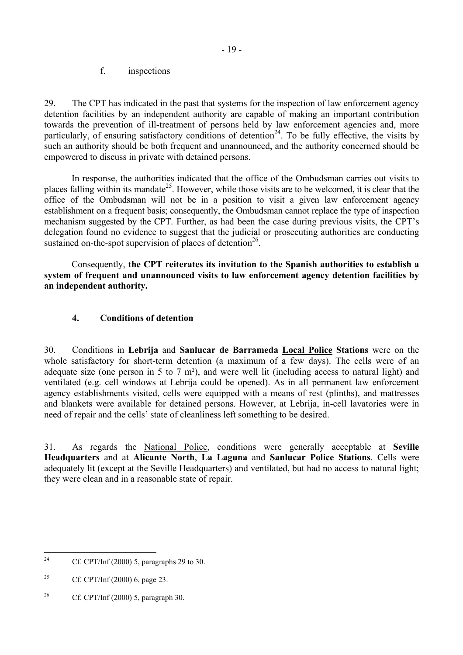#### f. inspections

<span id="page-18-0"></span>29. The CPT has indicated in the past that systems for the inspection of law enforcement agency detention facilities by an independent authority are capable of making an important contribution towards the prevention of ill-treatment of persons held by law enforcement agencies and, more particularly, of ensuring satisfactory conditions of detention<sup>24</sup>. To be fully effective, the visits by such an authority should be both frequent and unannounced, and the authority concerned should be empowered to discuss in private with detained persons.

In response, the authorities indicated that the office of the Ombudsman carries out visits to places falling within its mandate<sup>25</sup>. However, while those visits are to be welcomed, it is clear that the office of the Ombudsman will not be in a position to visit a given law enforcement agency establishment on a frequent basis; consequently, the Ombudsman cannot replace the type of inspection mechanism suggested by the CPT. Further, as had been the case during previous visits, the CPT's delegation found no evidence to suggest that the judicial or prosecuting authorities are conducting sustained on-the-spot supervision of places of detention<sup>26</sup>.

Consequently, **the CPT reiterates its invitation to the Spanish authorities to establish a system of frequent and unannounced visits to law enforcement agency detention facilities by an independent authority.** 

### **4. Conditions of detention**

30. Conditions in **Lebrija** and **Sanlucar de Barrameda Local Police Stations** were on the whole satisfactory for short-term detention (a maximum of a few days). The cells were of an adequate size (one person in 5 to 7 m²), and were well lit (including access to natural light) and ventilated (e.g. cell windows at Lebrija could be opened). As in all permanent law enforcement agency establishments visited, cells were equipped with a means of rest (plinths), and mattresses and blankets were available for detained persons. However, at Lebrija, in-cell lavatories were in need of repair and the cells' state of cleanliness left something to be desired.

31. As regards the National Police, conditions were generally acceptable at **Seville Headquarters** and at **Alicante North**, **La Laguna** and **Sanlucar Police Stations**. Cells were adequately lit (except at the Seville Headquarters) and ventilated, but had no access to natural light; they were clean and in a reasonable state of repair.

<span id="page-18-1"></span> $24$ Cf. CPT/Inf  $(2000)$  5, paragraphs 29 to 30.

<span id="page-18-2"></span><sup>&</sup>lt;sup>25</sup> Cf. CPT/Inf (2000) 6, page 23.

<span id="page-18-3"></span><sup>&</sup>lt;sup>26</sup> Cf. CPT/Inf (2000) 5, paragraph 30.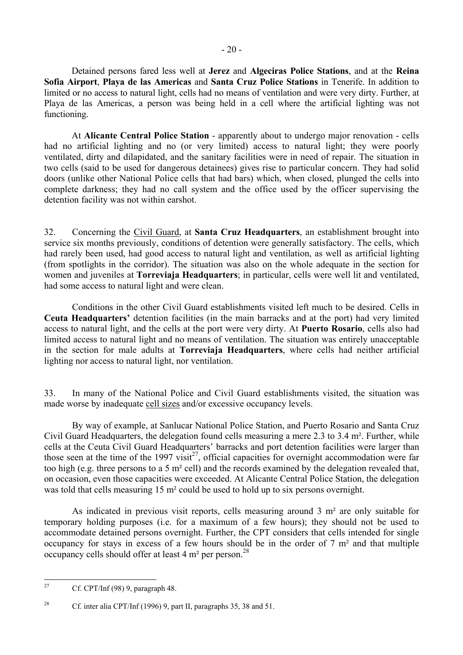$-20-$ 

Detained persons fared less well at **Jerez** and **Algeciras Police Stations**, and at the **Reina Sofia Airport**, **Playa de las Americas** and **Santa Cruz Police Stations** in Tenerife. In addition to limited or no access to natural light, cells had no means of ventilation and were very dirty. Further, at Playa de las Americas, a person was being held in a cell where the artificial lighting was not functioning.

At **Alicante Central Police Station** - apparently about to undergo major renovation - cells had no artificial lighting and no (or very limited) access to natural light; they were poorly ventilated, dirty and dilapidated, and the sanitary facilities were in need of repair. The situation in two cells (said to be used for dangerous detainees) gives rise to particular concern. They had solid doors (unlike other National Police cells that had bars) which, when closed, plunged the cells into complete darkness; they had no call system and the office used by the officer supervising the detention facility was not within earshot.

32. Concerning the Civil Guard, at **Santa Cruz Headquarters**, an establishment brought into service six months previously, conditions of detention were generally satisfactory. The cells, which had rarely been used, had good access to natural light and ventilation, as well as artificial lighting (from spotlights in the corridor). The situation was also on the whole adequate in the section for women and juveniles at **Torreviaja Headquarters**; in particular, cells were well lit and ventilated, had some access to natural light and were clean.

 Conditions in the other Civil Guard establishments visited left much to be desired. Cells in **Ceuta Headquarters'** detention facilities (in the main barracks and at the port) had very limited access to natural light, and the cells at the port were very dirty. At **Puerto Rosario**, cells also had limited access to natural light and no means of ventilation. The situation was entirely unacceptable in the section for male adults at **Torreviaja Headquarters**, where cells had neither artificial lighting nor access to natural light, nor ventilation.

33. In many of the National Police and Civil Guard establishments visited, the situation was made worse by inadequate cell sizes and/or excessive occupancy levels.

 By way of example, at Sanlucar National Police Station, and Puerto Rosario and Santa Cruz Civil Guard Headquarters, the delegation found cells measuring a mere 2.3 to 3.4 m². Further, while cells at the Ceuta Civil Guard Headquarters' barracks and port detention facilities were larger than those seen at the time of the 1997 visit<sup>27</sup>, official capacities for overnight accommodation were far too high (e.g. three persons to a 5 m² cell) and the records examined by the delegation revealed that, on occasion, even those capacities were exceeded. At Alicante Central Police Station, the delegation was told that cells measuring 15 m<sup>2</sup> could be used to hold up to six persons overnight.

 As indicated in previous visit reports, cells measuring around 3 m² are only suitable for temporary holding purposes (i.e. for a maximum of a few hours); they should not be used to accommodate detained persons overnight. Further, the CPT considers that cells intended for single occupancy for stays in excess of a few hours should be in the order of 7 m² and that multiple occupancy cells should offer at least  $4 \text{ m}^2$  per person.<sup>28</sup>

<span id="page-19-0"></span> $27$ 27 Cf. CPT/Inf (98) 9, paragraph 48.

<span id="page-19-1"></span><sup>&</sup>lt;sup>28</sup> Cf. inter alia CPT/Inf (1996) 9, part II, paragraphs 35, 38 and 51.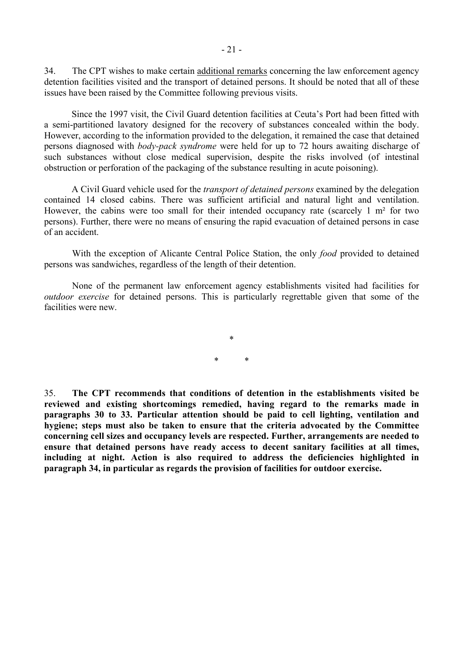34. The CPT wishes to make certain additional remarks concerning the law enforcement agency detention facilities visited and the transport of detained persons. It should be noted that all of these issues have been raised by the Committee following previous visits.

Since the 1997 visit, the Civil Guard detention facilities at Ceuta's Port had been fitted with a semi-partitioned lavatory designed for the recovery of substances concealed within the body. However, according to the information provided to the delegation, it remained the case that detained persons diagnosed with *body-pack syndrome* were held for up to 72 hours awaiting discharge of such substances without close medical supervision, despite the risks involved (of intestinal obstruction or perforation of the packaging of the substance resulting in acute poisoning).

A Civil Guard vehicle used for the *transport of detained persons* examined by the delegation contained 14 closed cabins. There was sufficient artificial and natural light and ventilation. However, the cabins were too small for their intended occupancy rate (scarcely 1 m<sup>2</sup> for two persons). Further, there were no means of ensuring the rapid evacuation of detained persons in case of an accident.

 With the exception of Alicante Central Police Station, the only *food* provided to detained persons was sandwiches, regardless of the length of their detention.

 None of the permanent law enforcement agency establishments visited had facilities for *outdoor exercise* for detained persons. This is particularly regrettable given that some of the facilities were new.

> \* \* \*

35. **The CPT recommends that conditions of detention in the establishments visited be reviewed and existing shortcomings remedied, having regard to the remarks made in paragraphs 30 to 33. Particular attention should be paid to cell lighting, ventilation and hygiene; steps must also be taken to ensure that the criteria advocated by the Committee concerning cell sizes and occupancy levels are respected. Further, arrangements are needed to ensure that detained persons have ready access to decent sanitary facilities at all times, including at night. Action is also required to address the deficiencies highlighted in paragraph 34, in particular as regards the provision of facilities for outdoor exercise.**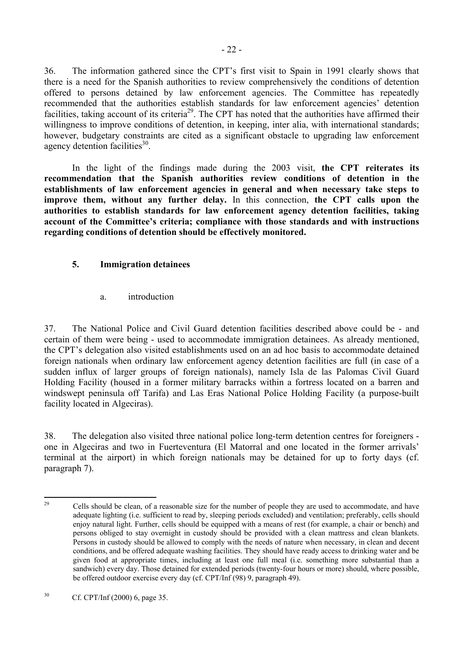<span id="page-21-0"></span>36. The information gathered since the CPT's first visit to Spain in 1991 clearly shows that there is a need for the Spanish authorities to review comprehensively the conditions of detention offered to persons detained by law enforcement agencies. The Committee has repeatedly recommended that the authorities establish standards for law enforcement agencies' detention facilities, taking account of its criteria<sup>29</sup>. The CPT has noted that the authorities have affirmed their willingness to improve conditions of detention, in keeping, inter alia, with international standards; however, budgetary constraints are cited as a significant obstacle to upgrading law enforcement agency detention facilities $30<sup>30</sup>$ .

 In the light of the findings made during the 2003 visit, **the CPT reiterates its recommendation that the Spanish authorities review conditions of detention in the establishments of law enforcement agencies in general and when necessary take steps to improve them, without any further delay.** In this connection, **the CPT calls upon the authorities to establish standards for law enforcement agency detention facilities, taking account of the Committee's criteria; compliance with those standards and with instructions regarding conditions of detention should be effectively monitored.** 

### **5. Immigration detainees**

a. introduction

37. The National Police and Civil Guard detention facilities described above could be - and certain of them were being - used to accommodate immigration detainees. As already mentioned, the CPT's delegation also visited establishments used on an ad hoc basis to accommodate detained foreign nationals when ordinary law enforcement agency detention facilities are full (in case of a sudden influx of larger groups of foreign nationals), namely Isla de las Palomas Civil Guard Holding Facility (housed in a former military barracks within a fortress located on a barren and windswept peninsula off Tarifa) and Las Eras National Police Holding Facility (a purpose-built facility located in Algeciras).

38. The delegation also visited three national police long-term detention centres for foreigners one in Algeciras and two in Fuerteventura (El Matorral and one located in the former arrivals' terminal at the airport) in which foreign nationals may be detained for up to forty days (cf. paragraph 7).

<span id="page-21-1"></span> $29$ 29 Cells should be clean, of a reasonable size for the number of people they are used to accommodate, and have adequate lighting (i.e. sufficient to read by, sleeping periods excluded) and ventilation; preferably, cells should enjoy natural light. Further, cells should be equipped with a means of rest (for example, a chair or bench) and persons obliged to stay overnight in custody should be provided with a clean mattress and clean blankets. Persons in custody should be allowed to comply with the needs of nature when necessary, in clean and decent conditions, and be offered adequate washing facilities. They should have ready access to drinking water and be given food at appropriate times, including at least one full meal (i.e. something more substantial than a sandwich) every day. Those detained for extended periods (twenty-four hours or more) should, where possible, be offered outdoor exercise every day (cf. CPT/Inf (98) 9, paragraph 49).

<span id="page-21-2"></span><sup>30</sup> Cf. CPT/Inf (2000) 6, page 35.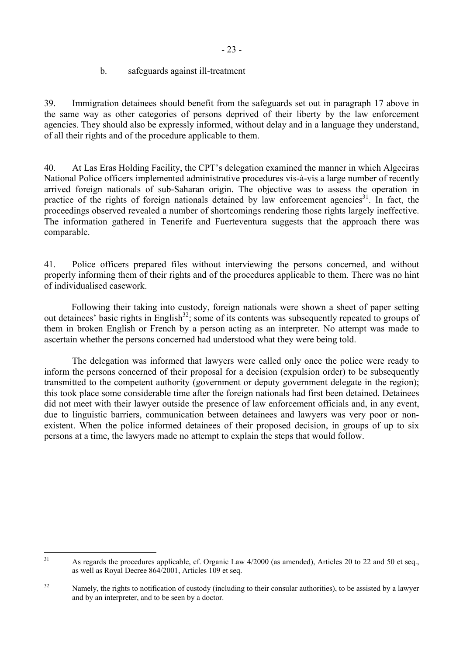### b. safeguards against ill-treatment

<span id="page-22-0"></span>39. Immigration detainees should benefit from the safeguards set out in paragraph 17 above in the same way as other categories of persons deprived of their liberty by the law enforcement agencies. They should also be expressly informed, without delay and in a language they understand, of all their rights and of the procedure applicable to them.

40. At Las Eras Holding Facility, the CPT's delegation examined the manner in which Algeciras National Police officers implemented administrative procedures vis-à-vis a large number of recently arrived foreign nationals of sub-Saharan origin. The objective was to assess the operation in practice of the rights of foreign nationals detained by law enforcement agencies<sup>31</sup>. In fact, the proceedings observed revealed a number of shortcomings rendering those rights largely ineffective. The information gathered in Tenerife and Fuerteventura suggests that the approach there was comparable.

41. Police officers prepared files without interviewing the persons concerned, and without properly informing them of their rights and of the procedures applicable to them. There was no hint of individualised casework.

Following their taking into custody, foreign nationals were shown a sheet of paper setting out detainees' basic rights in English<sup>32</sup>; some of its contents was subsequently repeated to groups of them in broken English or French by a person acting as an interpreter. No attempt was made to ascertain whether the persons concerned had understood what they were being told.

 The delegation was informed that lawyers were called only once the police were ready to inform the persons concerned of their proposal for a decision (expulsion order) to be subsequently transmitted to the competent authority (government or deputy government delegate in the region); this took place some considerable time after the foreign nationals had first been detained. Detainees did not meet with their lawyer outside the presence of law enforcement officials and, in any event, due to linguistic barriers, communication between detainees and lawyers was very poor or nonexistent. When the police informed detainees of their proposed decision, in groups of up to six persons at a time, the lawyers made no attempt to explain the steps that would follow.

<span id="page-22-1"></span> $31$ 31 As regards the procedures applicable, cf. Organic Law 4/2000 (as amended), Articles 20 to 22 and 50 et seq., as well as Royal Decree 864/2001, Articles 109 et seq.

<span id="page-22-2"></span><sup>&</sup>lt;sup>32</sup> Namely, the rights to notification of custody (including to their consular authorities), to be assisted by a lawyer and by an interpreter, and to be seen by a doctor.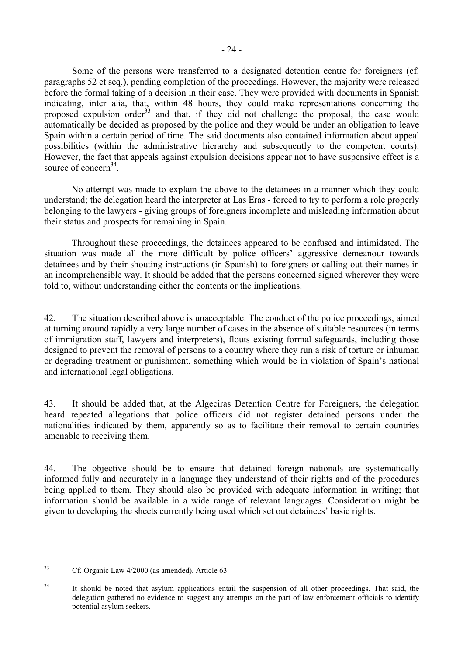Some of the persons were transferred to a designated detention centre for foreigners (cf. paragraphs 52 et seq.), pending completion of the proceedings. However, the majority were released before the formal taking of a decision in their case. They were provided with documents in Spanish indicating, inter alia, that, within 48 hours, they could make representations concerning the proposed expulsion order<sup>33</sup> and that, if they did not challenge the proposal, the case would automatically be decided as proposed by the police and they would be under an obligation to leave Spain within a certain period of time. The said documents also contained information about appeal possibilities (within the administrative hierarchy and subsequently to the competent courts). However, the fact that appeals against expulsion decisions appear not to have suspensive effect is a source of concern<sup>34</sup>

No attempt was made to explain the above to the detainees in a manner which they could understand; the delegation heard the interpreter at Las Eras - forced to try to perform a role properly belonging to the lawyers - giving groups of foreigners incomplete and misleading information about their status and prospects for remaining in Spain.

Throughout these proceedings, the detainees appeared to be confused and intimidated. The situation was made all the more difficult by police officers' aggressive demeanour towards detainees and by their shouting instructions (in Spanish) to foreigners or calling out their names in an incomprehensible way. It should be added that the persons concerned signed wherever they were told to, without understanding either the contents or the implications.

42. The situation described above is unacceptable. The conduct of the police proceedings, aimed at turning around rapidly a very large number of cases in the absence of suitable resources (in terms of immigration staff, lawyers and interpreters), flouts existing formal safeguards, including those designed to prevent the removal of persons to a country where they run a risk of torture or inhuman or degrading treatment or punishment, something which would be in violation of Spain's national and international legal obligations.

43. It should be added that, at the Algeciras Detention Centre for Foreigners, the delegation heard repeated allegations that police officers did not register detained persons under the nationalities indicated by them, apparently so as to facilitate their removal to certain countries amenable to receiving them.

44. The objective should be to ensure that detained foreign nationals are systematically informed fully and accurately in a language they understand of their rights and of the procedures being applied to them. They should also be provided with adequate information in writing; that information should be available in a wide range of relevant languages. Consideration might be given to developing the sheets currently being used which set out detainees' basic rights.

<span id="page-23-0"></span> $33$ Cf. Organic Law 4/2000 (as amended), Article 63.

<span id="page-23-1"></span><sup>&</sup>lt;sup>34</sup> It should be noted that asylum applications entail the suspension of all other proceedings. That said, the delegation gathered no evidence to suggest any attempts on the part of law enforcement officials to identify potential asylum seekers.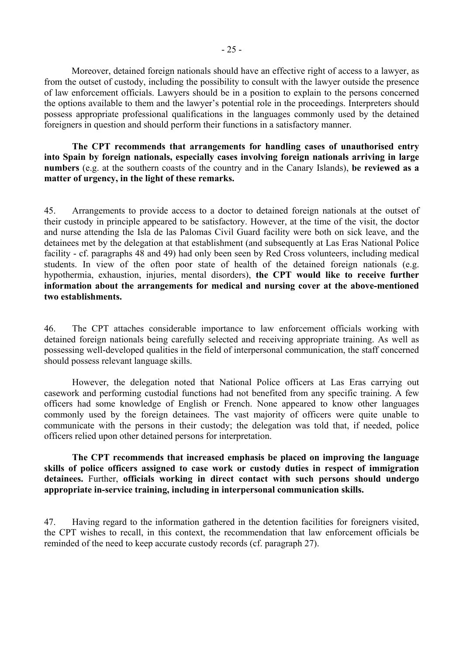Moreover, detained foreign nationals should have an effective right of access to a lawyer, as from the outset of custody, including the possibility to consult with the lawyer outside the presence of law enforcement officials. Lawyers should be in a position to explain to the persons concerned the options available to them and the lawyer's potential role in the proceedings. Interpreters should possess appropriate professional qualifications in the languages commonly used by the detained foreigners in question and should perform their functions in a satisfactory manner.

**The CPT recommends that arrangements for handling cases of unauthorised entry into Spain by foreign nationals, especially cases involving foreign nationals arriving in large numbers** (e.g. at the southern coasts of the country and in the Canary Islands), **be reviewed as a matter of urgency, in the light of these remarks.** 

45. Arrangements to provide access to a doctor to detained foreign nationals at the outset of their custody in principle appeared to be satisfactory. However, at the time of the visit, the doctor and nurse attending the Isla de las Palomas Civil Guard facility were both on sick leave, and the detainees met by the delegation at that establishment (and subsequently at Las Eras National Police facility - cf. paragraphs 48 and 49) had only been seen by Red Cross volunteers, including medical students. In view of the often poor state of health of the detained foreign nationals (e.g. hypothermia, exhaustion, injuries, mental disorders), **the CPT would like to receive further information about the arrangements for medical and nursing cover at the above-mentioned two establishments.** 

46. The CPT attaches considerable importance to law enforcement officials working with detained foreign nationals being carefully selected and receiving appropriate training. As well as possessing well-developed qualities in the field of interpersonal communication, the staff concerned should possess relevant language skills.

 However, the delegation noted that National Police officers at Las Eras carrying out casework and performing custodial functions had not benefited from any specific training. A few officers had some knowledge of English or French. None appeared to know other languages commonly used by the foreign detainees. The vast majority of officers were quite unable to communicate with the persons in their custody; the delegation was told that, if needed, police officers relied upon other detained persons for interpretation.

**The CPT recommends that increased emphasis be placed on improving the language skills of police officers assigned to case work or custody duties in respect of immigration detainees.** Further, **officials working in direct contact with such persons should undergo appropriate in-service training, including in interpersonal communication skills.** 

47. Having regard to the information gathered in the detention facilities for foreigners visited, the CPT wishes to recall, in this context, the recommendation that law enforcement officials be reminded of the need to keep accurate custody records (cf. paragraph 27).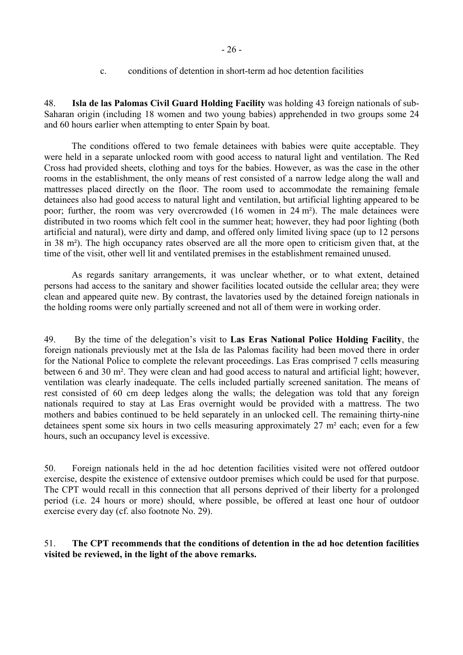c. conditions of detention in short-term ad hoc detention facilities

<span id="page-25-0"></span>48. **Isla de las Palomas Civil Guard Holding Facility** was holding 43 foreign nationals of sub-Saharan origin (including 18 women and two young babies) apprehended in two groups some 24 and 60 hours earlier when attempting to enter Spain by boat.

The conditions offered to two female detainees with babies were quite acceptable. They were held in a separate unlocked room with good access to natural light and ventilation. The Red Cross had provided sheets, clothing and toys for the babies. However, as was the case in the other rooms in the establishment, the only means of rest consisted of a narrow ledge along the wall and mattresses placed directly on the floor. The room used to accommodate the remaining female detainees also had good access to natural light and ventilation, but artificial lighting appeared to be poor; further, the room was very overcrowded (16 women in 24 m²). The male detainees were distributed in two rooms which felt cool in the summer heat; however, they had poor lighting (both artificial and natural), were dirty and damp, and offered only limited living space (up to 12 persons in 38 m²). The high occupancy rates observed are all the more open to criticism given that, at the time of the visit, other well lit and ventilated premises in the establishment remained unused.

As regards sanitary arrangements, it was unclear whether, or to what extent, detained persons had access to the sanitary and shower facilities located outside the cellular area; they were clean and appeared quite new. By contrast, the lavatories used by the detained foreign nationals in the holding rooms were only partially screened and not all of them were in working order.

49. By the time of the delegation's visit to **Las Eras National Police Holding Facility**, the foreign nationals previously met at the Isla de las Palomas facility had been moved there in order for the National Police to complete the relevant proceedings. Las Eras comprised 7 cells measuring between 6 and 30 m². They were clean and had good access to natural and artificial light; however, ventilation was clearly inadequate. The cells included partially screened sanitation. The means of rest consisted of 60 cm deep ledges along the walls; the delegation was told that any foreign nationals required to stay at Las Eras overnight would be provided with a mattress. The two mothers and babies continued to be held separately in an unlocked cell. The remaining thirty-nine detainees spent some six hours in two cells measuring approximately 27 m² each; even for a few hours, such an occupancy level is excessive.

50. Foreign nationals held in the ad hoc detention facilities visited were not offered outdoor exercise, despite the existence of extensive outdoor premises which could be used for that purpose. The CPT would recall in this connection that all persons deprived of their liberty for a prolonged period (i.e. 24 hours or more) should, where possible, be offered at least one hour of outdoor exercise every day (cf. also footnote No. 29).

### 51. **The CPT recommends that the conditions of detention in the ad hoc detention facilities visited be reviewed, in the light of the above remarks.**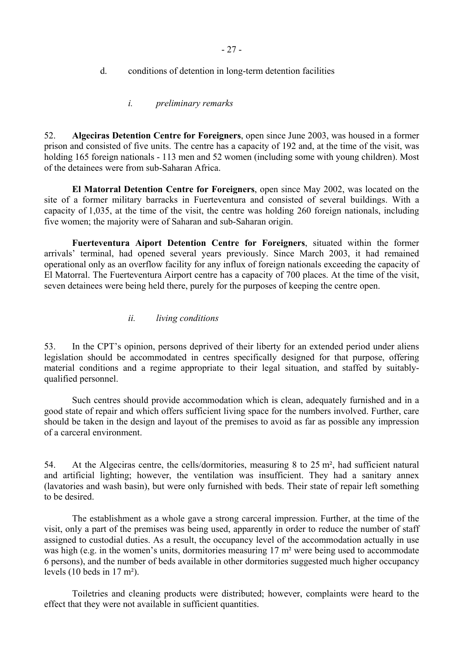- <span id="page-26-0"></span>d. conditions of detention in long-term detention facilities
	- *i. preliminary remarks*

52. **Algeciras Detention Centre for Foreigners**, open since June 2003, was housed in a former prison and consisted of five units. The centre has a capacity of 192 and, at the time of the visit, was holding 165 foreign nationals - 113 men and 52 women (including some with young children). Most of the detainees were from sub-Saharan Africa.

**El Matorral Detention Centre for Foreigners**, open since May 2002, was located on the site of a former military barracks in Fuerteventura and consisted of several buildings. With a capacity of 1,035, at the time of the visit, the centre was holding 260 foreign nationals, including five women; the majority were of Saharan and sub-Saharan origin.

**Fuerteventura Aiport Detention Centre for Foreigners**, situated within the former arrivals' terminal, had opened several years previously. Since March 2003, it had remained operational only as an overflow facility for any influx of foreign nationals exceeding the capacity of El Matorral. The Fuerteventura Airport centre has a capacity of 700 places. At the time of the visit, seven detainees were being held there, purely for the purposes of keeping the centre open.

### *ii. living conditions*

53. In the CPT's opinion, persons deprived of their liberty for an extended period under aliens legislation should be accommodated in centres specifically designed for that purpose, offering material conditions and a regime appropriate to their legal situation, and staffed by suitablyqualified personnel.

 Such centres should provide accommodation which is clean, adequately furnished and in a good state of repair and which offers sufficient living space for the numbers involved. Further, care should be taken in the design and layout of the premises to avoid as far as possible any impression of a carceral environment.

54. At the Algeciras centre, the cells/dormitories, measuring 8 to 25 m², had sufficient natural and artificial lighting; however, the ventilation was insufficient. They had a sanitary annex (lavatories and wash basin), but were only furnished with beds. Their state of repair left something to be desired.

 The establishment as a whole gave a strong carceral impression. Further, at the time of the visit, only a part of the premises was being used, apparently in order to reduce the number of staff assigned to custodial duties. As a result, the occupancy level of the accommodation actually in use was high (e.g. in the women's units, dormitories measuring 17 m<sup>2</sup> were being used to accommodate 6 persons), and the number of beds available in other dormitories suggested much higher occupancy levels (10 beds in 17 m²).

 Toiletries and cleaning products were distributed; however, complaints were heard to the effect that they were not available in sufficient quantities.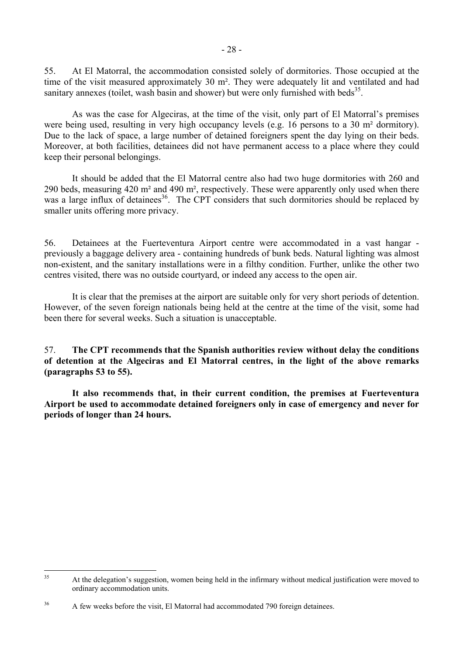55. At El Matorral, the accommodation consisted solely of dormitories. Those occupied at the time of the visit measured approximately 30 m². They were adequately lit and ventilated and had sanitary annexes (toilet, wash basin and shower) but were only furnished with beds<sup>35</sup>.

 As was the case for Algeciras, at the time of the visit, only part of El Matorral's premises were being used, resulting in very high occupancy levels (e.g. 16 persons to a 30 m² dormitory). Due to the lack of space, a large number of detained foreigners spent the day lying on their beds. Moreover, at both facilities, detainees did not have permanent access to a place where they could keep their personal belongings.

 It should be added that the El Matorral centre also had two huge dormitories with 260 and 290 beds, measuring 420 m² and 490 m², respectively. These were apparently only used when there was a large influx of detainees<sup>36</sup>. The CPT considers that such dormitories should be replaced by smaller units offering more privacy.

56. Detainees at the Fuerteventura Airport centre were accommodated in a vast hangar previously a baggage delivery area - containing hundreds of bunk beds. Natural lighting was almost non-existent, and the sanitary installations were in a filthy condition. Further, unlike the other two centres visited, there was no outside courtyard, or indeed any access to the open air.

It is clear that the premises at the airport are suitable only for very short periods of detention. However, of the seven foreign nationals being held at the centre at the time of the visit, some had been there for several weeks. Such a situation is unacceptable.

57. **The CPT recommends that the Spanish authorities review without delay the conditions of detention at the Algeciras and El Matorral centres, in the light of the above remarks (paragraphs 53 to 55).** 

 **It also recommends that, in their current condition, the premises at Fuerteventura Airport be used to accommodate detained foreigners only in case of emergency and never for periods of longer than 24 hours.** 

<span id="page-27-0"></span> $35$ 35 At the delegation's suggestion, women being held in the infirmary without medical justification were moved to ordinary accommodation units.

<span id="page-27-1"></span><sup>&</sup>lt;sup>36</sup> A few weeks before the visit, El Matorral had accommodated 790 foreign detainees.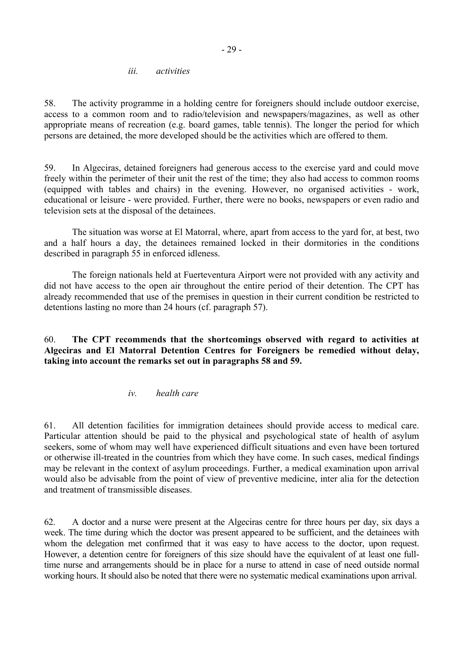#### *iii. activities*

<span id="page-28-0"></span>58. The activity programme in a holding centre for foreigners should include outdoor exercise, access to a common room and to radio/television and newspapers/magazines, as well as other appropriate means of recreation (e.g. board games, table tennis). The longer the period for which persons are detained, the more developed should be the activities which are offered to them.

59. In Algeciras, detained foreigners had generous access to the exercise yard and could move freely within the perimeter of their unit the rest of the time; they also had access to common rooms (equipped with tables and chairs) in the evening. However, no organised activities - work, educational or leisure - were provided. Further, there were no books, newspapers or even radio and television sets at the disposal of the detainees.

 The situation was worse at El Matorral, where, apart from access to the yard for, at best, two and a half hours a day, the detainees remained locked in their dormitories in the conditions described in paragraph 55 in enforced idleness.

 The foreign nationals held at Fuerteventura Airport were not provided with any activity and did not have access to the open air throughout the entire period of their detention. The CPT has already recommended that use of the premises in question in their current condition be restricted to detentions lasting no more than 24 hours (cf. paragraph 57).

60. **The CPT recommends that the shortcomings observed with regard to activities at Algeciras and El Matorral Detention Centres for Foreigners be remedied without delay, taking into account the remarks set out in paragraphs 58 and 59.** 

### *iv. health care*

61. All detention facilities for immigration detainees should provide access to medical care. Particular attention should be paid to the physical and psychological state of health of asylum seekers, some of whom may well have experienced difficult situations and even have been tortured or otherwise ill-treated in the countries from which they have come. In such cases, medical findings may be relevant in the context of asylum proceedings. Further, a medical examination upon arrival would also be advisable from the point of view of preventive medicine, inter alia for the detection and treatment of transmissible diseases.

62. A doctor and a nurse were present at the Algeciras centre for three hours per day, six days a week. The time during which the doctor was present appeared to be sufficient, and the detainees with whom the delegation met confirmed that it was easy to have access to the doctor, upon request. However, a detention centre for foreigners of this size should have the equivalent of at least one fulltime nurse and arrangements should be in place for a nurse to attend in case of need outside normal working hours. It should also be noted that there were no systematic medical examinations upon arrival.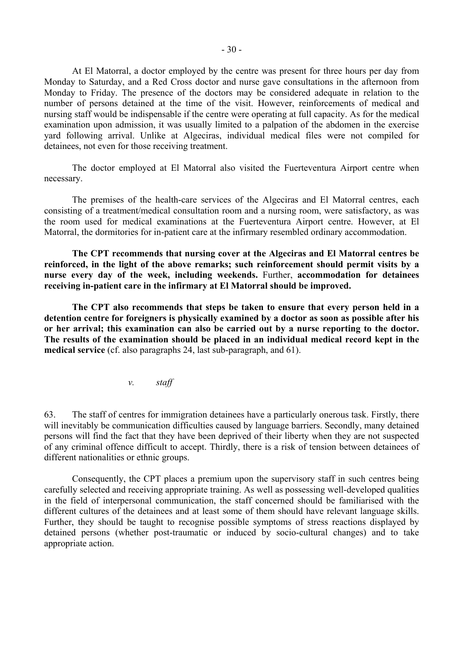<span id="page-29-0"></span> At El Matorral, a doctor employed by the centre was present for three hours per day from Monday to Saturday, and a Red Cross doctor and nurse gave consultations in the afternoon from Monday to Friday. The presence of the doctors may be considered adequate in relation to the number of persons detained at the time of the visit. However, reinforcements of medical and nursing staff would be indispensable if the centre were operating at full capacity. As for the medical examination upon admission, it was usually limited to a palpation of the abdomen in the exercise yard following arrival. Unlike at Algeciras, individual medical files were not compiled for detainees, not even for those receiving treatment.

The doctor employed at El Matorral also visited the Fuerteventura Airport centre when necessary.

The premises of the health-care services of the Algeciras and El Matorral centres, each consisting of a treatment/medical consultation room and a nursing room, were satisfactory, as was the room used for medical examinations at the Fuerteventura Airport centre. However, at El Matorral, the dormitories for in-patient care at the infirmary resembled ordinary accommodation.

**The CPT recommends that nursing cover at the Algeciras and El Matorral centres be reinforced, in the light of the above remarks; such reinforcement should permit visits by a nurse every day of the week, including weekends.** Further, **accommodation for detainees receiving in-patient care in the infirmary at El Matorral should be improved.** 

**The CPT also recommends that steps be taken to ensure that every person held in a detention centre for foreigners is physically examined by a doctor as soon as possible after his or her arrival; this examination can also be carried out by a nurse reporting to the doctor. The results of the examination should be placed in an individual medical record kept in the medical service** (cf. also paragraphs 24, last sub-paragraph, and 61).

*v. staff* 

63. The staff of centres for immigration detainees have a particularly onerous task. Firstly, there will inevitably be communication difficulties caused by language barriers. Secondly, many detained persons will find the fact that they have been deprived of their liberty when they are not suspected of any criminal offence difficult to accept. Thirdly, there is a risk of tension between detainees of different nationalities or ethnic groups.

 Consequently, the CPT places a premium upon the supervisory staff in such centres being carefully selected and receiving appropriate training. As well as possessing well-developed qualities in the field of interpersonal communication, the staff concerned should be familiarised with the different cultures of the detainees and at least some of them should have relevant language skills. Further, they should be taught to recognise possible symptoms of stress reactions displayed by detained persons (whether post-traumatic or induced by socio-cultural changes) and to take appropriate action.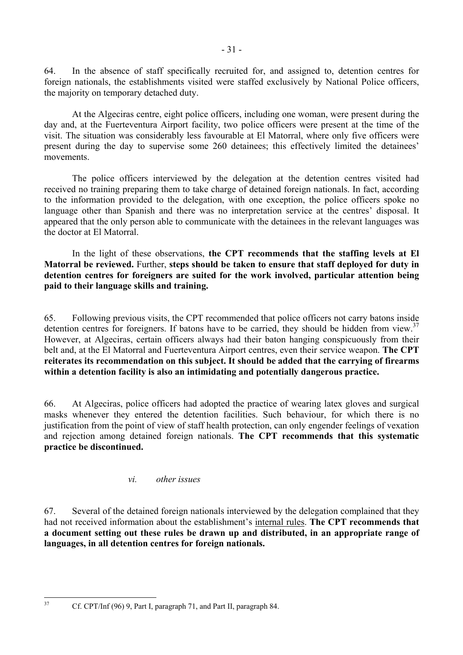<span id="page-30-0"></span>64. In the absence of staff specifically recruited for, and assigned to, detention centres for foreign nationals, the establishments visited were staffed exclusively by National Police officers, the majority on temporary detached duty.

At the Algeciras centre, eight police officers, including one woman, were present during the day and, at the Fuerteventura Airport facility, two police officers were present at the time of the visit. The situation was considerably less favourable at El Matorral, where only five officers were present during the day to supervise some 260 detainees; this effectively limited the detainees' movements.

 The police officers interviewed by the delegation at the detention centres visited had received no training preparing them to take charge of detained foreign nationals. In fact, according to the information provided to the delegation, with one exception, the police officers spoke no language other than Spanish and there was no interpretation service at the centres' disposal. It appeared that the only person able to communicate with the detainees in the relevant languages was the doctor at El Matorral.

 In the light of these observations, **the CPT recommends that the staffing levels at El Matorral be reviewed.** Further, **steps should be taken to ensure that staff deployed for duty in detention centres for foreigners are suited for the work involved, particular attention being paid to their language skills and training.** 

65. Following previous visits, the CPT recommended that police officers not carry batons inside detention centres for foreigners. If batons have to be carried, they should be hidden from view.<sup>[37](#page-30-1)</sup> However, at Algeciras, certain officers always had their baton hanging conspicuously from their belt and, at the El Matorral and Fuerteventura Airport centres, even their service weapon. **The CPT reiterates its recommendation on this subject. It should be added that the carrying of firearms within a detention facility is also an intimidating and potentially dangerous practice.**

66. At Algeciras, police officers had adopted the practice of wearing latex gloves and surgical masks whenever they entered the detention facilities. Such behaviour, for which there is no justification from the point of view of staff health protection, can only engender feelings of vexation and rejection among detained foreign nationals. **The CPT recommends that this systematic practice be discontinued.**

### *vi. other issues*

67. Several of the detained foreign nationals interviewed by the delegation complained that they had not received information about the establishment's internal rules. **The CPT recommends that a document setting out these rules be drawn up and distributed, in an appropriate range of languages, in all detention centres for foreign nationals.**

<span id="page-30-1"></span> $37$ 

<sup>37</sup> Cf. CPT/Inf (96) 9, Part I, paragraph 71, and Part II, paragraph 84.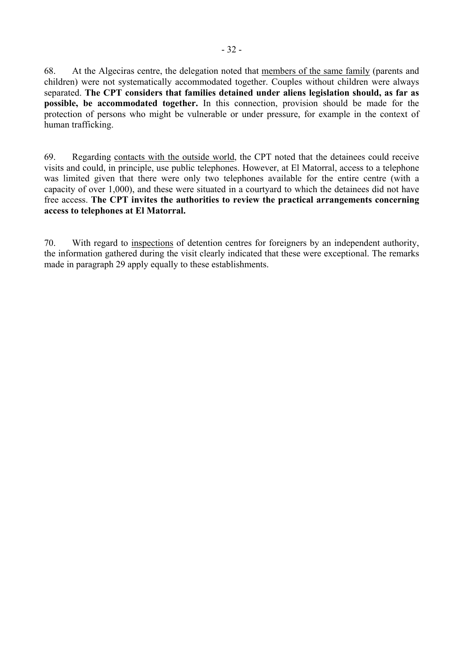68. At the Algeciras centre, the delegation noted that members of the same family (parents and children) were not systematically accommodated together. Couples without children were always separated. **The CPT considers that families detained under aliens legislation should, as far as possible, be accommodated together.** In this connection, provision should be made for the protection of persons who might be vulnerable or under pressure, for example in the context of human trafficking.

69. Regarding contacts with the outside world, the CPT noted that the detainees could receive visits and could, in principle, use public telephones. However, at El Matorral, access to a telephone was limited given that there were only two telephones available for the entire centre (with a capacity of over 1,000), and these were situated in a courtyard to which the detainees did not have free access. **The CPT invites the authorities to review the practical arrangements concerning access to telephones at El Matorral.**

70. With regard to inspections of detention centres for foreigners by an independent authority, the information gathered during the visit clearly indicated that these were exceptional. The remarks made in paragraph 29 apply equally to these establishments.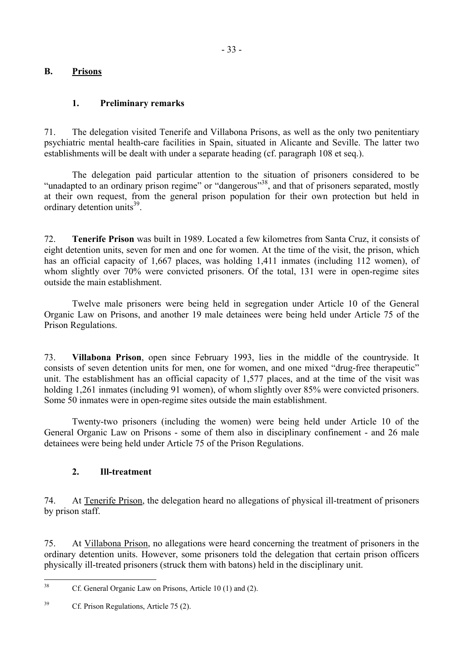# <span id="page-32-0"></span>**B. Prisons**

## **1. Preliminary remarks**

71. The delegation visited Tenerife and Villabona Prisons, as well as the only two penitentiary psychiatric mental health-care facilities in Spain, situated in Alicante and Seville. The latter two establishments will be dealt with under a separate heading (cf. paragraph 108 et seq.).

The delegation paid particular attention to the situation of prisoners considered to be "unadapted to an ordinary prison regime" or "dangerous"<sup>38</sup>, and that of prisoners separated, mostly at their own request, from the general prison population for their own protection but held in ordinary detention units $^{39}$ .

72. **Tenerife Prison** was built in 1989. Located a few kilometres from Santa Cruz, it consists of eight detention units, seven for men and one for women. At the time of the visit, the prison, which has an official capacity of 1,667 places, was holding 1,411 inmates (including 112 women), of whom slightly over 70% were convicted prisoners. Of the total, 131 were in open-regime sites outside the main establishment.

 Twelve male prisoners were being held in segregation under Article 10 of the General Organic Law on Prisons, and another 19 male detainees were being held under Article 75 of the Prison Regulations.

73. **Villabona Prison**, open since February 1993, lies in the middle of the countryside. It consists of seven detention units for men, one for women, and one mixed "drug-free therapeutic" unit. The establishment has an official capacity of 1,577 places, and at the time of the visit was holding 1,261 inmates (including 91 women), of whom slightly over 85% were convicted prisoners. Some 50 inmates were in open-regime sites outside the main establishment.

 Twenty-two prisoners (including the women) were being held under Article 10 of the General Organic Law on Prisons - some of them also in disciplinary confinement - and 26 male detainees were being held under Article 75 of the Prison Regulations.

### **2. Ill-treatment**

74. At Tenerife Prison, the delegation heard no allegations of physical ill-treatment of prisoners by prison staff.

75. At Villabona Prison, no allegations were heard concerning the treatment of prisoners in the ordinary detention units. However, some prisoners told the delegation that certain prison officers physically ill-treated prisoners (struck them with batons) held in the disciplinary unit.

<span id="page-32-1"></span> $38$ Cf. General Organic Law on Prisons, Article 10 (1) and (2).

<span id="page-32-2"></span><sup>&</sup>lt;sup>39</sup> Cf. Prison Regulations, Article 75 (2).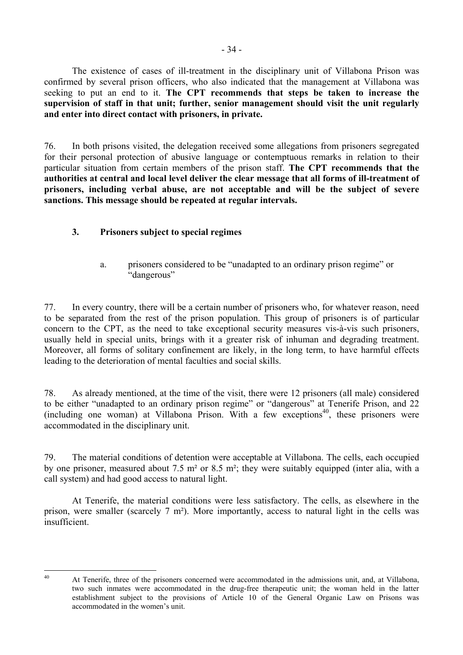<span id="page-33-0"></span> The existence of cases of ill-treatment in the disciplinary unit of Villabona Prison was confirmed by several prison officers, who also indicated that the management at Villabona was seeking to put an end to it. **The CPT recommends that steps be taken to increase the supervision of staff in that unit; further, senior management should visit the unit regularly and enter into direct contact with prisoners, in private.**

76. In both prisons visited, the delegation received some allegations from prisoners segregated for their personal protection of abusive language or contemptuous remarks in relation to their particular situation from certain members of the prison staff. **The CPT recommends that the authorities at central and local level deliver the clear message that all forms of ill-treatment of prisoners, including verbal abuse, are not acceptable and will be the subject of severe sanctions. This message should be repeated at regular intervals.** 

# **3. Prisoners subject to special regimes**

a. prisoners considered to be "unadapted to an ordinary prison regime" or "dangerous"

77. In every country, there will be a certain number of prisoners who, for whatever reason, need to be separated from the rest of the prison population. This group of prisoners is of particular concern to the CPT, as the need to take exceptional security measures vis-à-vis such prisoners, usually held in special units, brings with it a greater risk of inhuman and degrading treatment. Moreover, all forms of solitary confinement are likely, in the long term, to have harmful effects leading to the deterioration of mental faculties and social skills.

78. As already mentioned, at the time of the visit, there were 12 prisoners (all male) considered to be either "unadapted to an ordinary prison regime" or "dangerous" at Tenerife Prison, and 22 (including one woman) at Villabona Prison. With a few exceptions<sup>40</sup>, these prisoners were accommodated in the disciplinary unit.

79. The material conditions of detention were acceptable at Villabona. The cells, each occupied by one prisoner, measured about 7.5 m² or 8.5 m²; they were suitably equipped (inter alia, with a call system) and had good access to natural light.

 At Tenerife, the material conditions were less satisfactory. The cells, as elsewhere in the prison, were smaller (scarcely 7 m²). More importantly, access to natural light in the cells was insufficient.

<span id="page-33-1"></span> $\overline{40}$ 

At Tenerife, three of the prisoners concerned were accommodated in the admissions unit, and, at Villabona, two such inmates were accommodated in the drug-free therapeutic unit; the woman held in the latter establishment subject to the provisions of Article 10 of the General Organic Law on Prisons was accommodated in the women's unit.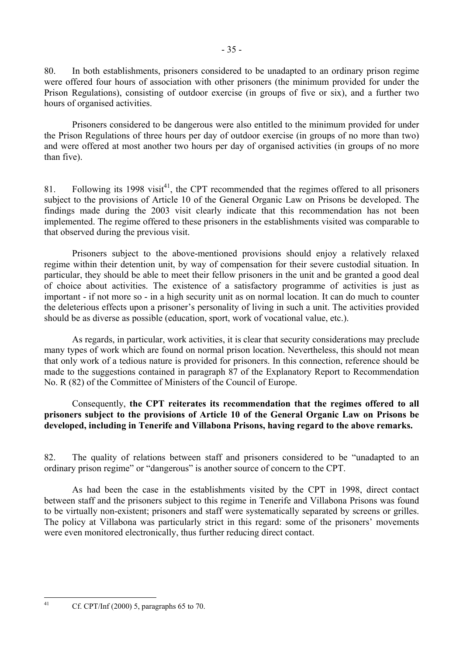80. In both establishments, prisoners considered to be unadapted to an ordinary prison regime were offered four hours of association with other prisoners (the minimum provided for under the Prison Regulations), consisting of outdoor exercise (in groups of five or six), and a further two hours of organised activities.

 Prisoners considered to be dangerous were also entitled to the minimum provided for under the Prison Regulations of three hours per day of outdoor exercise (in groups of no more than two) and were offered at most another two hours per day of organised activities (in groups of no more than five).

81. Following its 1998 visit<sup>41</sup>, the CPT recommended that the regimes offered to all prisoners subject to the provisions of Article 10 of the General Organic Law on Prisons be developed. The findings made during the 2003 visit clearly indicate that this recommendation has not been implemented. The regime offered to these prisoners in the establishments visited was comparable to that observed during the previous visit.

 Prisoners subject to the above-mentioned provisions should enjoy a relatively relaxed regime within their detention unit, by way of compensation for their severe custodial situation. In particular, they should be able to meet their fellow prisoners in the unit and be granted a good deal of choice about activities. The existence of a satisfactory programme of activities is just as important - if not more so - in a high security unit as on normal location. It can do much to counter the deleterious effects upon a prisoner's personality of living in such a unit. The activities provided should be as diverse as possible (education, sport, work of vocational value, etc.).

 As regards, in particular, work activities, it is clear that security considerations may preclude many types of work which are found on normal prison location. Nevertheless, this should not mean that only work of a tedious nature is provided for prisoners. In this connection, reference should be made to the suggestions contained in paragraph 87 of the Explanatory Report to Recommendation No. R (82) of the Committee of Ministers of the Council of Europe.

 Consequently, **the CPT reiterates its recommendation that the regimes offered to all prisoners subject to the provisions of Article 10 of the General Organic Law on Prisons be developed, including in Tenerife and Villabona Prisons, having regard to the above remarks.**

82. The quality of relations between staff and prisoners considered to be "unadapted to an ordinary prison regime" or "dangerous" is another source of concern to the CPT.

 As had been the case in the establishments visited by the CPT in 1998, direct contact between staff and the prisoners subject to this regime in Tenerife and Villabona Prisons was found to be virtually non-existent; prisoners and staff were systematically separated by screens or grilles. The policy at Villabona was particularly strict in this regard: some of the prisoners' movements were even monitored electronically, thus further reducing direct contact.

<span id="page-34-0"></span> $\overline{41}$ 

Cf. CPT/Inf  $(2000)$  5, paragraphs 65 to 70.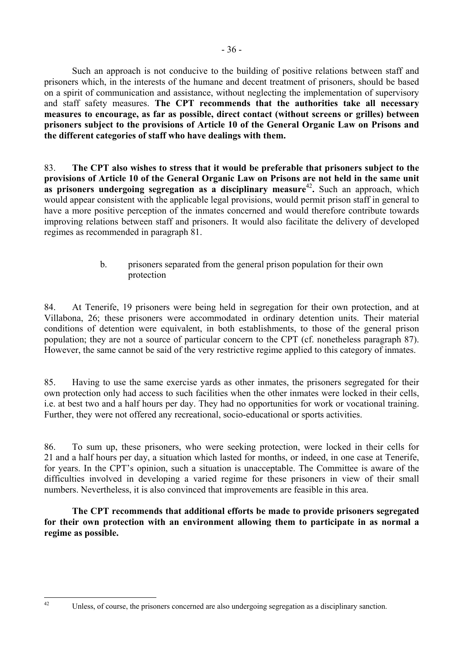<span id="page-35-0"></span> Such an approach is not conducive to the building of positive relations between staff and prisoners which, in the interests of the humane and decent treatment of prisoners, should be based on a spirit of communication and assistance, without neglecting the implementation of supervisory and staff safety measures. **The CPT recommends that the authorities take all necessary measures to encourage, as far as possible, direct contact (without screens or grilles) between prisoners subject to the provisions of Article 10 of the General Organic Law on Prisons and the different categories of staff who have dealings with them.**

83. **The CPT also wishes to stress that it would be preferable that prisoners subject to the provisions of Article 10 of the General Organic Law on Prisons are not held in the same unit as prisoners undergoing segregation as a disciplinary measure<sup>[42](#page-35-1)</sup>. Such an approach, which** would appear consistent with the applicable legal provisions, would permit prison staff in general to have a more positive perception of the inmates concerned and would therefore contribute towards improving relations between staff and prisoners. It would also facilitate the delivery of developed regimes as recommended in paragraph 81.

# b. prisoners separated from the general prison population for their own protection

84. At Tenerife, 19 prisoners were being held in segregation for their own protection, and at Villabona, 26; these prisoners were accommodated in ordinary detention units. Their material conditions of detention were equivalent, in both establishments, to those of the general prison population; they are not a source of particular concern to the CPT (cf. nonetheless paragraph 87). However, the same cannot be said of the very restrictive regime applied to this category of inmates.

85. Having to use the same exercise yards as other inmates, the prisoners segregated for their own protection only had access to such facilities when the other inmates were locked in their cells, i.e. at best two and a half hours per day. They had no opportunities for work or vocational training. Further, they were not offered any recreational, socio-educational or sports activities.

86. To sum up, these prisoners, who were seeking protection, were locked in their cells for 21 and a half hours per day, a situation which lasted for months, or indeed, in one case at Tenerife, for years. In the CPT's opinion, such a situation is unacceptable. The Committee is aware of the difficulties involved in developing a varied regime for these prisoners in view of their small numbers. Nevertheless, it is also convinced that improvements are feasible in this area.

**The CPT recommends that additional efforts be made to provide prisoners segregated for their own protection with an environment allowing them to participate in as normal a regime as possible.** 

<span id="page-35-1"></span> $42$ 

Unless, of course, the prisoners concerned are also undergoing segregation as a disciplinary sanction.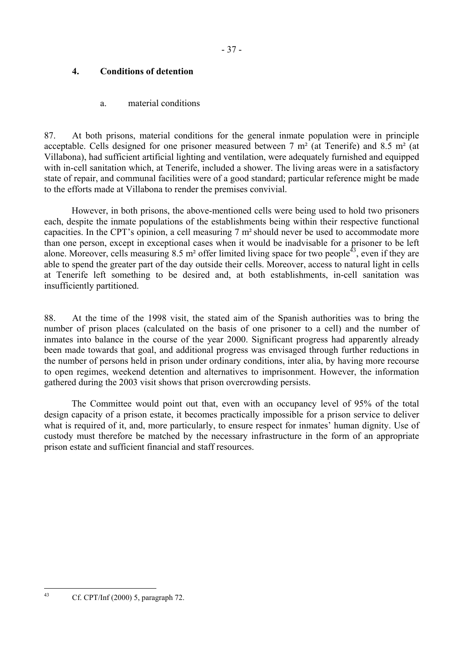## **4. Conditions of detention**

## a. material conditions

87. At both prisons, material conditions for the general inmate population were in principle acceptable. Cells designed for one prisoner measured between 7  $m<sup>2</sup>$  (at Tenerife) and 8.5  $m<sup>2</sup>$  (at Villabona), had sufficient artificial lighting and ventilation, were adequately furnished and equipped with in-cell sanitation which, at Tenerife, included a shower. The living areas were in a satisfactory state of repair, and communal facilities were of a good standard; particular reference might be made to the efforts made at Villabona to render the premises convivial.

However, in both prisons, the above-mentioned cells were being used to hold two prisoners each, despite the inmate populations of the establishments being within their respective functional capacities. In the CPT's opinion, a cell measuring 7 m²should never be used to accommodate more than one person, except in exceptional cases when it would be inadvisable for a prisoner to be left alone. Moreover, cells measuring  $8.5 \text{ m}^2$  offer limited living space for two people<sup>43</sup>, even if they are able to spend the greater part of the day outside their cells. Moreover, access to natural light in cells at Tenerife left something to be desired and, at both establishments, in-cell sanitation was insufficiently partitioned.

88. At the time of the 1998 visit, the stated aim of the Spanish authorities was to bring the number of prison places (calculated on the basis of one prisoner to a cell) and the number of inmates into balance in the course of the year 2000. Significant progress had apparently already been made towards that goal, and additional progress was envisaged through further reductions in the number of persons held in prison under ordinary conditions, inter alia, by having more recourse to open regimes, weekend detention and alternatives to imprisonment. However, the information gathered during the 2003 visit shows that prison overcrowding persists.

The Committee would point out that, even with an occupancy level of 95% of the total design capacity of a prison estate, it becomes practically impossible for a prison service to deliver what is required of it, and, more particularly, to ensure respect for inmates' human dignity. Use of custody must therefore be matched by the necessary infrastructure in the form of an appropriate prison estate and sufficient financial and staff resources.

<span id="page-36-0"></span>Cf. CPT/Inf (2000) 5, paragraph 72.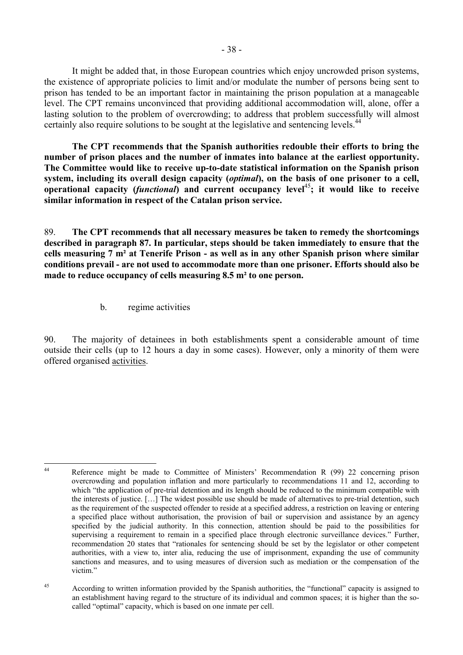It might be added that, in those European countries which enjoy uncrowded prison systems, the existence of appropriate policies to limit and/or modulate the number of persons being sent to prison has tended to be an important factor in maintaining the prison population at a manageable level. The CPT remains unconvinced that providing additional accommodation will, alone, offer a lasting solution to the problem of overcrowding; to address that problem successfully will almost certainly also require solutions to be sought at the legislative and sentencing levels.<sup>44</sup>

 **The CPT recommends that the Spanish authorities redouble their efforts to bring the number of prison places and the number of inmates into balance at the earliest opportunity. The Committee would like to receive up-to-date statistical information on the Spanish prison system, including its overall design capacity (***optimal***), on the basis of one prisoner to a cell, operational capacity (***functional***) and current occupancy level**[45](#page-37-1)**; it would like to receive similar information in respect of the Catalan prison service.** 

89. **The CPT recommends that all necessary measures be taken to remedy the shortcomings described in paragraph 87. In particular, steps should be taken immediately to ensure that the cells measuring 7 m² at Tenerife Prison - as well as in any other Spanish prison where similar conditions prevail - are not used to accommodate more than one prisoner. Efforts should also be made to reduce occupancy of cells measuring 8.5 m² to one person.** 

b. regime activities

90. The majority of detainees in both establishments spent a considerable amount of time outside their cells (up to 12 hours a day in some cases). However, only a minority of them were offered organised activities.

<span id="page-37-0"></span> $44$ Reference might be made to Committee of Ministers' Recommendation R (99) 22 concerning prison overcrowding and population inflation and more particularly to recommendations 11 and 12, according to which "the application of pre-trial detention and its length should be reduced to the minimum compatible with the interests of justice. […] The widest possible use should be made of alternatives to pre-trial detention, such as the requirement of the suspected offender to reside at a specified address, a restriction on leaving or entering a specified place without authorisation, the provision of bail or supervision and assistance by an agency specified by the judicial authority. In this connection, attention should be paid to the possibilities for supervising a requirement to remain in a specified place through electronic surveillance devices." Further, recommendation 20 states that "rationales for sentencing should be set by the legislator or other competent authorities, with a view to, inter alia, reducing the use of imprisonment, expanding the use of community sanctions and measures, and to using measures of diversion such as mediation or the compensation of the victim."

<span id="page-37-1"></span><sup>&</sup>lt;sup>45</sup> According to written information provided by the Spanish authorities, the "functional" capacity is assigned to an establishment having regard to the structure of its individual and common spaces; it is higher than the socalled "optimal" capacity, which is based on one inmate per cell.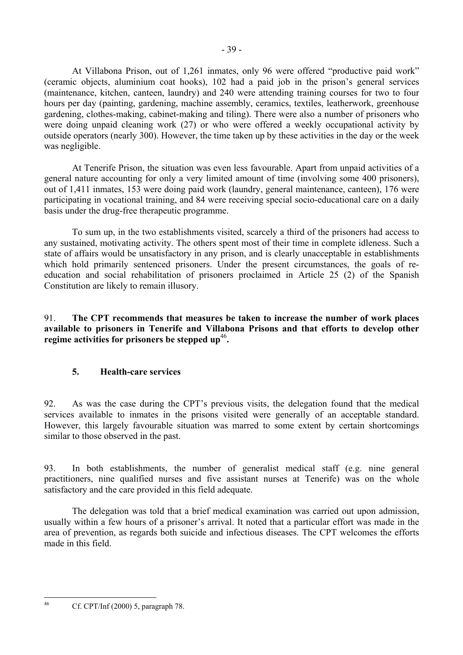At Villabona Prison, out of 1,261 inmates, only 96 were offered "productive paid work" (ceramic objects, aluminium coat hooks), 102 had a paid job in the prison's general services (maintenance, kitchen, canteen, laundry) and 240 were attending training courses for two to four hours per day (painting, gardening, machine assembly, ceramics, textiles, leatherwork, greenhouse gardening, clothes-making, cabinet-making and tiling). There were also a number of prisoners who were doing unpaid cleaning work (27) or who were offered a weekly occupational activity by outside operators (nearly 300). However, the time taken up by these activities in the day or the week was negligible.

At Tenerife Prison, the situation was even less favourable. Apart from unpaid activities of a general nature accounting for only a very limited amount of time (involving some 400 prisoners), out of 1,411 inmates, 153 were doing paid work (laundry, general maintenance, canteen), 176 were participating in vocational training, and 84 were receiving special socio-educational care on a daily basis under the drug-free therapeutic programme.

 To sum up, in the two establishments visited, scarcely a third of the prisoners had access to any sustained, motivating activity. The others spent most of their time in complete idleness. Such a state of affairs would be unsatisfactory in any prison, and is clearly unacceptable in establishments which hold primarily sentenced prisoners. Under the present circumstances, the goals of reeducation and social rehabilitation of prisoners proclaimed in Article 25 (2) of the Spanish Constitution are likely to remain illusory.

91. **The CPT recommends that measures be taken to increase the number of work places available to prisoners in Tenerife and Villabona Prisons and that efforts to develop other**  regime activities for prisoners be stepped up<sup>[46](#page-38-0)</sup>.

# **5. Health-care services**

92. As was the case during the CPT's previous visits, the delegation found that the medical services available to inmates in the prisons visited were generally of an acceptable standard. However, this largely favourable situation was marred to some extent by certain shortcomings similar to those observed in the past.

93. In both establishments, the number of generalist medical staff (e.g. nine general practitioners, nine qualified nurses and five assistant nurses at Tenerife) was on the whole satisfactory and the care provided in this field adequate.

 The delegation was told that a brief medical examination was carried out upon admission, usually within a few hours of a prisoner's arrival. It noted that a particular effort was made in the area of prevention, as regards both suicide and infectious diseases. The CPT welcomes the efforts made in this field.

<span id="page-38-0"></span> $46$ 46 Cf. CPT/Inf (2000) 5, paragraph 78.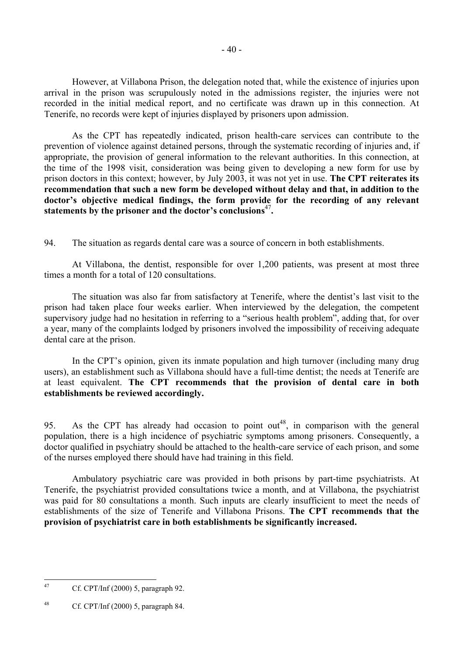However, at Villabona Prison, the delegation noted that, while the existence of injuries upon arrival in the prison was scrupulously noted in the admissions register, the injuries were not recorded in the initial medical report, and no certificate was drawn up in this connection. At Tenerife, no records were kept of injuries displayed by prisoners upon admission.

 As the CPT has repeatedly indicated, prison health-care services can contribute to the prevention of violence against detained persons, through the systematic recording of injuries and, if appropriate, the provision of general information to the relevant authorities. In this connection, at the time of the 1998 visit, consideration was being given to developing a new form for use by prison doctors in this context; however, by July 2003, it was not yet in use. **The CPT reiterates its recommendation that such a new form be developed without delay and that, in addition to the doctor's objective medical findings, the form provide for the recording of any relevant statements by the prisoner and the doctor's conclusions**[47](#page-39-0)**.** 

94. The situation as regards dental care was a source of concern in both establishments.

At Villabona, the dentist, responsible for over 1,200 patients, was present at most three times a month for a total of 120 consultations.

The situation was also far from satisfactory at Tenerife, where the dentist's last visit to the prison had taken place four weeks earlier. When interviewed by the delegation, the competent supervisory judge had no hesitation in referring to a "serious health problem", adding that, for over a year, many of the complaints lodged by prisoners involved the impossibility of receiving adequate dental care at the prison.

In the CPT's opinion, given its inmate population and high turnover (including many drug users), an establishment such as Villabona should have a full-time dentist; the needs at Tenerife are at least equivalent. **The CPT recommends that the provision of dental care in both establishments be reviewed accordingly.** 

95. As the CPT has already had occasion to point out<sup>48</sup>, in comparison with the general population, there is a high incidence of psychiatric symptoms among prisoners. Consequently, a doctor qualified in psychiatry should be attached to the health-care service of each prison, and some of the nurses employed there should have had training in this field.

 Ambulatory psychiatric care was provided in both prisons by part-time psychiatrists. At Tenerife, the psychiatrist provided consultations twice a month, and at Villabona, the psychiatrist was paid for 80 consultations a month. Such inputs are clearly insufficient to meet the needs of establishments of the size of Tenerife and Villabona Prisons. **The CPT recommends that the provision of psychiatrist care in both establishments be significantly increased.** 

<span id="page-39-0"></span> $\overline{A7}$ Cf. CPT/Inf (2000) 5, paragraph 92.

<span id="page-39-1"></span><sup>&</sup>lt;sup>48</sup> Cf. CPT/Inf (2000) 5, paragraph 84.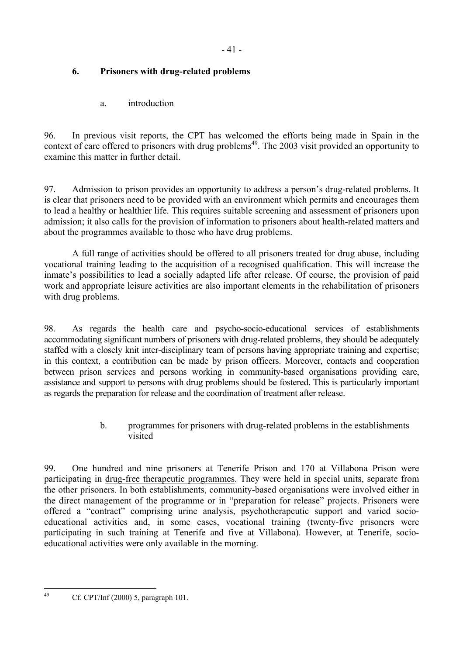# **6. Prisoners with drug-related problems**

a. introduction

96. In previous visit reports, the CPT has welcomed the efforts being made in Spain in the context of care offered to prisoners with drug problems<sup>49</sup>. The 2003 visit provided an opportunity to examine this matter in further detail.

97. Admission to prison provides an opportunity to address a person's drug-related problems. It is clear that prisoners need to be provided with an environment which permits and encourages them to lead a healthy or healthier life. This requires suitable screening and assessment of prisoners upon admission; it also calls for the provision of information to prisoners about health-related matters and about the programmes available to those who have drug problems.

 A full range of activities should be offered to all prisoners treated for drug abuse, including vocational training leading to the acquisition of a recognised qualification. This will increase the inmate's possibilities to lead a socially adapted life after release. Of course, the provision of paid work and appropriate leisure activities are also important elements in the rehabilitation of prisoners with drug problems.

98. As regards the health care and psycho-socio-educational services of establishments accommodating significant numbers of prisoners with drug-related problems, they should be adequately staffed with a closely knit inter-disciplinary team of persons having appropriate training and expertise; in this context, a contribution can be made by prison officers. Moreover, contacts and cooperation between prison services and persons working in community-based organisations providing care, assistance and support to persons with drug problems should be fostered. This is particularly important as regards the preparation for release and the coordination of treatment after release.

> b. programmes for prisoners with drug-related problems in the establishments visited

99. One hundred and nine prisoners at Tenerife Prison and 170 at Villabona Prison were participating in drug-free therapeutic programmes. They were held in special units, separate from the other prisoners. In both establishments, community-based organisations were involved either in the direct management of the programme or in "preparation for release" projects. Prisoners were offered a "contract" comprising urine analysis, psychotherapeutic support and varied socioeducational activities and, in some cases, vocational training (twenty-five prisoners were participating in such training at Tenerife and five at Villabona). However, at Tenerife, socioeducational activities were only available in the morning.

<span id="page-40-0"></span>Cf. CPT/Inf (2000) 5, paragraph 101.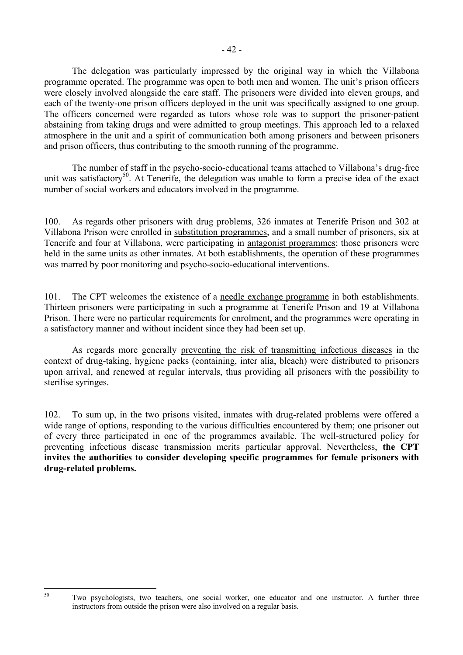The delegation was particularly impressed by the original way in which the Villabona programme operated. The programme was open to both men and women. The unit's prison officers were closely involved alongside the care staff. The prisoners were divided into eleven groups, and each of the twenty-one prison officers deployed in the unit was specifically assigned to one group. The officers concerned were regarded as tutors whose role was to support the prisoner-patient abstaining from taking drugs and were admitted to group meetings. This approach led to a relaxed atmosphere in the unit and a spirit of communication both among prisoners and between prisoners and prison officers, thus contributing to the smooth running of the programme.

 The number of staff in the psycho-socio-educational teams attached to Villabona's drug-free unit was satisfactory<sup>50</sup>. At Tenerife, the delegation was unable to form a precise idea of the exact number of social workers and educators involved in the programme.

100. As regards other prisoners with drug problems, 326 inmates at Tenerife Prison and 302 at Villabona Prison were enrolled in substitution programmes, and a small number of prisoners, six at Tenerife and four at Villabona, were participating in antagonist programmes; those prisoners were held in the same units as other inmates. At both establishments, the operation of these programmes was marred by poor monitoring and psycho-socio-educational interventions.

101. The CPT welcomes the existence of a needle exchange programme in both establishments. Thirteen prisoners were participating in such a programme at Tenerife Prison and 19 at Villabona Prison. There were no particular requirements for enrolment, and the programmes were operating in a satisfactory manner and without incident since they had been set up.

 As regards more generally preventing the risk of transmitting infectious diseases in the context of drug-taking, hygiene packs (containing, inter alia, bleach) were distributed to prisoners upon arrival, and renewed at regular intervals, thus providing all prisoners with the possibility to sterilise syringes.

102. To sum up, in the two prisons visited, inmates with drug-related problems were offered a wide range of options, responding to the various difficulties encountered by them; one prisoner out of every three participated in one of the programmes available. The well-structured policy for preventing infectious disease transmission merits particular approval. Nevertheless, **the CPT invites the authorities to consider developing specific programmes for female prisoners with drug-related problems.** 

<span id="page-41-0"></span>Two psychologists, two teachers, one social worker, one educator and one instructor. A further three instructors from outside the prison were also involved on a regular basis.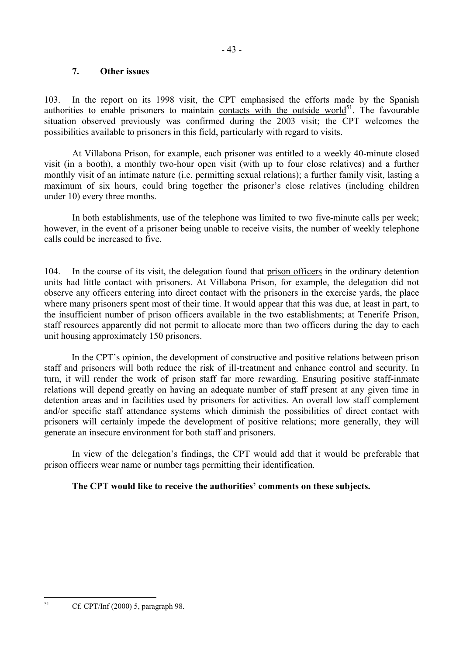### **7. Other issues**

103. In the report on its 1998 visit, the CPT emphasised the efforts made by the Spanish authorities to enable prisoners to maintain contacts with the outside world $5<sup>1</sup>$ . The favourable situation observed previously was confirmed during the 2003 visit; the CPT welcomes the possibilities available to prisoners in this field, particularly with regard to visits.

 At Villabona Prison, for example, each prisoner was entitled to a weekly 40-minute closed visit (in a booth), a monthly two-hour open visit (with up to four close relatives) and a further monthly visit of an intimate nature (i.e. permitting sexual relations); a further family visit, lasting a maximum of six hours, could bring together the prisoner's close relatives (including children under 10) every three months.

 In both establishments, use of the telephone was limited to two five-minute calls per week; however, in the event of a prisoner being unable to receive visits, the number of weekly telephone calls could be increased to five.

104. In the course of its visit, the delegation found that prison officers in the ordinary detention units had little contact with prisoners. At Villabona Prison, for example, the delegation did not observe any officers entering into direct contact with the prisoners in the exercise yards, the place where many prisoners spent most of their time. It would appear that this was due, at least in part, to the insufficient number of prison officers available in the two establishments; at Tenerife Prison, staff resources apparently did not permit to allocate more than two officers during the day to each unit housing approximately 150 prisoners.

In the CPT's opinion, the development of constructive and positive relations between prison staff and prisoners will both reduce the risk of ill-treatment and enhance control and security. In turn, it will render the work of prison staff far more rewarding. Ensuring positive staff-inmate relations will depend greatly on having an adequate number of staff present at any given time in detention areas and in facilities used by prisoners for activities. An overall low staff complement and/or specific staff attendance systems which diminish the possibilities of direct contact with prisoners will certainly impede the development of positive relations; more generally, they will generate an insecure environment for both staff and prisoners.

 In view of the delegation's findings, the CPT would add that it would be preferable that prison officers wear name or number tags permitting their identification.

## **The CPT would like to receive the authorities' comments on these subjects.**

<span id="page-42-0"></span><sup>51</sup> Cf. CPT/Inf (2000) 5, paragraph 98.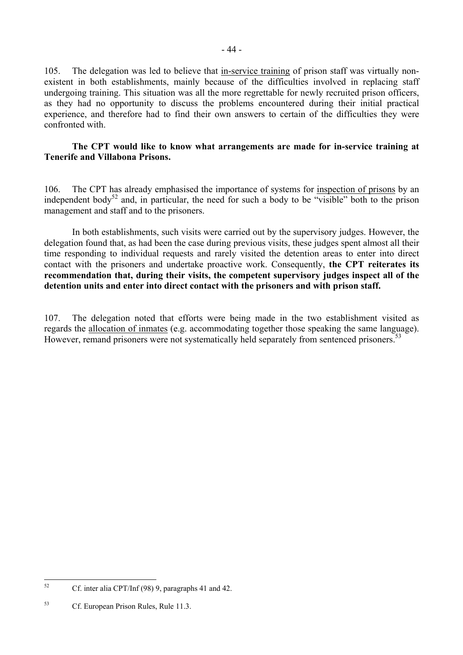105. The delegation was led to believe that in-service training of prison staff was virtually nonexistent in both establishments, mainly because of the difficulties involved in replacing staff undergoing training. This situation was all the more regrettable for newly recruited prison officers, as they had no opportunity to discuss the problems encountered during their initial practical experience, and therefore had to find their own answers to certain of the difficulties they were confronted with.

### **The CPT would like to know what arrangements are made for in-service training at Tenerife and Villabona Prisons.**

106. The CPT has already emphasised the importance of systems for inspection of prisons by an independent body<sup>52</sup> and, in particular, the need for such a body to be "visible" both to the prison management and staff and to the prisoners.

 In both establishments, such visits were carried out by the supervisory judges. However, the delegation found that, as had been the case during previous visits, these judges spent almost all their time responding to individual requests and rarely visited the detention areas to enter into direct contact with the prisoners and undertake proactive work. Consequently, **the CPT reiterates its recommendation that, during their visits, the competent supervisory judges inspect all of the detention units and enter into direct contact with the prisoners and with prison staff.** 

107. The delegation noted that efforts were being made in the two establishment visited as regards the allocation of inmates (e.g. accommodating together those speaking the same language). However, remand prisoners were not systematically held separately from sentenced prisoners.<sup>53</sup>

<span id="page-43-0"></span> $52$ 52 Cf. inter alia CPT/Inf (98) 9, paragraphs 41 and 42.

<span id="page-43-1"></span><sup>53</sup> Cf. European Prison Rules, Rule 11.3.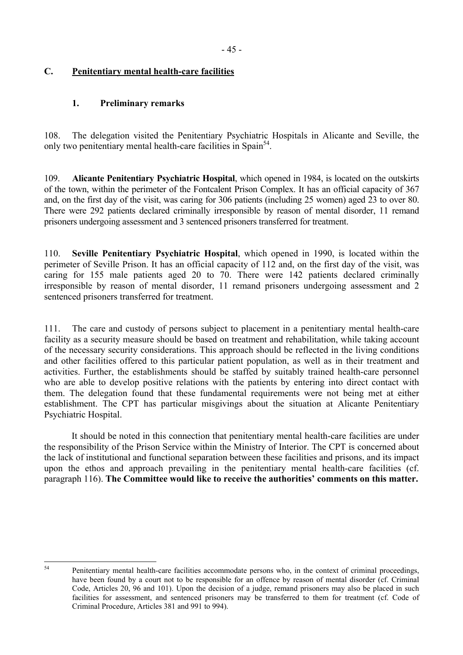# **C. Penitentiary mental health-care facilities**

## **1. Preliminary remarks**

108. The delegation visited the Penitentiary Psychiatric Hospitals in Alicante and Seville, the only two penitentiary mental health-care facilities in Spain<sup>54</sup>.

109. **Alicante Penitentiary Psychiatric Hospital**, which opened in 1984, is located on the outskirts of the town, within the perimeter of the Fontcalent Prison Complex. It has an official capacity of 367 and, on the first day of the visit, was caring for 306 patients (including 25 women) aged 23 to over 80. There were 292 patients declared criminally irresponsible by reason of mental disorder, 11 remand prisoners undergoing assessment and 3 sentenced prisoners transferred for treatment.

110. **Seville Penitentiary Psychiatric Hospital**, which opened in 1990, is located within the perimeter of Seville Prison. It has an official capacity of 112 and, on the first day of the visit, was caring for 155 male patients aged 20 to 70. There were 142 patients declared criminally irresponsible by reason of mental disorder, 11 remand prisoners undergoing assessment and 2 sentenced prisoners transferred for treatment.

111. The care and custody of persons subject to placement in a penitentiary mental health-care facility as a security measure should be based on treatment and rehabilitation, while taking account of the necessary security considerations. This approach should be reflected in the living conditions and other facilities offered to this particular patient population, as well as in their treatment and activities. Further, the establishments should be staffed by suitably trained health-care personnel who are able to develop positive relations with the patients by entering into direct contact with them. The delegation found that these fundamental requirements were not being met at either establishment. The CPT has particular misgivings about the situation at Alicante Penitentiary Psychiatric Hospital.

It should be noted in this connection that penitentiary mental health-care facilities are under the responsibility of the Prison Service within the Ministry of Interior. The CPT is concerned about the lack of institutional and functional separation between these facilities and prisons, and its impact upon the ethos and approach prevailing in the penitentiary mental health-care facilities (cf. paragraph 116). **The Committee would like to receive the authorities' comments on this matter.** 

<span id="page-44-0"></span><sup>54</sup> Penitentiary mental health-care facilities accommodate persons who, in the context of criminal proceedings, have been found by a court not to be responsible for an offence by reason of mental disorder (cf. Criminal Code, Articles 20, 96 and 101). Upon the decision of a judge, remand prisoners may also be placed in such facilities for assessment, and sentenced prisoners may be transferred to them for treatment (cf. Code of Criminal Procedure, Articles 381 and 991 to 994).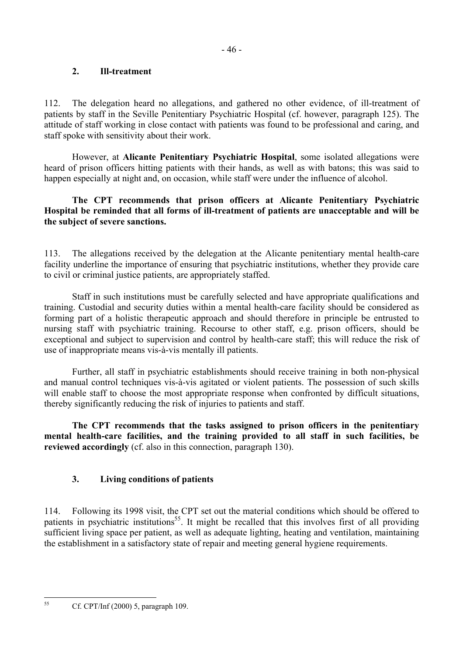## **2. Ill-treatment**

112. The delegation heard no allegations, and gathered no other evidence, of ill-treatment of patients by staff in the Seville Penitentiary Psychiatric Hospital (cf. however, paragraph 125). The attitude of staff working in close contact with patients was found to be professional and caring, and staff spoke with sensitivity about their work.

 However, at **Alicante Penitentiary Psychiatric Hospital**, some isolated allegations were heard of prison officers hitting patients with their hands, as well as with batons; this was said to happen especially at night and, on occasion, while staff were under the influence of alcohol.

## **The CPT recommends that prison officers at Alicante Penitentiary Psychiatric Hospital be reminded that all forms of ill-treatment of patients are unacceptable and will be the subject of severe sanctions.**

113. The allegations received by the delegation at the Alicante penitentiary mental health-care facility underline the importance of ensuring that psychiatric institutions, whether they provide care to civil or criminal justice patients, are appropriately staffed.

 Staff in such institutions must be carefully selected and have appropriate qualifications and training. Custodial and security duties within a mental health-care facility should be considered as forming part of a holistic therapeutic approach and should therefore in principle be entrusted to nursing staff with psychiatric training. Recourse to other staff, e.g. prison officers, should be exceptional and subject to supervision and control by health-care staff; this will reduce the risk of use of inappropriate means vis-à-vis mentally ill patients.

 Further, all staff in psychiatric establishments should receive training in both non-physical and manual control techniques vis-à-vis agitated or violent patients. The possession of such skills will enable staff to choose the most appropriate response when confronted by difficult situations, thereby significantly reducing the risk of injuries to patients and staff.

**The CPT recommends that the tasks assigned to prison officers in the penitentiary mental health-care facilities, and the training provided to all staff in such facilities, be reviewed accordingly** (cf. also in this connection, paragraph 130).

# **3. Living conditions of patients**

114. Following its 1998 visit, the CPT set out the material conditions which should be offered to patients in psychiatric institutions<sup>55</sup>. It might be recalled that this involves first of all providing sufficient living space per patient, as well as adequate lighting, heating and ventilation, maintaining the establishment in a satisfactory state of repair and meeting general hygiene requirements.

<span id="page-45-0"></span><sup>55</sup> Cf. CPT/Inf (2000) 5, paragraph 109.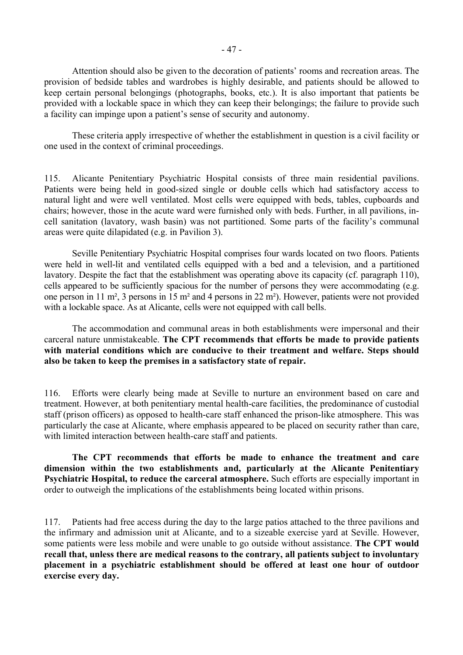Attention should also be given to the decoration of patients' rooms and recreation areas. The provision of bedside tables and wardrobes is highly desirable, and patients should be allowed to keep certain personal belongings (photographs, books, etc.). It is also important that patients be provided with a lockable space in which they can keep their belongings; the failure to provide such a facility can impinge upon a patient's sense of security and autonomy.

These criteria apply irrespective of whether the establishment in question is a civil facility or one used in the context of criminal proceedings.

115. Alicante Penitentiary Psychiatric Hospital consists of three main residential pavilions. Patients were being held in good-sized single or double cells which had satisfactory access to natural light and were well ventilated. Most cells were equipped with beds, tables, cupboards and chairs; however, those in the acute ward were furnished only with beds. Further, in all pavilions, incell sanitation (lavatory, wash basin) was not partitioned. Some parts of the facility's communal areas were quite dilapidated (e.g. in Pavilion 3).

Seville Penitentiary Psychiatric Hospital comprises four wards located on two floors. Patients were held in well-lit and ventilated cells equipped with a bed and a television, and a partitioned lavatory. Despite the fact that the establishment was operating above its capacity (cf. paragraph 110), cells appeared to be sufficiently spacious for the number of persons they were accommodating (e.g. one person in 11 m², 3 persons in 15 m² and 4 persons in 22 m²). However, patients were not provided with a lockable space. As at Alicante, cells were not equipped with call bells.

The accommodation and communal areas in both establishments were impersonal and their carceral nature unmistakeable. **The CPT recommends that efforts be made to provide patients with material conditions which are conducive to their treatment and welfare. Steps should also be taken to keep the premises in a satisfactory state of repair.** 

116. Efforts were clearly being made at Seville to nurture an environment based on care and treatment. However, at both penitentiary mental health-care facilities, the predominance of custodial staff (prison officers) as opposed to health-care staff enhanced the prison-like atmosphere. This was particularly the case at Alicante, where emphasis appeared to be placed on security rather than care, with limited interaction between health-care staff and patients.

**The CPT recommends that efforts be made to enhance the treatment and care dimension within the two establishments and, particularly at the Alicante Penitentiary Psychiatric Hospital, to reduce the carceral atmosphere.** Such efforts are especially important in order to outweigh the implications of the establishments being located within prisons.

117. Patients had free access during the day to the large patios attached to the three pavilions and the infirmary and admission unit at Alicante, and to a sizeable exercise yard at Seville. However, some patients were less mobile and were unable to go outside without assistance. **The CPT would recall that, unless there are medical reasons to the contrary, all patients subject to involuntary placement in a psychiatric establishment should be offered at least one hour of outdoor exercise every day.**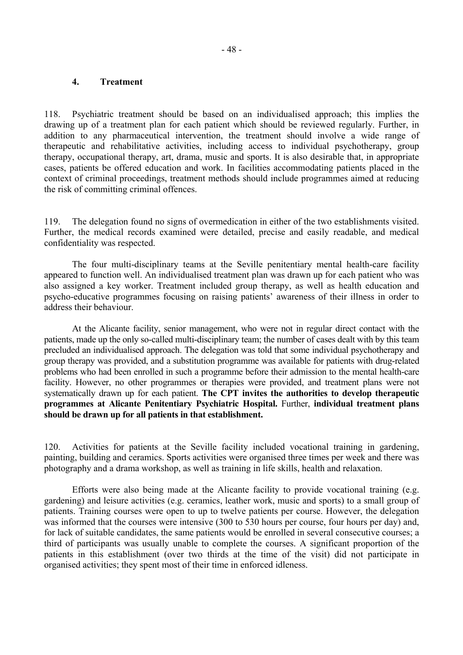#### **4. Treatment**

118. Psychiatric treatment should be based on an individualised approach; this implies the drawing up of a treatment plan for each patient which should be reviewed regularly. Further, in addition to any pharmaceutical intervention, the treatment should involve a wide range of therapeutic and rehabilitative activities, including access to individual psychotherapy, group therapy, occupational therapy, art, drama, music and sports. It is also desirable that, in appropriate cases, patients be offered education and work. In facilities accommodating patients placed in the context of criminal proceedings, treatment methods should include programmes aimed at reducing the risk of committing criminal offences.

119. The delegation found no signs of overmedication in either of the two establishments visited. Further, the medical records examined were detailed, precise and easily readable, and medical confidentiality was respected.

 The four multi-disciplinary teams at the Seville penitentiary mental health-care facility appeared to function well. An individualised treatment plan was drawn up for each patient who was also assigned a key worker. Treatment included group therapy, as well as health education and psycho-educative programmes focusing on raising patients' awareness of their illness in order to address their behaviour.

At the Alicante facility, senior management, who were not in regular direct contact with the patients, made up the only so-called multi-disciplinary team; the number of cases dealt with by this team precluded an individualised approach. The delegation was told that some individual psychotherapy and group therapy was provided, and a substitution programme was available for patients with drug-related problems who had been enrolled in such a programme before their admission to the mental health-care facility. However, no other programmes or therapies were provided, and treatment plans were not systematically drawn up for each patient. **The CPT invites the authorities to develop therapeutic programmes at Alicante Penitentiary Psychiatric Hospital.** Further, **individual treatment plans should be drawn up for all patients in that establishment.** 

120. Activities for patients at the Seville facility included vocational training in gardening, painting, building and ceramics. Sports activities were organised three times per week and there was photography and a drama workshop, as well as training in life skills, health and relaxation.

Efforts were also being made at the Alicante facility to provide vocational training (e.g. gardening) and leisure activities (e.g. ceramics, leather work, music and sports) to a small group of patients. Training courses were open to up to twelve patients per course. However, the delegation was informed that the courses were intensive (300 to 530 hours per course, four hours per day) and, for lack of suitable candidates, the same patients would be enrolled in several consecutive courses; a third of participants was usually unable to complete the courses. A significant proportion of the patients in this establishment (over two thirds at the time of the visit) did not participate in organised activities; they spent most of their time in enforced idleness.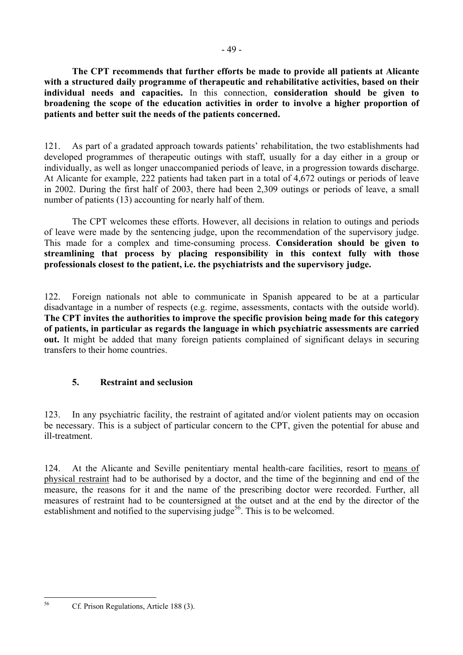**The CPT recommends that further efforts be made to provide all patients at Alicante with a structured daily programme of therapeutic and rehabilitative activities, based on their individual needs and capacities.** In this connection, **consideration should be given to broadening the scope of the education activities in order to involve a higher proportion of patients and better suit the needs of the patients concerned.** 

121. As part of a gradated approach towards patients' rehabilitation, the two establishments had developed programmes of therapeutic outings with staff, usually for a day either in a group or individually, as well as longer unaccompanied periods of leave, in a progression towards discharge. At Alicante for example, 222 patients had taken part in a total of 4,672 outings or periods of leave in 2002. During the first half of 2003, there had been 2,309 outings or periods of leave, a small number of patients (13) accounting for nearly half of them.

The CPT welcomes these efforts. However, all decisions in relation to outings and periods of leave were made by the sentencing judge, upon the recommendation of the supervisory judge. This made for a complex and time-consuming process. **Consideration should be given to streamlining that process by placing responsibility in this context fully with those professionals closest to the patient, i.e. the psychiatrists and the supervisory judge.** 

122. Foreign nationals not able to communicate in Spanish appeared to be at a particular disadvantage in a number of respects (e.g. regime, assessments, contacts with the outside world). **The CPT invites the authorities to improve the specific provision being made for this category of patients, in particular as regards the language in which psychiatric assessments are carried out.** It might be added that many foreign patients complained of significant delays in securing transfers to their home countries.

# **5. Restraint and seclusion**

123. In any psychiatric facility, the restraint of agitated and/or violent patients may on occasion be necessary. This is a subject of particular concern to the CPT, given the potential for abuse and ill-treatment.

124. At the Alicante and Seville penitentiary mental health-care facilities, resort to means of physical restraint had to be authorised by a doctor, and the time of the beginning and end of the measure, the reasons for it and the name of the prescribing doctor were recorded. Further, all measures of restraint had to be countersigned at the outset and at the end by the director of the establishment and notified to the supervising judge<sup>56</sup>. This is to be welcomed.

<span id="page-48-0"></span><sup>56</sup> 

<sup>56</sup> Cf. Prison Regulations, Article 188 (3).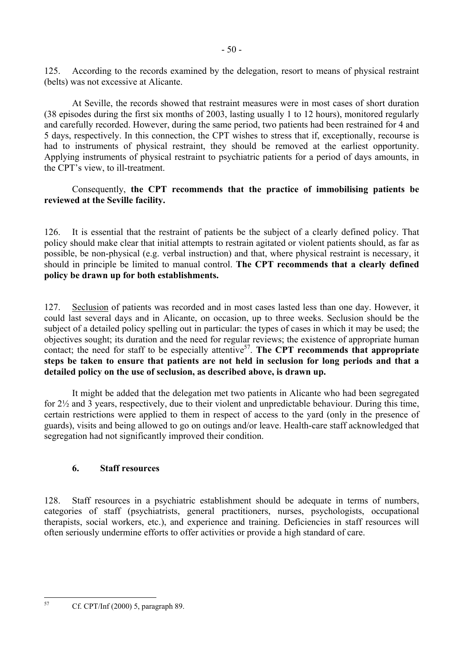125. According to the records examined by the delegation, resort to means of physical restraint (belts) was not excessive at Alicante.

At Seville, the records showed that restraint measures were in most cases of short duration (38 episodes during the first six months of 2003, lasting usually 1 to 12 hours), monitored regularly and carefully recorded. However, during the same period, two patients had been restrained for 4 and 5 days, respectively. In this connection, the CPT wishes to stress that if, exceptionally, recourse is had to instruments of physical restraint, they should be removed at the earliest opportunity. Applying instruments of physical restraint to psychiatric patients for a period of days amounts, in the CPT's view, to ill-treatment.

## Consequently, **the CPT recommends that the practice of immobilising patients be reviewed at the Seville facility.**

126. It is essential that the restraint of patients be the subject of a clearly defined policy. That policy should make clear that initial attempts to restrain agitated or violent patients should, as far as possible, be non-physical (e.g. verbal instruction) and that, where physical restraint is necessary, it should in principle be limited to manual control. **The CPT recommends that a clearly defined policy be drawn up for both establishments.** 

127. Seclusion of patients was recorded and in most cases lasted less than one day. However, it could last several days and in Alicante, on occasion, up to three weeks. Seclusion should be the subject of a detailed policy spelling out in particular: the types of cases in which it may be used; the objectives sought; its duration and the need for regular reviews; the existence of appropriate human contact; the need for staff to be especially attentive<sup>57</sup>. The CPT recommends that appropriate **steps be taken to ensure that patients are not held in seclusion for long periods and that a detailed policy on the use of seclusion, as described above, is drawn up.** 

It might be added that the delegation met two patients in Alicante who had been segregated for 2½ and 3 years, respectively, due to their violent and unpredictable behaviour. During this time, certain restrictions were applied to them in respect of access to the yard (only in the presence of guards), visits and being allowed to go on outings and/or leave. Health-care staff acknowledged that segregation had not significantly improved their condition.

# **6. Staff resources**

128. Staff resources in a psychiatric establishment should be adequate in terms of numbers, categories of staff (psychiatrists, general practitioners, nurses, psychologists, occupational therapists, social workers, etc.), and experience and training. Deficiencies in staff resources will often seriously undermine efforts to offer activities or provide a high standard of care.

<span id="page-49-0"></span> $57$ 57 Cf. CPT/Inf (2000) 5, paragraph 89.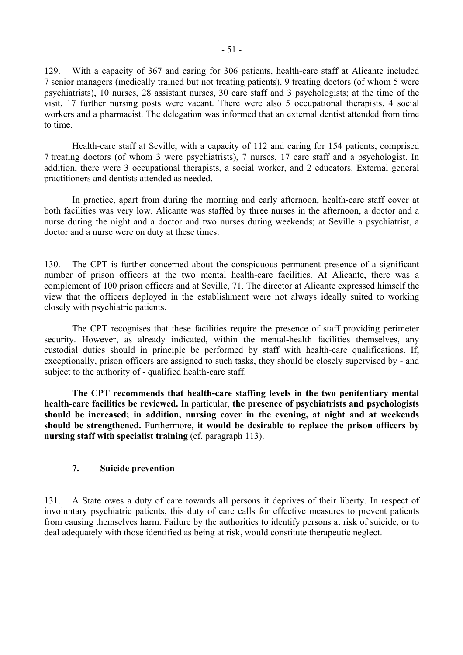129. With a capacity of 367 and caring for 306 patients, health-care staff at Alicante included 7 senior managers (medically trained but not treating patients), 9 treating doctors (of whom 5 were psychiatrists), 10 nurses, 28 assistant nurses, 30 care staff and 3 psychologists; at the time of the visit, 17 further nursing posts were vacant. There were also 5 occupational therapists, 4 social workers and a pharmacist. The delegation was informed that an external dentist attended from time to time.

Health-care staff at Seville, with a capacity of 112 and caring for 154 patients, comprised 7 treating doctors (of whom 3 were psychiatrists), 7 nurses, 17 care staff and a psychologist. In addition, there were 3 occupational therapists, a social worker, and 2 educators. External general practitioners and dentists attended as needed.

In practice, apart from during the morning and early afternoon, health-care staff cover at both facilities was very low. Alicante was staffed by three nurses in the afternoon, a doctor and a nurse during the night and a doctor and two nurses during weekends; at Seville a psychiatrist, a doctor and a nurse were on duty at these times.

130. The CPT is further concerned about the conspicuous permanent presence of a significant number of prison officers at the two mental health-care facilities. At Alicante, there was a complement of 100 prison officers and at Seville, 71. The director at Alicante expressed himself the view that the officers deployed in the establishment were not always ideally suited to working closely with psychiatric patients.

The CPT recognises that these facilities require the presence of staff providing perimeter security. However, as already indicated, within the mental-health facilities themselves, any custodial duties should in principle be performed by staff with health-care qualifications. If, exceptionally, prison officers are assigned to such tasks, they should be closely supervised by - and subject to the authority of - qualified health-care staff.

**The CPT recommends that health-care staffing levels in the two penitentiary mental health-care facilities be reviewed.** In particular, **the presence of psychiatrists and psychologists should be increased; in addition, nursing cover in the evening, at night and at weekends should be strengthened.** Furthermore, **it would be desirable to replace the prison officers by nursing staff with specialist training** (cf. paragraph 113).

## **7. Suicide prevention**

131. A State owes a duty of care towards all persons it deprives of their liberty. In respect of involuntary psychiatric patients, this duty of care calls for effective measures to prevent patients from causing themselves harm. Failure by the authorities to identify persons at risk of suicide, or to deal adequately with those identified as being at risk, would constitute therapeutic neglect.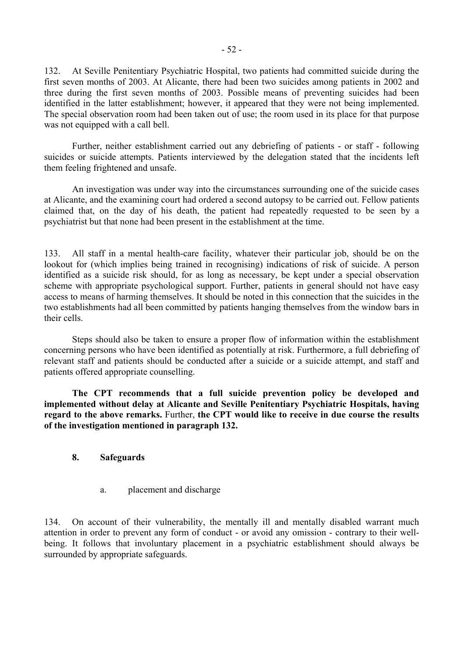132. At Seville Penitentiary Psychiatric Hospital, two patients had committed suicide during the first seven months of 2003. At Alicante, there had been two suicides among patients in 2002 and three during the first seven months of 2003. Possible means of preventing suicides had been identified in the latter establishment; however, it appeared that they were not being implemented. The special observation room had been taken out of use; the room used in its place for that purpose was not equipped with a call bell.

 Further, neither establishment carried out any debriefing of patients - or staff - following suicides or suicide attempts. Patients interviewed by the delegation stated that the incidents left them feeling frightened and unsafe.

 An investigation was under way into the circumstances surrounding one of the suicide cases at Alicante, and the examining court had ordered a second autopsy to be carried out. Fellow patients claimed that, on the day of his death, the patient had repeatedly requested to be seen by a psychiatrist but that none had been present in the establishment at the time.

133. All staff in a mental health-care facility, whatever their particular job, should be on the lookout for (which implies being trained in recognising) indications of risk of suicide. A person identified as a suicide risk should, for as long as necessary, be kept under a special observation scheme with appropriate psychological support. Further, patients in general should not have easy access to means of harming themselves. It should be noted in this connection that the suicides in the two establishments had all been committed by patients hanging themselves from the window bars in their cells.

Steps should also be taken to ensure a proper flow of information within the establishment concerning persons who have been identified as potentially at risk. Furthermore, a full debriefing of relevant staff and patients should be conducted after a suicide or a suicide attempt, and staff and patients offered appropriate counselling.

 **The CPT recommends that a full suicide prevention policy be developed and implemented without delay at Alicante and Seville Penitentiary Psychiatric Hospitals, having regard to the above remarks.** Further, **the CPT would like to receive in due course the results of the investigation mentioned in paragraph 132.** 

## **8. Safeguards**

a. placement and discharge

134. On account of their vulnerability, the mentally ill and mentally disabled warrant much attention in order to prevent any form of conduct - or avoid any omission - contrary to their wellbeing. It follows that involuntary placement in a psychiatric establishment should always be surrounded by appropriate safeguards.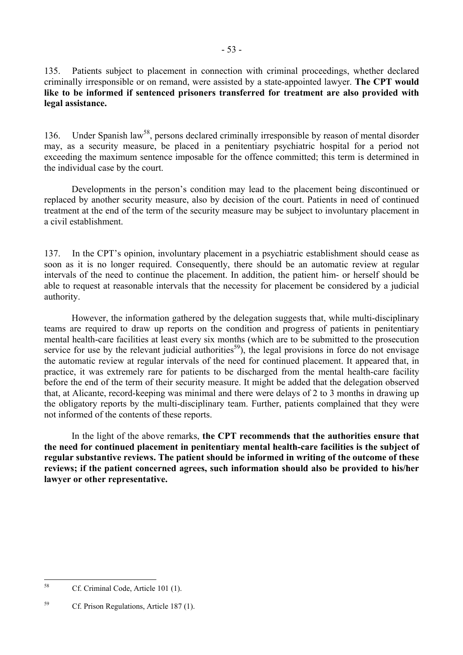135. Patients subject to placement in connection with criminal proceedings, whether declared criminally irresponsible or on remand, were assisted by a state-appointed lawyer. **The CPT would like to be informed if sentenced prisoners transferred for treatment are also provided with legal assistance.** 

136. Under Spanish law<sup>58</sup>, persons declared criminally irresponsible by reason of mental disorder may, as a security measure, be placed in a penitentiary psychiatric hospital for a period not exceeding the maximum sentence imposable for the offence committed; this term is determined in the individual case by the court.

Developments in the person's condition may lead to the placement being discontinued or replaced by another security measure, also by decision of the court. Patients in need of continued treatment at the end of the term of the security measure may be subject to involuntary placement in a civil establishment.

137. In the CPT's opinion, involuntary placement in a psychiatric establishment should cease as soon as it is no longer required. Consequently, there should be an automatic review at regular intervals of the need to continue the placement. In addition, the patient him- or herself should be able to request at reasonable intervals that the necessity for placement be considered by a judicial authority.

However, the information gathered by the delegation suggests that, while multi-disciplinary teams are required to draw up reports on the condition and progress of patients in penitentiary mental health-care facilities at least every six months (which are to be submitted to the prosecution service for use by the relevant judicial authorities<sup>59</sup>), the legal provisions in force do not envisage the automatic review at regular intervals of the need for continued placement. It appeared that, in practice, it was extremely rare for patients to be discharged from the mental health-care facility before the end of the term of their security measure. It might be added that the delegation observed that, at Alicante, record-keeping was minimal and there were delays of 2 to 3 months in drawing up the obligatory reports by the multi-disciplinary team. Further, patients complained that they were not informed of the contents of these reports.

In the light of the above remarks, **the CPT recommends that the authorities ensure that the need for continued placement in penitentiary mental health-care facilities is the subject of regular substantive reviews. The patient should be informed in writing of the outcome of these reviews; if the patient concerned agrees, such information should also be provided to his/her lawyer or other representative.** 

<span id="page-52-0"></span><sup>58</sup> Cf. Criminal Code, Article 101 (1).

<span id="page-52-1"></span><sup>&</sup>lt;sup>59</sup> Cf. Prison Regulations, Article 187 (1).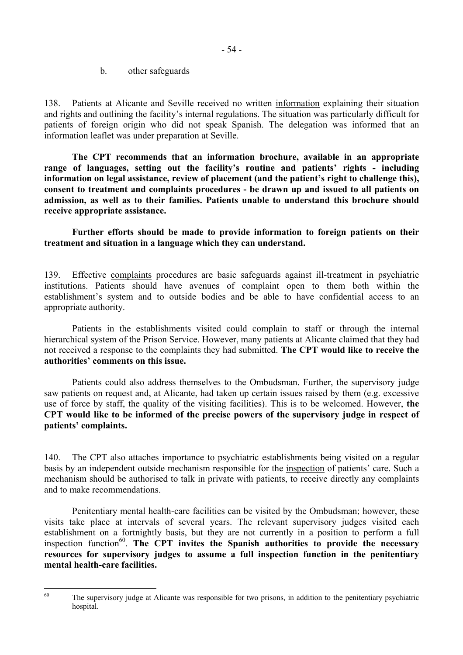b. other safeguards

138. Patients at Alicante and Seville received no written information explaining their situation and rights and outlining the facility's internal regulations. The situation was particularly difficult for patients of foreign origin who did not speak Spanish. The delegation was informed that an information leaflet was under preparation at Seville.

**The CPT recommends that an information brochure, available in an appropriate range of languages, setting out the facility's routine and patients' rights - including information on legal assistance, review of placement (and the patient's right to challenge this), consent to treatment and complaints procedures - be drawn up and issued to all patients on admission, as well as to their families. Patients unable to understand this brochure should receive appropriate assistance.** 

**Further efforts should be made to provide information to foreign patients on their treatment and situation in a language which they can understand.** 

139. Effective complaints procedures are basic safeguards against ill-treatment in psychiatric institutions. Patients should have avenues of complaint open to them both within the establishment's system and to outside bodies and be able to have confidential access to an appropriate authority.

Patients in the establishments visited could complain to staff or through the internal hierarchical system of the Prison Service. However, many patients at Alicante claimed that they had not received a response to the complaints they had submitted. **The CPT would like to receive the authorities' comments on this issue.** 

Patients could also address themselves to the Ombudsman. Further, the supervisory judge saw patients on request and, at Alicante, had taken up certain issues raised by them (e.g. excessive use of force by staff, the quality of the visiting facilities). This is to be welcomed. However, **the CPT would like to be informed of the precise powers of the supervisory judge in respect of patients' complaints.** 

140. The CPT also attaches importance to psychiatric establishments being visited on a regular basis by an independent outside mechanism responsible for the inspection of patients' care. Such a mechanism should be authorised to talk in private with patients, to receive directly any complaints and to make recommendations.

Penitentiary mental health-care facilities can be visited by the Ombudsman; however, these visits take place at intervals of several years. The relevant supervisory judges visited each establishment on a fortnightly basis, but they are not currently in a position to perform a full inspection function<sup>60</sup>. The CPT invites the Spanish authorities to provide the necessary **resources for supervisory judges to assume a full inspection function in the penitentiary mental health-care facilities.** 

<sup>60</sup> 

<span id="page-53-0"></span>The supervisory judge at Alicante was responsible for two prisons, in addition to the penitentiary psychiatric hospital.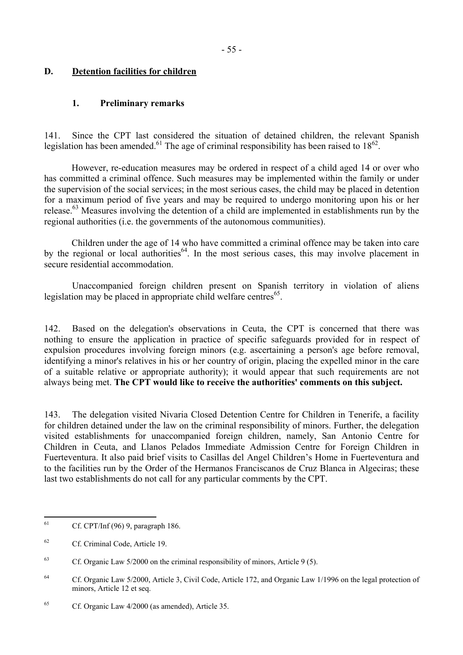## **D. Detention facilities for children**

### **1. Preliminary remarks**

141. Since the CPT last considered the situation of detained children, the relevant Spanish legislation has been amended.<sup>61</sup> The age of criminal responsibility has been raised to  $18^{62}$ .

However, re-education measures may be ordered in respect of a child aged 14 or over who has committed a criminal offence. Such measures may be implemented within the family or under the supervision of the social services; in the most serious cases, the child may be placed in detention for a maximum period of five years and may be required to undergo monitoring upon his or her release.<sup>63</sup> Measures involving the detention of a child are implemented in establishments run by the regional authorities (i.e. the governments of the autonomous communities).

Children under the age of 14 who have committed a criminal offence may be taken into care by the regional or local authorities<sup>64</sup>. In the most serious cases, this may involve placement in secure residential accommodation.

 Unaccompanied foreign children present on Spanish territory in violation of aliens legislation may be placed in appropriate child welfare centres<sup>65</sup>.

142. Based on the delegation's observations in Ceuta, the CPT is concerned that there was nothing to ensure the application in practice of specific safeguards provided for in respect of expulsion procedures involving foreign minors (e.g. ascertaining a person's age before removal, identifying a minor's relatives in his or her country of origin, placing the expelled minor in the care of a suitable relative or appropriate authority); it would appear that such requirements are not always being met. **The CPT would like to receive the authorities' comments on this subject.** 

143. The delegation visited Nivaria Closed Detention Centre for Children in Tenerife, a facility for children detained under the law on the criminal responsibility of minors. Further, the delegation visited establishments for unaccompanied foreign children, namely, San Antonio Centre for Children in Ceuta, and Llanos Pelados Immediate Admission Centre for Foreign Children in Fuerteventura. It also paid brief visits to Casillas del Angel Children's Home in Fuerteventura and to the facilities run by the Order of the Hermanos Franciscanos de Cruz Blanca in Algeciras; these last two establishments do not call for any particular comments by the CPT.

<span id="page-54-0"></span>61 61 Cf. CPT/Inf (96) 9, paragraph 186.

<span id="page-54-1"></span><sup>62</sup> Cf. Criminal Code, Article 19.

<span id="page-54-2"></span><sup>&</sup>lt;sup>63</sup> Cf. Organic Law  $5/2000$  on the criminal responsibility of minors, Article 9 (5).

<span id="page-54-3"></span><sup>&</sup>lt;sup>64</sup> Cf. Organic Law 5/2000, Article 3, Civil Code, Article 172, and Organic Law 1/1996 on the legal protection of minors, Article 12 et seq.

<span id="page-54-4"></span><sup>65</sup> Cf. Organic Law 4/2000 (as amended), Article 35.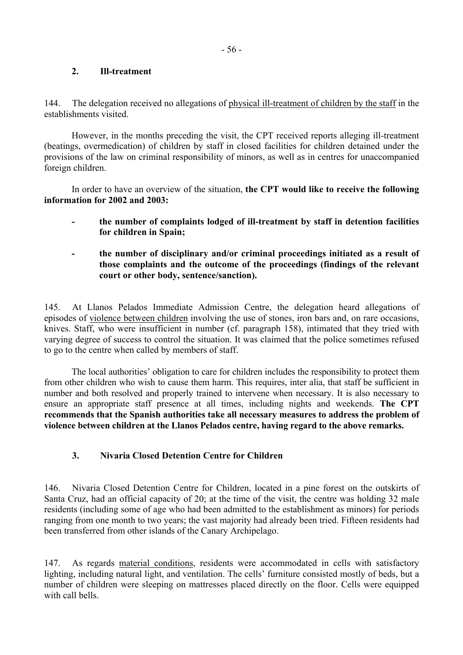### **2. Ill-treatment**

144. The delegation received no allegations of physical ill-treatment of children by the staff in the establishments visited.

However, in the months preceding the visit, the CPT received reports alleging ill-treatment (beatings, overmedication) of children by staff in closed facilities for children detained under the provisions of the law on criminal responsibility of minors, as well as in centres for unaccompanied foreign children.

In order to have an overview of the situation, **the CPT would like to receive the following information for 2002 and 2003:** 

- **the number of complaints lodged of ill-treatment by staff in detention facilities for children in Spain;**
- **the number of disciplinary and/or criminal proceedings initiated as a result of those complaints and the outcome of the proceedings (findings of the relevant court or other body, sentence/sanction).**

145. At Llanos Pelados Immediate Admission Centre, the delegation heard allegations of episodes of violence between children involving the use of stones, iron bars and, on rare occasions, knives. Staff, who were insufficient in number (cf. paragraph 158), intimated that they tried with varying degree of success to control the situation. It was claimed that the police sometimes refused to go to the centre when called by members of staff.

The local authorities' obligation to care for children includes the responsibility to protect them from other children who wish to cause them harm. This requires, inter alia, that staff be sufficient in number and both resolved and properly trained to intervene when necessary. It is also necessary to ensure an appropriate staff presence at all times, including nights and weekends. **The CPT recommends that the Spanish authorities take all necessary measures to address the problem of violence between children at the Llanos Pelados centre, having regard to the above remarks.** 

## **3. Nivaria Closed Detention Centre for Children**

146. Nivaria Closed Detention Centre for Children, located in a pine forest on the outskirts of Santa Cruz, had an official capacity of 20; at the time of the visit, the centre was holding 32 male residents (including some of age who had been admitted to the establishment as minors) for periods ranging from one month to two years; the vast majority had already been tried. Fifteen residents had been transferred from other islands of the Canary Archipelago.

147. As regards material conditions, residents were accommodated in cells with satisfactory lighting, including natural light, and ventilation. The cells' furniture consisted mostly of beds, but a number of children were sleeping on mattresses placed directly on the floor. Cells were equipped with call bells.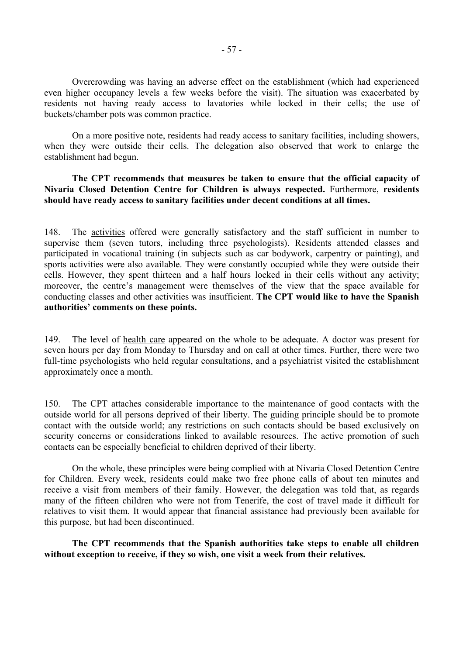Overcrowding was having an adverse effect on the establishment (which had experienced even higher occupancy levels a few weeks before the visit). The situation was exacerbated by residents not having ready access to lavatories while locked in their cells; the use of buckets/chamber pots was common practice.

On a more positive note, residents had ready access to sanitary facilities, including showers, when they were outside their cells. The delegation also observed that work to enlarge the establishment had begun.

### **The CPT recommends that measures be taken to ensure that the official capacity of Nivaria Closed Detention Centre for Children is always respected.** Furthermore, **residents should have ready access to sanitary facilities under decent conditions at all times.**

148. The activities offered were generally satisfactory and the staff sufficient in number to supervise them (seven tutors, including three psychologists). Residents attended classes and participated in vocational training (in subjects such as car bodywork, carpentry or painting), and sports activities were also available. They were constantly occupied while they were outside their cells. However, they spent thirteen and a half hours locked in their cells without any activity; moreover, the centre's management were themselves of the view that the space available for conducting classes and other activities was insufficient. **The CPT would like to have the Spanish authorities' comments on these points.** 

149. The level of health care appeared on the whole to be adequate. A doctor was present for seven hours per day from Monday to Thursday and on call at other times. Further, there were two full-time psychologists who held regular consultations, and a psychiatrist visited the establishment approximately once a month.

150. The CPT attaches considerable importance to the maintenance of good contacts with the outside world for all persons deprived of their liberty. The guiding principle should be to promote contact with the outside world; any restrictions on such contacts should be based exclusively on security concerns or considerations linked to available resources. The active promotion of such contacts can be especially beneficial to children deprived of their liberty.

On the whole, these principles were being complied with at Nivaria Closed Detention Centre for Children. Every week, residents could make two free phone calls of about ten minutes and receive a visit from members of their family. However, the delegation was told that, as regards many of the fifteen children who were not from Tenerife, the cost of travel made it difficult for relatives to visit them. It would appear that financial assistance had previously been available for this purpose, but had been discontinued.

**The CPT recommends that the Spanish authorities take steps to enable all children without exception to receive, if they so wish, one visit a week from their relatives.**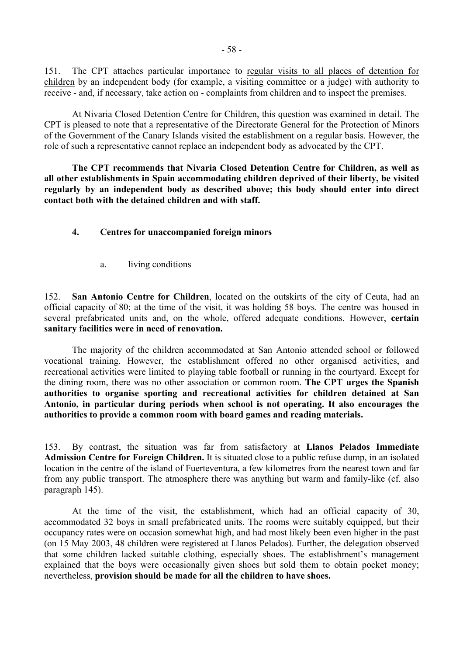151. The CPT attaches particular importance to regular visits to all places of detention for children by an independent body (for example, a visiting committee or a judge) with authority to receive - and, if necessary, take action on - complaints from children and to inspect the premises.

 At Nivaria Closed Detention Centre for Children, this question was examined in detail. The CPT is pleased to note that a representative of the Directorate General for the Protection of Minors of the Government of the Canary Islands visited the establishment on a regular basis. However, the role of such a representative cannot replace an independent body as advocated by the CPT.

**The CPT recommends that Nivaria Closed Detention Centre for Children, as well as all other establishments in Spain accommodating children deprived of their liberty, be visited regularly by an independent body as described above; this body should enter into direct contact both with the detained children and with staff.**

### **4. Centres for unaccompanied foreign minors**

a. living conditions

152. **San Antonio Centre for Children**, located on the outskirts of the city of Ceuta, had an official capacity of 80; at the time of the visit, it was holding 58 boys. The centre was housed in several prefabricated units and, on the whole, offered adequate conditions. However, **certain sanitary facilities were in need of renovation.**

 The majority of the children accommodated at San Antonio attended school or followed vocational training. However, the establishment offered no other organised activities, and recreational activities were limited to playing table football or running in the courtyard. Except for the dining room, there was no other association or common room. **The CPT urges the Spanish authorities to organise sporting and recreational activities for children detained at San Antonio, in particular during periods when school is not operating. It also encourages the authorities to provide a common room with board games and reading materials.** 

153. By contrast, the situation was far from satisfactory at **Llanos Pelados Immediate Admission Centre for Foreign Children.** It is situated close to a public refuse dump, in an isolated location in the centre of the island of Fuerteventura, a few kilometres from the nearest town and far from any public transport. The atmosphere there was anything but warm and family-like (cf. also paragraph 145).

 At the time of the visit, the establishment, which had an official capacity of 30, accommodated 32 boys in small prefabricated units. The rooms were suitably equipped, but their occupancy rates were on occasion somewhat high, and had most likely been even higher in the past (on 15 May 2003, 48 children were registered at Llanos Pelados). Further, the delegation observed that some children lacked suitable clothing, especially shoes. The establishment's management explained that the boys were occasionally given shoes but sold them to obtain pocket money; nevertheless, **provision should be made for all the children to have shoes.**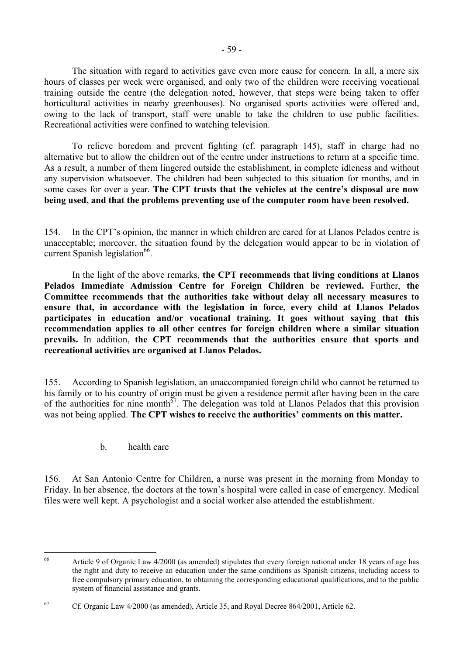The situation with regard to activities gave even more cause for concern. In all, a mere six hours of classes per week were organised, and only two of the children were receiving vocational training outside the centre (the delegation noted, however, that steps were being taken to offer horticultural activities in nearby greenhouses). No organised sports activities were offered and, owing to the lack of transport, staff were unable to take the children to use public facilities. Recreational activities were confined to watching television.

 To relieve boredom and prevent fighting (cf. paragraph 145), staff in charge had no alternative but to allow the children out of the centre under instructions to return at a specific time. As a result, a number of them lingered outside the establishment, in complete idleness and without any supervision whatsoever. The children had been subjected to this situation for months, and in some cases for over a year. **The CPT trusts that the vehicles at the centre's disposal are now being used, and that the problems preventing use of the computer room have been resolved.** 

154. In the CPT's opinion, the manner in which children are cared for at Llanos Pelados centre is unacceptable; moreover, the situation found by the delegation would appear to be in violation of current Spanish legislation $^{66}$ .

 In the light of the above remarks, **the CPT recommends that living conditions at Llanos Pelados Immediate Admission Centre for Foreign Children be reviewed.** Further, **the Committee recommends that the authorities take without delay all necessary measures to ensure that, in accordance with the legislation in force, every child at Llanos Pelados participates in education and/or vocational training. It goes without saying that this recommendation applies to all other centres for foreign children where a similar situation prevails.** In addition, **the CPT recommends that the authorities ensure that sports and recreational activities are organised at Llanos Pelados.**

155. According to Spanish legislation, an unaccompanied foreign child who cannot be returned to his family or to his country of origin must be given a residence permit after having been in the care of the authorities for nine month $\frac{67}{7}$ . The delegation was told at Llanos Pelados that this provision was not being applied. **The CPT wishes to receive the authorities' comments on this matter.** 

b. health care

156. At San Antonio Centre for Children, a nurse was present in the morning from Monday to Friday. In her absence, the doctors at the town's hospital were called in case of emergency. Medical files were well kept. A psychologist and a social worker also attended the establishment.

<span id="page-58-0"></span><sup>66</sup> 66 Article 9 of Organic Law 4/2000 (as amended) stipulates that every foreign national under 18 years of age has the right and duty to receive an education under the same conditions as Spanish citizens, including access to free compulsory primary education, to obtaining the corresponding educational qualifications, and to the public system of financial assistance and grants.

<span id="page-58-1"></span><sup>67</sup> Cf. Organic Law 4/2000 (as amended), Article 35, and Royal Decree 864/2001, Article 62.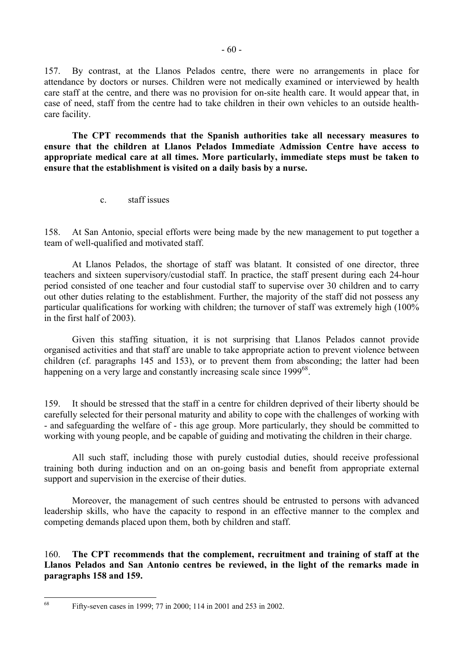157. By contrast, at the Llanos Pelados centre, there were no arrangements in place for attendance by doctors or nurses. Children were not medically examined or interviewed by health care staff at the centre, and there was no provision for on-site health care. It would appear that, in case of need, staff from the centre had to take children in their own vehicles to an outside healthcare facility.

 **The CPT recommends that the Spanish authorities take all necessary measures to ensure that the children at Llanos Pelados Immediate Admission Centre have access to appropriate medical care at all times. More particularly, immediate steps must be taken to ensure that the establishment is visited on a daily basis by a nurse.**

c. staff issues

158. At San Antonio, special efforts were being made by the new management to put together a team of well-qualified and motivated staff.

At Llanos Pelados, the shortage of staff was blatant. It consisted of one director, three teachers and sixteen supervisory/custodial staff. In practice, the staff present during each 24-hour period consisted of one teacher and four custodial staff to supervise over 30 children and to carry out other duties relating to the establishment. Further, the majority of the staff did not possess any particular qualifications for working with children; the turnover of staff was extremely high (100% in the first half of 2003).

 Given this staffing situation, it is not surprising that Llanos Pelados cannot provide organised activities and that staff are unable to take appropriate action to prevent violence between children (cf. paragraphs 145 and 153), or to prevent them from absconding; the latter had been happening on a very large and constantly increasing scale since 1999<sup>68</sup>.

159. It should be stressed that the staff in a centre for children deprived of their liberty should be carefully selected for their personal maturity and ability to cope with the challenges of working with - and safeguarding the welfare of - this age group. More particularly, they should be committed to working with young people, and be capable of guiding and motivating the children in their charge.

 All such staff, including those with purely custodial duties, should receive professional training both during induction and on an on-going basis and benefit from appropriate external support and supervision in the exercise of their duties.

 Moreover, the management of such centres should be entrusted to persons with advanced leadership skills, who have the capacity to respond in an effective manner to the complex and competing demands placed upon them, both by children and staff.

160. **The CPT recommends that the complement, recruitment and training of staff at the Llanos Pelados and San Antonio centres be reviewed, in the light of the remarks made in paragraphs 158 and 159.** 

<span id="page-59-0"></span><sup>68</sup> Fifty-seven cases in 1999; 77 in 2000; 114 in 2001 and 253 in 2002.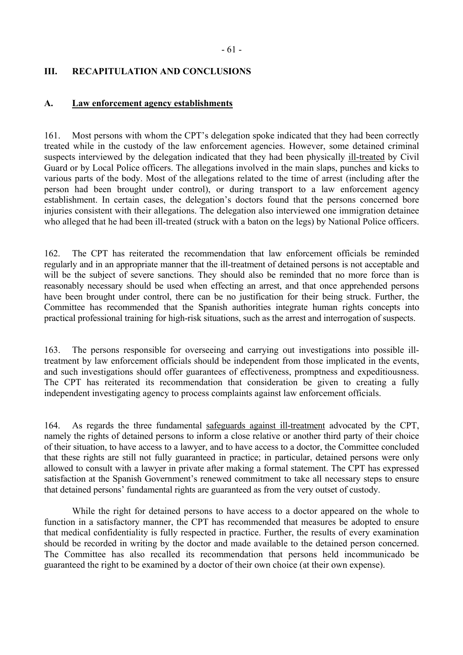## **III. RECAPITULATION AND CONCLUSIONS**

#### **A. Law enforcement agency establishments**

161. Most persons with whom the CPT's delegation spoke indicated that they had been correctly treated while in the custody of the law enforcement agencies. However, some detained criminal suspects interviewed by the delegation indicated that they had been physically ill-treated by Civil Guard or by Local Police officers. The allegations involved in the main slaps, punches and kicks to various parts of the body. Most of the allegations related to the time of arrest (including after the person had been brought under control), or during transport to a law enforcement agency establishment. In certain cases, the delegation's doctors found that the persons concerned bore injuries consistent with their allegations. The delegation also interviewed one immigration detainee who alleged that he had been ill-treated (struck with a baton on the legs) by National Police officers.

162. The CPT has reiterated the recommendation that law enforcement officials be reminded regularly and in an appropriate manner that the ill-treatment of detained persons is not acceptable and will be the subject of severe sanctions. They should also be reminded that no more force than is reasonably necessary should be used when effecting an arrest, and that once apprehended persons have been brought under control, there can be no justification for their being struck. Further, the Committee has recommended that the Spanish authorities integrate human rights concepts into practical professional training for high-risk situations, such as the arrest and interrogation of suspects.

163. The persons responsible for overseeing and carrying out investigations into possible illtreatment by law enforcement officials should be independent from those implicated in the events, and such investigations should offer guarantees of effectiveness, promptness and expeditiousness. The CPT has reiterated its recommendation that consideration be given to creating a fully independent investigating agency to process complaints against law enforcement officials.

164. As regards the three fundamental safeguards against ill-treatment advocated by the CPT, namely the rights of detained persons to inform a close relative or another third party of their choice of their situation, to have access to a lawyer, and to have access to a doctor, the Committee concluded that these rights are still not fully guaranteed in practice; in particular, detained persons were only allowed to consult with a lawyer in private after making a formal statement. The CPT has expressed satisfaction at the Spanish Government's renewed commitment to take all necessary steps to ensure that detained persons' fundamental rights are guaranteed as from the very outset of custody.

While the right for detained persons to have access to a doctor appeared on the whole to function in a satisfactory manner, the CPT has recommended that measures be adopted to ensure that medical confidentiality is fully respected in practice. Further, the results of every examination should be recorded in writing by the doctor and made available to the detained person concerned. The Committee has also recalled its recommendation that persons held incommunicado be guaranteed the right to be examined by a doctor of their own choice (at their own expense).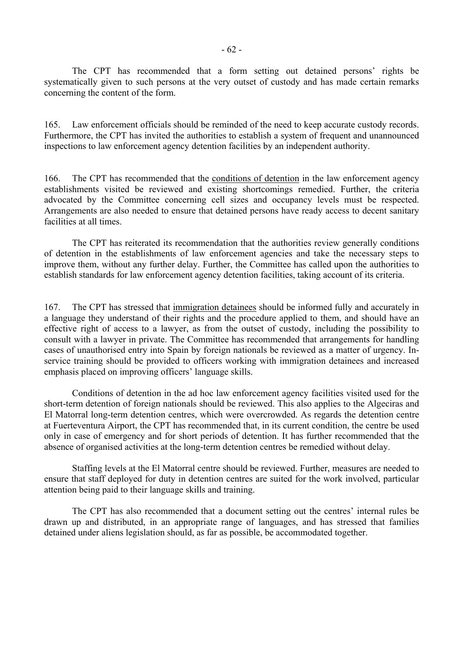The CPT has recommended that a form setting out detained persons' rights be systematically given to such persons at the very outset of custody and has made certain remarks concerning the content of the form.

165. Law enforcement officials should be reminded of the need to keep accurate custody records. Furthermore, the CPT has invited the authorities to establish a system of frequent and unannounced inspections to law enforcement agency detention facilities by an independent authority.

166. The CPT has recommended that the conditions of detention in the law enforcement agency establishments visited be reviewed and existing shortcomings remedied. Further, the criteria advocated by the Committee concerning cell sizes and occupancy levels must be respected. Arrangements are also needed to ensure that detained persons have ready access to decent sanitary facilities at all times.

 The CPT has reiterated its recommendation that the authorities review generally conditions of detention in the establishments of law enforcement agencies and take the necessary steps to improve them, without any further delay. Further, the Committee has called upon the authorities to establish standards for law enforcement agency detention facilities, taking account of its criteria.

167. The CPT has stressed that immigration detainees should be informed fully and accurately in a language they understand of their rights and the procedure applied to them, and should have an effective right of access to a lawyer, as from the outset of custody, including the possibility to consult with a lawyer in private. The Committee has recommended that arrangements for handling cases of unauthorised entry into Spain by foreign nationals be reviewed as a matter of urgency. Inservice training should be provided to officers working with immigration detainees and increased emphasis placed on improving officers' language skills.

Conditions of detention in the ad hoc law enforcement agency facilities visited used for the short-term detention of foreign nationals should be reviewed. This also applies to the Algeciras and El Matorral long-term detention centres, which were overcrowded. As regards the detention centre at Fuerteventura Airport, the CPT has recommended that, in its current condition, the centre be used only in case of emergency and for short periods of detention. It has further recommended that the absence of organised activities at the long-term detention centres be remedied without delay.

Staffing levels at the El Matorral centre should be reviewed. Further, measures are needed to ensure that staff deployed for duty in detention centres are suited for the work involved, particular attention being paid to their language skills and training.

The CPT has also recommended that a document setting out the centres' internal rules be drawn up and distributed, in an appropriate range of languages, and has stressed that families detained under aliens legislation should, as far as possible, be accommodated together.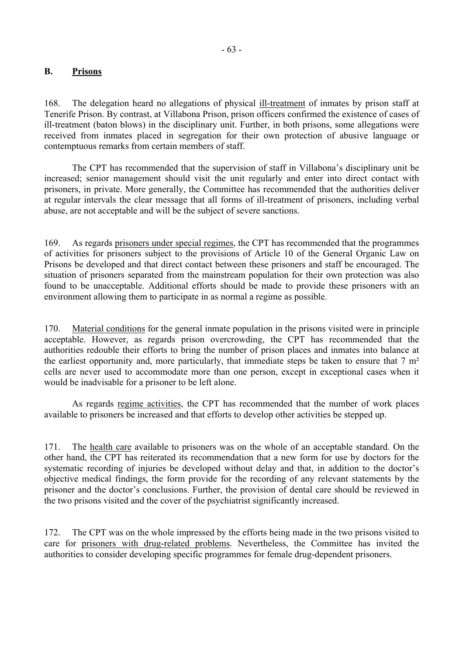### **B. Prisons**

168. The delegation heard no allegations of physical ill-treatment of inmates by prison staff at Tenerife Prison. By contrast, at Villabona Prison, prison officers confirmed the existence of cases of ill-treatment (baton blows) in the disciplinary unit. Further, in both prisons, some allegations were received from inmates placed in segregation for their own protection of abusive language or contemptuous remarks from certain members of staff.

 The CPT has recommended that the supervision of staff in Villabona's disciplinary unit be increased; senior management should visit the unit regularly and enter into direct contact with prisoners, in private. More generally, the Committee has recommended that the authorities deliver at regular intervals the clear message that all forms of ill-treatment of prisoners, including verbal abuse, are not acceptable and will be the subject of severe sanctions.

169. As regards prisoners under special regimes, the CPT has recommended that the programmes of activities for prisoners subject to the provisions of Article 10 of the General Organic Law on Prisons be developed and that direct contact between these prisoners and staff be encouraged. The situation of prisoners separated from the mainstream population for their own protection was also found to be unacceptable. Additional efforts should be made to provide these prisoners with an environment allowing them to participate in as normal a regime as possible.

170. Material conditions for the general inmate population in the prisons visited were in principle acceptable. However, as regards prison overcrowding, the CPT has recommended that the authorities redouble their efforts to bring the number of prison places and inmates into balance at the earliest opportunity and, more particularly, that immediate steps be taken to ensure that 7 m² cells are never used to accommodate more than one person, except in exceptional cases when it would be inadvisable for a prisoner to be left alone.

 As regards regime activities, the CPT has recommended that the number of work places available to prisoners be increased and that efforts to develop other activities be stepped up.

171. The health care available to prisoners was on the whole of an acceptable standard. On the other hand, the CPT has reiterated its recommendation that a new form for use by doctors for the systematic recording of injuries be developed without delay and that, in addition to the doctor's objective medical findings, the form provide for the recording of any relevant statements by the prisoner and the doctor's conclusions. Further, the provision of dental care should be reviewed in the two prisons visited and the cover of the psychiatrist significantly increased.

172. The CPT was on the whole impressed by the efforts being made in the two prisons visited to care for prisoners with drug-related problems. Nevertheless, the Committee has invited the authorities to consider developing specific programmes for female drug-dependent prisoners.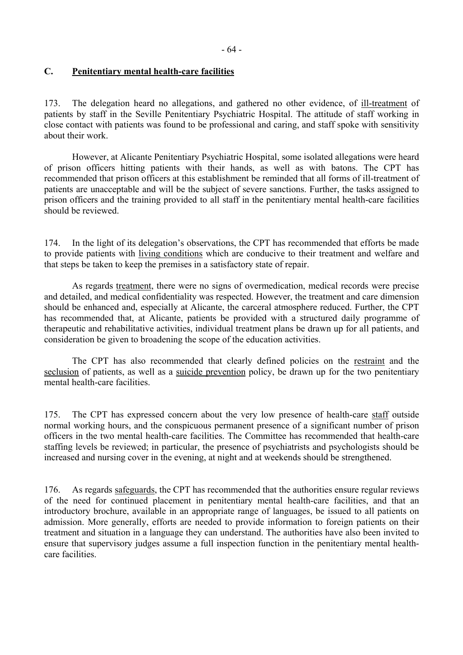## **C. Penitentiary mental health-care facilities**

173. The delegation heard no allegations, and gathered no other evidence, of ill-treatment of patients by staff in the Seville Penitentiary Psychiatric Hospital. The attitude of staff working in close contact with patients was found to be professional and caring, and staff spoke with sensitivity about their work.

 However, at Alicante Penitentiary Psychiatric Hospital, some isolated allegations were heard of prison officers hitting patients with their hands, as well as with batons. The CPT has recommended that prison officers at this establishment be reminded that all forms of ill-treatment of patients are unacceptable and will be the subject of severe sanctions. Further, the tasks assigned to prison officers and the training provided to all staff in the penitentiary mental health-care facilities should be reviewed.

174. In the light of its delegation's observations, the CPT has recommended that efforts be made to provide patients with living conditions which are conducive to their treatment and welfare and that steps be taken to keep the premises in a satisfactory state of repair.

 As regards treatment, there were no signs of overmedication, medical records were precise and detailed, and medical confidentiality was respected. However, the treatment and care dimension should be enhanced and, especially at Alicante, the carceral atmosphere reduced. Further, the CPT has recommended that, at Alicante, patients be provided with a structured daily programme of therapeutic and rehabilitative activities, individual treatment plans be drawn up for all patients, and consideration be given to broadening the scope of the education activities.

 The CPT has also recommended that clearly defined policies on the restraint and the seclusion of patients, as well as a suicide prevention policy, be drawn up for the two penitentiary mental health-care facilities.

175. The CPT has expressed concern about the very low presence of health-care staff outside normal working hours, and the conspicuous permanent presence of a significant number of prison officers in the two mental health-care facilities. The Committee has recommended that health-care staffing levels be reviewed; in particular, the presence of psychiatrists and psychologists should be increased and nursing cover in the evening, at night and at weekends should be strengthened.

176. As regards safeguards, the CPT has recommended that the authorities ensure regular reviews of the need for continued placement in penitentiary mental health-care facilities, and that an introductory brochure, available in an appropriate range of languages, be issued to all patients on admission. More generally, efforts are needed to provide information to foreign patients on their treatment and situation in a language they can understand. The authorities have also been invited to ensure that supervisory judges assume a full inspection function in the penitentiary mental healthcare facilities.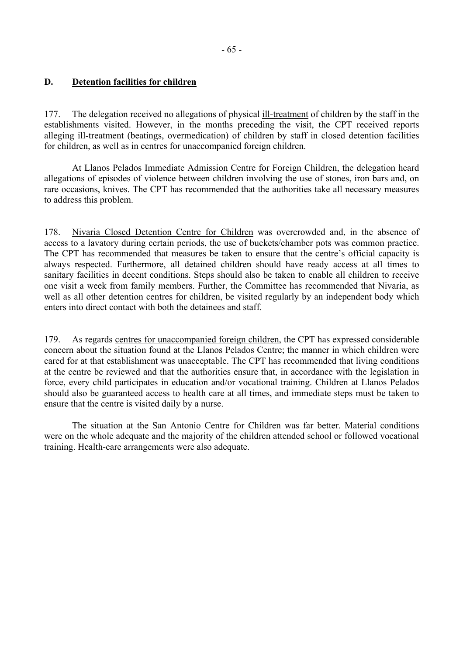### **D. Detention facilities for children**

177. The delegation received no allegations of physical ill-treatment of children by the staff in the establishments visited. However, in the months preceding the visit, the CPT received reports alleging ill-treatment (beatings, overmedication) of children by staff in closed detention facilities for children, as well as in centres for unaccompanied foreign children.

At Llanos Pelados Immediate Admission Centre for Foreign Children, the delegation heard allegations of episodes of violence between children involving the use of stones, iron bars and, on rare occasions, knives. The CPT has recommended that the authorities take all necessary measures to address this problem.

178. Nivaria Closed Detention Centre for Children was overcrowded and, in the absence of access to a lavatory during certain periods, the use of buckets/chamber pots was common practice. The CPT has recommended that measures be taken to ensure that the centre's official capacity is always respected. Furthermore, all detained children should have ready access at all times to sanitary facilities in decent conditions. Steps should also be taken to enable all children to receive one visit a week from family members. Further, the Committee has recommended that Nivaria, as well as all other detention centres for children, be visited regularly by an independent body which enters into direct contact with both the detainees and staff.

179. As regards centres for unaccompanied foreign children, the CPT has expressed considerable concern about the situation found at the Llanos Pelados Centre; the manner in which children were cared for at that establishment was unacceptable. The CPT has recommended that living conditions at the centre be reviewed and that the authorities ensure that, in accordance with the legislation in force, every child participates in education and/or vocational training. Children at Llanos Pelados should also be guaranteed access to health care at all times, and immediate steps must be taken to ensure that the centre is visited daily by a nurse.

The situation at the San Antonio Centre for Children was far better. Material conditions were on the whole adequate and the majority of the children attended school or followed vocational training. Health-care arrangements were also adequate.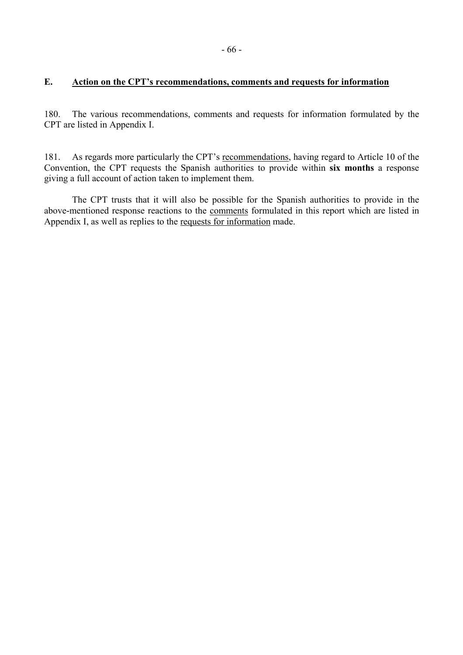## **E. Action on the CPT's recommendations, comments and requests for information**

180. The various recommendations, comments and requests for information formulated by the CPT are listed in Appendix I.

181. As regards more particularly the CPT's recommendations, having regard to Article 10 of the Convention, the CPT requests the Spanish authorities to provide within **six months** a response giving a full account of action taken to implement them.

 The CPT trusts that it will also be possible for the Spanish authorities to provide in the above-mentioned response reactions to the comments formulated in this report which are listed in Appendix I, as well as replies to the requests for information made.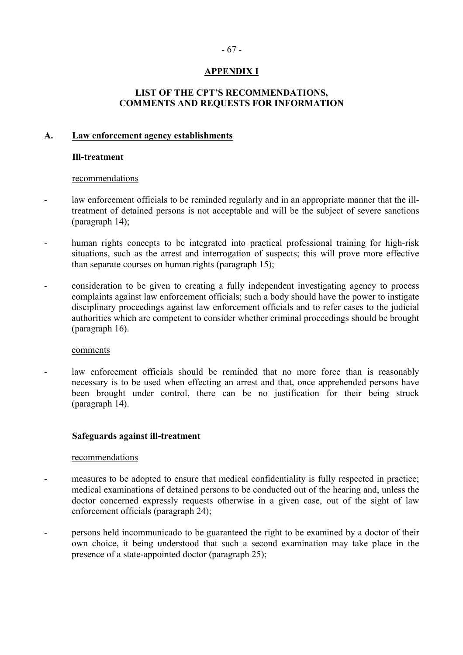# **APPENDIX I**

## **LIST OF THE CPT'S RECOMMENDATIONS, COMMENTS AND REQUESTS FOR INFORMATION**

### **A. Law enforcement agency establishments**

#### **Ill-treatment**

#### recommendations

- law enforcement officials to be reminded regularly and in an appropriate manner that the illtreatment of detained persons is not acceptable and will be the subject of severe sanctions (paragraph 14);
- human rights concepts to be integrated into practical professional training for high-risk situations, such as the arrest and interrogation of suspects; this will prove more effective than separate courses on human rights (paragraph 15);
- consideration to be given to creating a fully independent investigating agency to process complaints against law enforcement officials; such a body should have the power to instigate disciplinary proceedings against law enforcement officials and to refer cases to the judicial authorities which are competent to consider whether criminal proceedings should be brought (paragraph 16).

#### comments

law enforcement officials should be reminded that no more force than is reasonably necessary is to be used when effecting an arrest and that, once apprehended persons have been brought under control, there can be no justification for their being struck (paragraph 14).

### **Safeguards against ill-treatment**

#### recommendations

- measures to be adopted to ensure that medical confidentiality is fully respected in practice; medical examinations of detained persons to be conducted out of the hearing and, unless the doctor concerned expressly requests otherwise in a given case, out of the sight of law enforcement officials (paragraph 24);
- persons held incommunicado to be guaranteed the right to be examined by a doctor of their own choice, it being understood that such a second examination may take place in the presence of a state-appointed doctor (paragraph 25);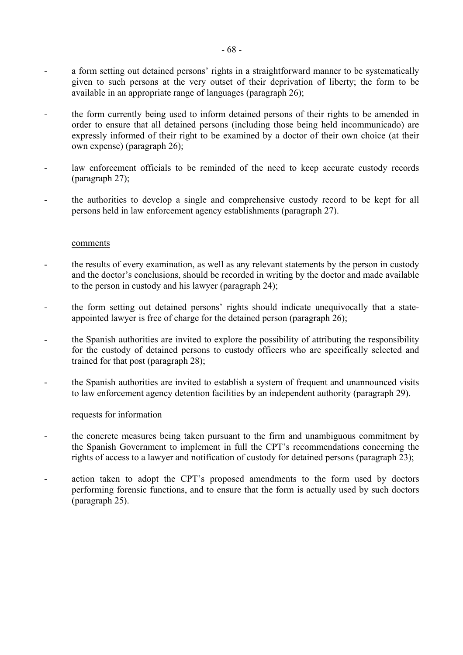- a form setting out detained persons' rights in a straightforward manner to be systematically given to such persons at the very outset of their deprivation of liberty; the form to be available in an appropriate range of languages (paragraph 26);
- the form currently being used to inform detained persons of their rights to be amended in order to ensure that all detained persons (including those being held incommunicado) are expressly informed of their right to be examined by a doctor of their own choice (at their own expense) (paragraph 26);
- law enforcement officials to be reminded of the need to keep accurate custody records (paragraph 27);
- the authorities to develop a single and comprehensive custody record to be kept for all persons held in law enforcement agency establishments (paragraph 27).

#### comments

- the results of every examination, as well as any relevant statements by the person in custody and the doctor's conclusions, should be recorded in writing by the doctor and made available to the person in custody and his lawyer (paragraph 24);
- the form setting out detained persons' rights should indicate unequivocally that a stateappointed lawyer is free of charge for the detained person (paragraph 26);
- the Spanish authorities are invited to explore the possibility of attributing the responsibility for the custody of detained persons to custody officers who are specifically selected and trained for that post (paragraph 28);
- the Spanish authorities are invited to establish a system of frequent and unannounced visits to law enforcement agency detention facilities by an independent authority (paragraph 29).

#### requests for information

- the concrete measures being taken pursuant to the firm and unambiguous commitment by the Spanish Government to implement in full the CPT's recommendations concerning the rights of access to a lawyer and notification of custody for detained persons (paragraph 23);
- action taken to adopt the CPT's proposed amendments to the form used by doctors performing forensic functions, and to ensure that the form is actually used by such doctors (paragraph 25).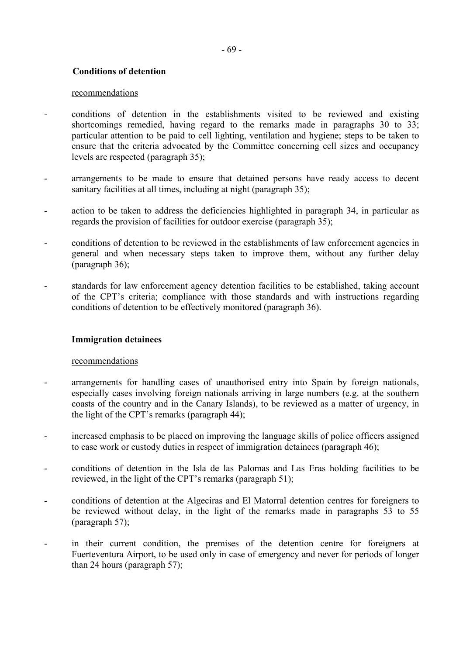### **Conditions of detention**

#### recommendations

- conditions of detention in the establishments visited to be reviewed and existing shortcomings remedied, having regard to the remarks made in paragraphs 30 to 33; particular attention to be paid to cell lighting, ventilation and hygiene; steps to be taken to ensure that the criteria advocated by the Committee concerning cell sizes and occupancy levels are respected (paragraph 35);
- arrangements to be made to ensure that detained persons have ready access to decent sanitary facilities at all times, including at night (paragraph 35);
- action to be taken to address the deficiencies highlighted in paragraph 34, in particular as regards the provision of facilities for outdoor exercise (paragraph 35);
- conditions of detention to be reviewed in the establishments of law enforcement agencies in general and when necessary steps taken to improve them, without any further delay (paragraph 36);
- standards for law enforcement agency detention facilities to be established, taking account of the CPT's criteria; compliance with those standards and with instructions regarding conditions of detention to be effectively monitored (paragraph 36).

### **Immigration detainees**

#### recommendations

- arrangements for handling cases of unauthorised entry into Spain by foreign nationals, especially cases involving foreign nationals arriving in large numbers (e.g. at the southern coasts of the country and in the Canary Islands), to be reviewed as a matter of urgency, in the light of the CPT's remarks (paragraph 44);
- increased emphasis to be placed on improving the language skills of police officers assigned to case work or custody duties in respect of immigration detainees (paragraph 46);
- conditions of detention in the Isla de las Palomas and Las Eras holding facilities to be reviewed, in the light of the CPT's remarks (paragraph 51);
- conditions of detention at the Algeciras and El Matorral detention centres for foreigners to be reviewed without delay, in the light of the remarks made in paragraphs 53 to 55 (paragraph 57);
- in their current condition, the premises of the detention centre for foreigners at Fuerteventura Airport, to be used only in case of emergency and never for periods of longer than 24 hours (paragraph 57);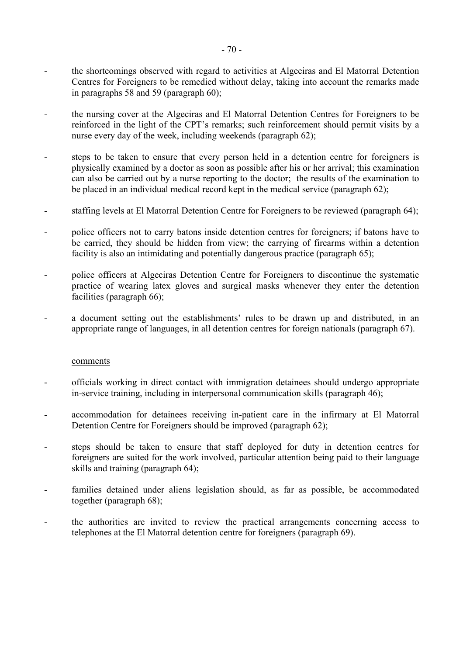- the shortcomings observed with regard to activities at Algeciras and El Matorral Detention Centres for Foreigners to be remedied without delay, taking into account the remarks made in paragraphs 58 and 59 (paragraph 60);
- the nursing cover at the Algeciras and El Matorral Detention Centres for Foreigners to be reinforced in the light of the CPT's remarks; such reinforcement should permit visits by a nurse every day of the week, including weekends (paragraph 62);
- steps to be taken to ensure that every person held in a detention centre for foreigners is physically examined by a doctor as soon as possible after his or her arrival; this examination can also be carried out by a nurse reporting to the doctor; the results of the examination to be placed in an individual medical record kept in the medical service (paragraph 62);
- staffing levels at El Matorral Detention Centre for Foreigners to be reviewed (paragraph 64);
- police officers not to carry batons inside detention centres for foreigners; if batons have to be carried, they should be hidden from view; the carrying of firearms within a detention facility is also an intimidating and potentially dangerous practice (paragraph 65);
- police officers at Algeciras Detention Centre for Foreigners to discontinue the systematic practice of wearing latex gloves and surgical masks whenever they enter the detention facilities (paragraph 66);
- a document setting out the establishments' rules to be drawn up and distributed, in an appropriate range of languages, in all detention centres for foreign nationals (paragraph 67).

#### comments

- officials working in direct contact with immigration detainees should undergo appropriate in-service training, including in interpersonal communication skills (paragraph 46);
- accommodation for detainees receiving in-patient care in the infirmary at El Matorral Detention Centre for Foreigners should be improved (paragraph 62);
- steps should be taken to ensure that staff deployed for duty in detention centres for foreigners are suited for the work involved, particular attention being paid to their language skills and training (paragraph 64);
- families detained under aliens legislation should, as far as possible, be accommodated together (paragraph 68);
- the authorities are invited to review the practical arrangements concerning access to telephones at the El Matorral detention centre for foreigners (paragraph 69).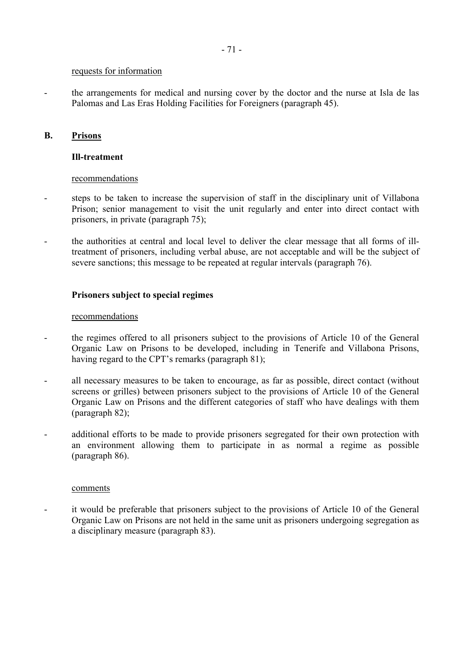#### requests for information

- the arrangements for medical and nursing cover by the doctor and the nurse at Isla de las Palomas and Las Eras Holding Facilities for Foreigners (paragraph 45).

### **B. Prisons**

### **Ill-treatment**

### recommendations

- steps to be taken to increase the supervision of staff in the disciplinary unit of Villabona Prison; senior management to visit the unit regularly and enter into direct contact with prisoners, in private (paragraph 75);
- the authorities at central and local level to deliver the clear message that all forms of illtreatment of prisoners, including verbal abuse, are not acceptable and will be the subject of severe sanctions; this message to be repeated at regular intervals (paragraph 76).

### **Prisoners subject to special regimes**

### recommendations

- the regimes offered to all prisoners subject to the provisions of Article 10 of the General Organic Law on Prisons to be developed, including in Tenerife and Villabona Prisons, having regard to the CPT's remarks (paragraph 81);
- all necessary measures to be taken to encourage, as far as possible, direct contact (without screens or grilles) between prisoners subject to the provisions of Article 10 of the General Organic Law on Prisons and the different categories of staff who have dealings with them (paragraph 82);
- additional efforts to be made to provide prisoners segregated for their own protection with an environment allowing them to participate in as normal a regime as possible (paragraph 86).

### comments

- it would be preferable that prisoners subject to the provisions of Article 10 of the General Organic Law on Prisons are not held in the same unit as prisoners undergoing segregation as a disciplinary measure (paragraph 83).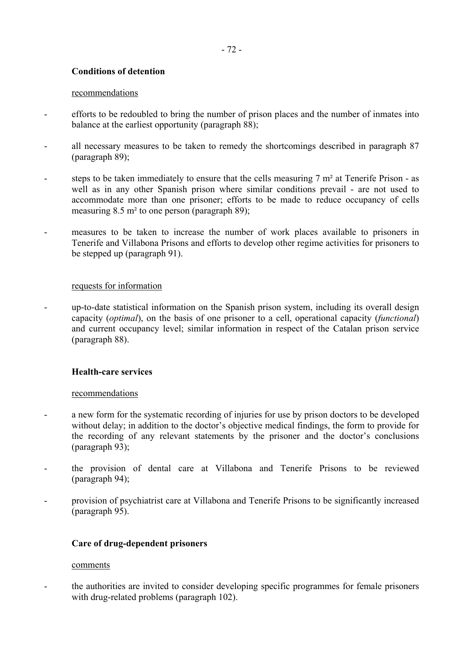### **Conditions of detention**

#### recommendations

- efforts to be redoubled to bring the number of prison places and the number of inmates into balance at the earliest opportunity (paragraph 88);
- all necessary measures to be taken to remedy the shortcomings described in paragraph 87 (paragraph 89);
- steps to be taken immediately to ensure that the cells measuring  $7 \text{ m}^2$  at Tenerife Prison as well as in any other Spanish prison where similar conditions prevail - are not used to accommodate more than one prisoner; efforts to be made to reduce occupancy of cells measuring 8.5 m² to one person (paragraph 89);
- measures to be taken to increase the number of work places available to prisoners in Tenerife and Villabona Prisons and efforts to develop other regime activities for prisoners to be stepped up (paragraph 91).

### requests for information

- up-to-date statistical information on the Spanish prison system, including its overall design capacity (*optimal*), on the basis of one prisoner to a cell, operational capacity (*functional*) and current occupancy level; similar information in respect of the Catalan prison service (paragraph 88).

### **Health-care services**

### recommendations

- a new form for the systematic recording of injuries for use by prison doctors to be developed without delay; in addition to the doctor's objective medical findings, the form to provide for the recording of any relevant statements by the prisoner and the doctor's conclusions (paragraph 93);
- the provision of dental care at Villabona and Tenerife Prisons to be reviewed (paragraph 94);
- provision of psychiatrist care at Villabona and Tenerife Prisons to be significantly increased (paragraph 95).

## **Care of drug-dependent prisoners**

### comments

- the authorities are invited to consider developing specific programmes for female prisoners with drug-related problems (paragraph 102).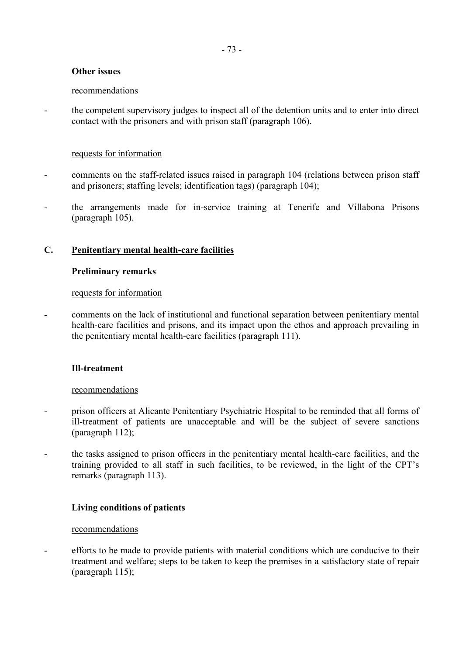# **Other issues**

### recommendations

- the competent supervisory judges to inspect all of the detention units and to enter into direct contact with the prisoners and with prison staff (paragraph 106).

# requests for information

- comments on the staff-related issues raised in paragraph 104 (relations between prison staff and prisoners; staffing levels; identification tags) (paragraph 104);
- the arrangements made for in-service training at Tenerife and Villabona Prisons (paragraph 105).

# **C. Penitentiary mental health-care facilities**

### **Preliminary remarks**

# requests for information

- comments on the lack of institutional and functional separation between penitentiary mental health-care facilities and prisons, and its impact upon the ethos and approach prevailing in the penitentiary mental health-care facilities (paragraph 111).

# **Ill-treatment**

### recommendations

- prison officers at Alicante Penitentiary Psychiatric Hospital to be reminded that all forms of ill-treatment of patients are unacceptable and will be the subject of severe sanctions (paragraph 112);
- the tasks assigned to prison officers in the penitentiary mental health-care facilities, and the training provided to all staff in such facilities, to be reviewed, in the light of the CPT's remarks (paragraph 113).

# **Living conditions of patients**

### recommendations

- efforts to be made to provide patients with material conditions which are conducive to their treatment and welfare; steps to be taken to keep the premises in a satisfactory state of repair (paragraph 115);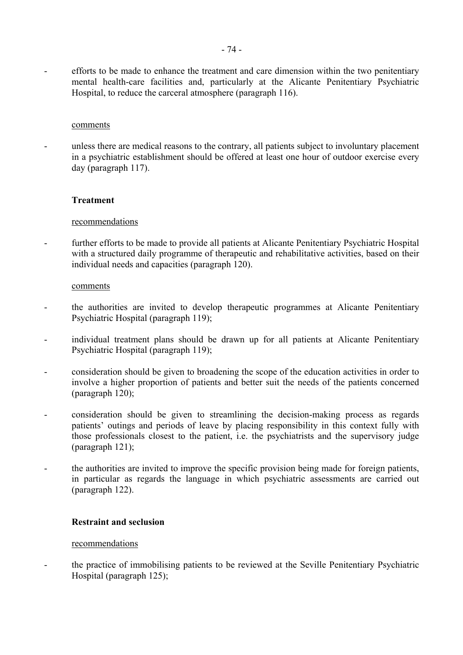- efforts to be made to enhance the treatment and care dimension within the two penitentiary mental health-care facilities and, particularly at the Alicante Penitentiary Psychiatric Hospital, to reduce the carceral atmosphere (paragraph 116).

#### comments

unless there are medical reasons to the contrary, all patients subject to involuntary placement in a psychiatric establishment should be offered at least one hour of outdoor exercise every day (paragraph 117).

### **Treatment**

#### recommendations

- further efforts to be made to provide all patients at Alicante Penitentiary Psychiatric Hospital with a structured daily programme of therapeutic and rehabilitative activities, based on their individual needs and capacities (paragraph 120).

#### comments

- the authorities are invited to develop therapeutic programmes at Alicante Penitentiary Psychiatric Hospital (paragraph 119);
- individual treatment plans should be drawn up for all patients at Alicante Penitentiary Psychiatric Hospital (paragraph 119);
- consideration should be given to broadening the scope of the education activities in order to involve a higher proportion of patients and better suit the needs of the patients concerned (paragraph 120);
- consideration should be given to streamlining the decision-making process as regards patients' outings and periods of leave by placing responsibility in this context fully with those professionals closest to the patient, i.e. the psychiatrists and the supervisory judge (paragraph 121);
- the authorities are invited to improve the specific provision being made for foreign patients, in particular as regards the language in which psychiatric assessments are carried out (paragraph 122).

#### **Restraint and seclusion**

#### recommendations

- the practice of immobilising patients to be reviewed at the Seville Penitentiary Psychiatric Hospital (paragraph 125);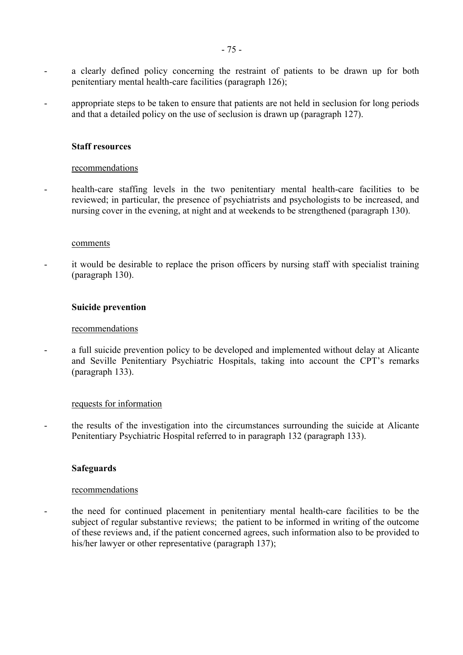- a clearly defined policy concerning the restraint of patients to be drawn up for both penitentiary mental health-care facilities (paragraph 126);
- appropriate steps to be taken to ensure that patients are not held in seclusion for long periods and that a detailed policy on the use of seclusion is drawn up (paragraph 127).

#### **Staff resources**

#### recommendations

- health-care staffing levels in the two penitentiary mental health-care facilities to be reviewed; in particular, the presence of psychiatrists and psychologists to be increased, and nursing cover in the evening, at night and at weekends to be strengthened (paragraph 130).

#### comments

it would be desirable to replace the prison officers by nursing staff with specialist training (paragraph 130).

#### **Suicide prevention**

#### recommendations

- a full suicide prevention policy to be developed and implemented without delay at Alicante and Seville Penitentiary Psychiatric Hospitals, taking into account the CPT's remarks (paragraph 133).

#### requests for information

- the results of the investigation into the circumstances surrounding the suicide at Alicante Penitentiary Psychiatric Hospital referred to in paragraph 132 (paragraph 133).

### **Safeguards**

### recommendations

- the need for continued placement in penitentiary mental health-care facilities to be the subject of regular substantive reviews; the patient to be informed in writing of the outcome of these reviews and, if the patient concerned agrees, such information also to be provided to his/her lawyer or other representative (paragraph 137);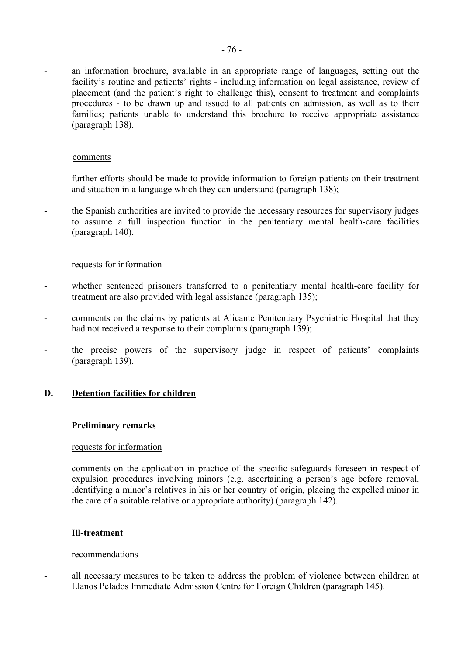- an information brochure, available in an appropriate range of languages, setting out the facility's routine and patients' rights - including information on legal assistance, review of placement (and the patient's right to challenge this), consent to treatment and complaints procedures - to be drawn up and issued to all patients on admission, as well as to their families; patients unable to understand this brochure to receive appropriate assistance (paragraph 138).

#### comments

- further efforts should be made to provide information to foreign patients on their treatment and situation in a language which they can understand (paragraph 138);
- the Spanish authorities are invited to provide the necessary resources for supervisory judges to assume a full inspection function in the penitentiary mental health-care facilities (paragraph 140).

#### requests for information

- whether sentenced prisoners transferred to a penitentiary mental health-care facility for treatment are also provided with legal assistance (paragraph 135);
- comments on the claims by patients at Alicante Penitentiary Psychiatric Hospital that they had not received a response to their complaints (paragraph 139);
- the precise powers of the supervisory judge in respect of patients' complaints (paragraph 139).

### **D. Detention facilities for children**

#### **Preliminary remarks**

#### requests for information

- comments on the application in practice of the specific safeguards foreseen in respect of expulsion procedures involving minors (e.g. ascertaining a person's age before removal, identifying a minor's relatives in his or her country of origin, placing the expelled minor in the care of a suitable relative or appropriate authority) (paragraph 142).

#### **Ill-treatment**

#### recommendations

- all necessary measures to be taken to address the problem of violence between children at Llanos Pelados Immediate Admission Centre for Foreign Children (paragraph 145).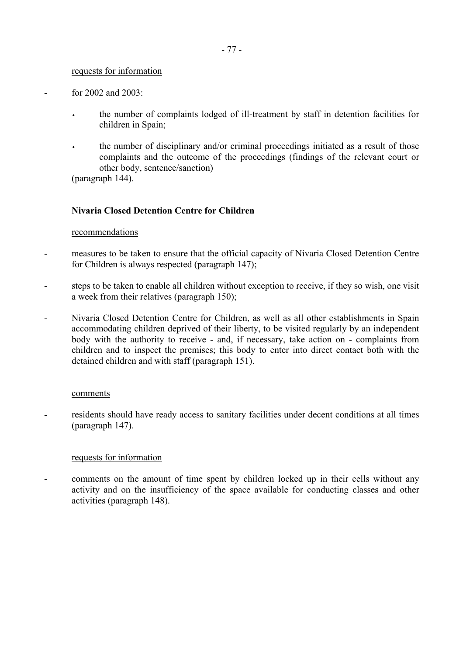#### requests for information

- $-$  for 2002 and 2003
	- the number of complaints lodged of ill-treatment by staff in detention facilities for children in Spain;
	- the number of disciplinary and/or criminal proceedings initiated as a result of those complaints and the outcome of the proceedings (findings of the relevant court or other body, sentence/sanction)

(paragraph 144).

# **Nivaria Closed Detention Centre for Children**

### recommendations

- measures to be taken to ensure that the official capacity of Nivaria Closed Detention Centre for Children is always respected (paragraph 147);
- steps to be taken to enable all children without exception to receive, if they so wish, one visit a week from their relatives (paragraph 150);
- Nivaria Closed Detention Centre for Children, as well as all other establishments in Spain accommodating children deprived of their liberty, to be visited regularly by an independent body with the authority to receive - and, if necessary, take action on - complaints from children and to inspect the premises; this body to enter into direct contact both with the detained children and with staff (paragraph 151).

#### comments

residents should have ready access to sanitary facilities under decent conditions at all times (paragraph 147).

### requests for information

comments on the amount of time spent by children locked up in their cells without any activity and on the insufficiency of the space available for conducting classes and other activities (paragraph 148).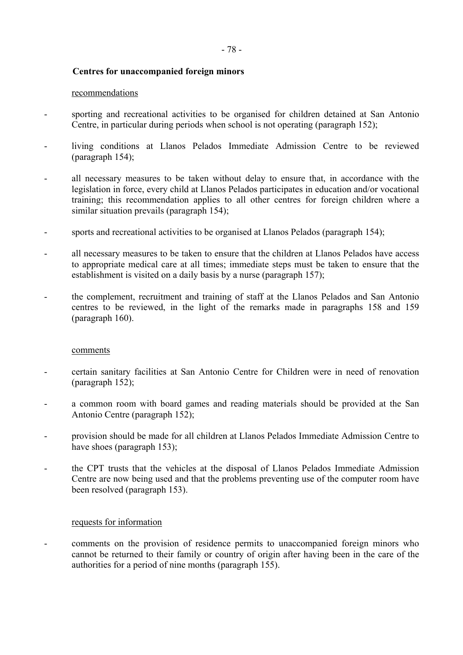# **Centres for unaccompanied foreign minors**

#### recommendations

- sporting and recreational activities to be organised for children detained at San Antonio Centre, in particular during periods when school is not operating (paragraph 152);
- living conditions at Llanos Pelados Immediate Admission Centre to be reviewed (paragraph 154);
- all necessary measures to be taken without delay to ensure that, in accordance with the legislation in force, every child at Llanos Pelados participates in education and/or vocational training; this recommendation applies to all other centres for foreign children where a similar situation prevails (paragraph 154);
- sports and recreational activities to be organised at Llanos Pelados (paragraph 154);
- all necessary measures to be taken to ensure that the children at Llanos Pelados have access to appropriate medical care at all times; immediate steps must be taken to ensure that the establishment is visited on a daily basis by a nurse (paragraph 157);
- the complement, recruitment and training of staff at the Llanos Pelados and San Antonio centres to be reviewed, in the light of the remarks made in paragraphs 158 and 159 (paragraph 160).

#### comments

- certain sanitary facilities at San Antonio Centre for Children were in need of renovation (paragraph 152);
- a common room with board games and reading materials should be provided at the San Antonio Centre (paragraph 152);
- provision should be made for all children at Llanos Pelados Immediate Admission Centre to have shoes (paragraph 153);
- the CPT trusts that the vehicles at the disposal of Llanos Pelados Immediate Admission Centre are now being used and that the problems preventing use of the computer room have been resolved (paragraph 153).

### requests for information

- comments on the provision of residence permits to unaccompanied foreign minors who cannot be returned to their family or country of origin after having been in the care of the authorities for a period of nine months (paragraph 155).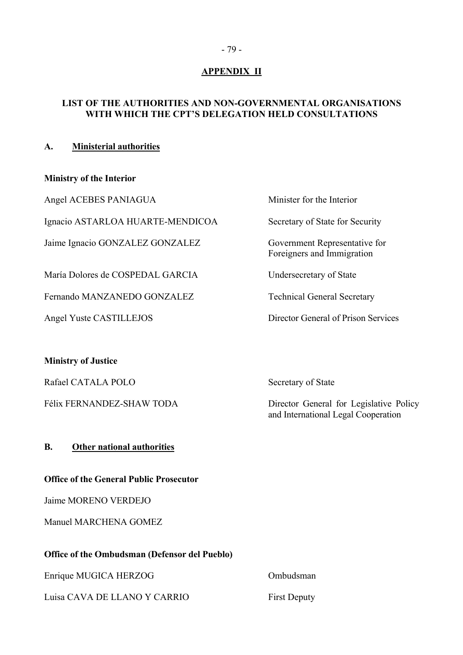# **APPENDIX II**

# **LIST OF THE AUTHORITIES AND NON-GOVERNMENTAL ORGANISATIONS WITH WHICH THE CPT'S DELEGATION HELD CONSULTATIONS**

# **A. Ministerial authorities**

# **Ministry of the Interior**

Angel ACEBES PANIAGUA

Ignacio ASTARLOA HUARTE-MENDICOA

Jaime Ignacio GONZALEZ GONZALEZ

María Dolores de COSPEDAL GARCIA

Fernando MANZANEDO GONZALEZ

Angel Yuste CASTILLEJOS Director General of Prison Services

# **Ministry of Justice**

Rafael CATALA POLO Secretary of State

# **B. Other national authorities**

### **Office of the General Public Prosecutor**

Jaime MORENO VERDEJO

Manuel MARCHENA GOMEZ

### **Office of the Ombudsman (Defensor del Pueblo)**

Enrique MUGICA HERZOG Ombudsman

Luisa CAVA DE LLANO Y CARRIO First Deputy

| Minister for the Interior                                   |
|-------------------------------------------------------------|
| Secretary of State for Security                             |
| Government Representative for<br>Foreigners and Immigration |
| Undersecretary of State                                     |
| <b>Technical General Secretary</b>                          |
|                                                             |

Félix FERNANDEZ-SHAW TODA Director General for Legislative Policy and International Legal Cooperation